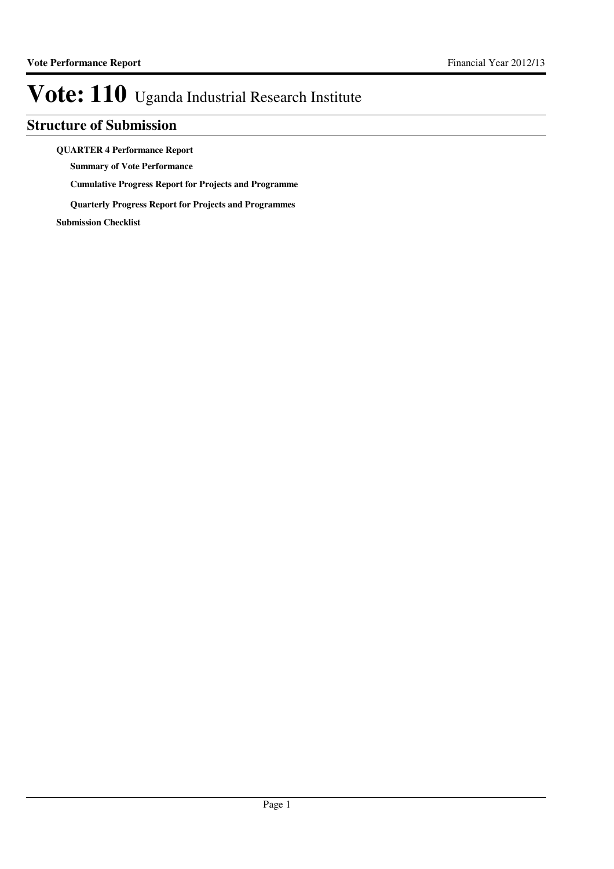### **Structure of Submission**

#### **QUARTER 4 Performance Report**

**Summary of Vote Performance**

**Cumulative Progress Report for Projects and Programme**

**Quarterly Progress Report for Projects and Programmes**

**Submission Checklist**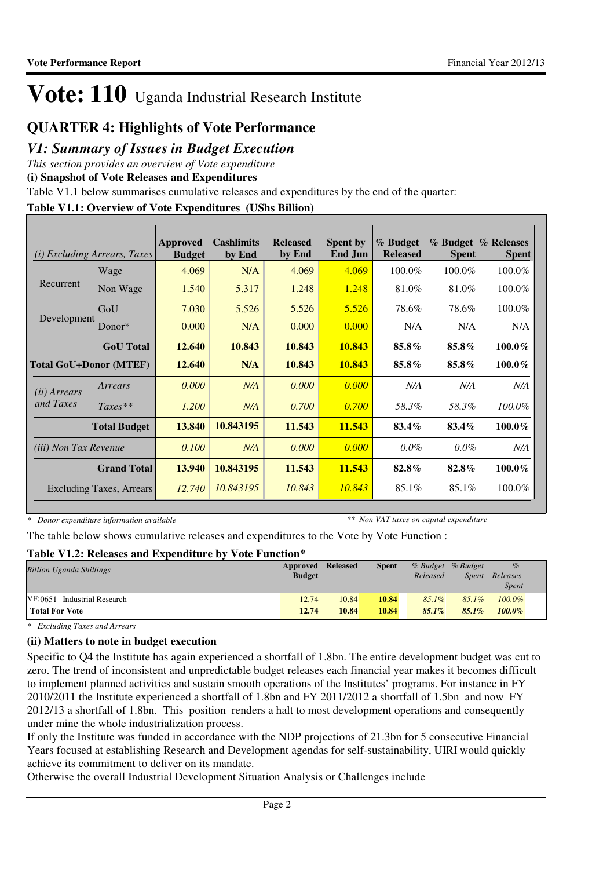### **QUARTER 4: Highlights of Vote Performance**

### *V1: Summary of Issues in Budget Execution*

*This section provides an overview of Vote expenditure* 

**(i) Snapshot of Vote Releases and Expenditures**

Table V1.1 below summarises cumulative releases and expenditures by the end of the quarter:

#### **Table V1.1: Overview of Vote Expenditures (UShs Billion)**

| (i)                          | <b>Excluding Arrears, Taxes</b> | Approved<br><b>Budget</b> | <b>Cashlimits</b><br>by End | <b>Released</b><br>by End | Spent by<br><b>End Jun</b> | % Budget<br><b>Released</b> | <b>Spent</b> | % Budget % Releases<br><b>Spent</b> |
|------------------------------|---------------------------------|---------------------------|-----------------------------|---------------------------|----------------------------|-----------------------------|--------------|-------------------------------------|
|                              | Wage                            | 4.069                     | N/A                         | 4.069                     | 4.069                      | 100.0%                      | 100.0%       | 100.0%                              |
| Recurrent                    | Non Wage                        | 1.540                     | 5.317                       | 1.248                     | 1.248                      | 81.0%                       | 81.0%        | 100.0%                              |
|                              | GoU                             | 7.030                     | 5.526                       | 5.526                     | 5.526                      | 78.6%                       | 78.6%        | 100.0%                              |
| Development                  | Donor $*$                       | 0.000                     | N/A                         | 0.000                     | 0.000                      | N/A                         | N/A          | N/A                                 |
|                              | <b>GoU</b> Total                | 12.640                    | 10.843                      | 10.843                    | 10.843                     | 85.8%                       | 85.8%        | $100.0\%$                           |
|                              | <b>Total GoU+Donor (MTEF)</b>   | 12.640                    | N/A                         | 10.843                    | 10.843                     | 85.8%                       | 85.8%        | $100.0\%$                           |
| ( <i>ii</i> ) Arrears        | Arrears                         | 0.000                     | N/A                         | 0.000                     | 0.000                      | N/A                         | N/A          | N/A                                 |
| and Taxes                    | $Taxes**$                       | 1.200                     | N/A                         | 0.700                     | 0.700                      | 58.3%                       | 58.3%        | $100.0\%$                           |
|                              | <b>Total Budget</b>             | 13.840                    | 10.843195                   | 11.543                    | 11.543                     | 83.4%                       | 83.4%        | $100.0\%$                           |
| <i>(iii)</i> Non Tax Revenue |                                 | 0.100                     | N/A                         | 0.000                     | 0.000                      | $0.0\%$                     | $0.0\%$      | N/A                                 |
|                              | <b>Grand Total</b>              | 13.940                    | 10.843195                   | 11.543                    | 11.543                     | 82.8%                       | 82.8%        | $100.0\%$                           |
|                              | <b>Excluding Taxes, Arrears</b> | 12.740                    | 10.843195                   | 10.843                    | 10.843                     | 85.1%                       | 85.1%        | 100.0%                              |

*\* Donor expenditure information available*

*\*\* Non VAT taxes on capital expenditure*

The table below shows cumulative releases and expenditures to the Vote by Vote Function :

#### **Table V1.2: Releases and Expenditure by Vote Function\***

| <b>Billion Uganda Shillings</b> | Approved Released |       | <b>Spent</b> | % Budget % Budget |          | $\%$         |  |
|---------------------------------|-------------------|-------|--------------|-------------------|----------|--------------|--|
|                                 | <b>Budget</b>     |       |              | Released          | Spent    | Releases     |  |
|                                 |                   |       |              |                   |          | <i>Spent</i> |  |
| VF:0651 Industrial Research     | 12.74             | 10.84 | 10.84        | $85.1\%$          | $85.1\%$ | $100.0\%$    |  |
| <b>Total For Vote</b>           | 12.74             | 10.84 | 10.84        | $85.1\%$          | $85.1\%$ | $100.0\%$    |  |

*\* Excluding Taxes and Arrears*

#### **(ii) Matters to note in budget execution**

Specific to Q4 the Institute has again experienced a shortfall of 1.8bn. The entire development budget was cut to zero. The trend of inconsistent and unpredictable budget releases each financial year makes it becomes difficult to implement planned activities and sustain smooth operations of the Institutes' programs. For instance in FY 2010/2011 the Institute experienced a shortfall of 1.8bn and FY 2011/2012 a shortfall of 1.5bn and now FY 2012/13 a shortfall of 1.8bn. This position renders a halt to most development operations and consequently under mine the whole industrialization process.

If only the Institute was funded in accordance with the NDP projections of 21.3bn for 5 consecutive Financial Years focused at establishing Research and Development agendas for self-sustainability, UIRI would quickly achieve its commitment to deliver on its mandate.

Otherwise the overall Industrial Development Situation Analysis or Challenges include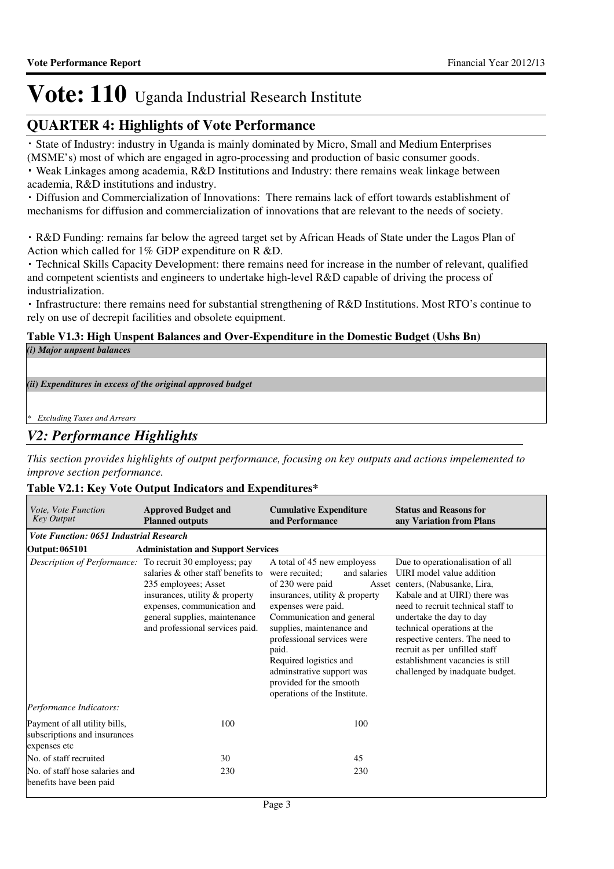### **QUARTER 4: Highlights of Vote Performance**

 State of Industry: industry in Uganda is mainly dominated by Micro, Small and Medium Enterprises (MSME's) most of which are engaged in agro-processing and production of basic consumer goods.

 Weak Linkages among academia, R&D Institutions and Industry: there remains weak linkage between academia, R&D institutions and industry.

 Diffusion and Commercialization of Innovations: There remains lack of effort towards establishment of mechanisms for diffusion and commercialization of innovations that are relevant to the needs of society.

 R&D Funding: remains far below the agreed target set by African Heads of State under the Lagos Plan of Action which called for 1% GDP expenditure on R &D.

 Technical Skills Capacity Development: there remains need for increase in the number of relevant, qualified and competent scientists and engineers to undertake high-level R&D capable of driving the process of industrialization.

 Infrastructure: there remains need for substantial strengthening of R&D Institutions. Most RTO's continue to rely on use of decrepit facilities and obsolete equipment.

#### **Table V1.3: High Unspent Balances and Over-Expenditure in the Domestic Budget (Ushs Bn)** *(i) Major unpsent balances*

*(ii) Expenditures in excess of the original approved budget*

*\* Excluding Taxes and Arrears*

### *V2: Performance Highlights*

*This section provides highlights of output performance, focusing on key outputs and actions impelemented to improve section performance.*

#### **Table V2.1: Key Vote Output Indicators and Expenditures\***

| Vote, Vote Function<br><b>Key Output</b>                                      | <b>Approved Budget and</b><br><b>Planned outputs</b>                                                                                                                                                                                                        | <b>Cumulative Expenditure</b><br>and Performance                                                                                                                                                                                                                                                                                                              | <b>Status and Reasons for</b><br>any Variation from Plans                                                                                                                                                                                                                                                                                                                      |
|-------------------------------------------------------------------------------|-------------------------------------------------------------------------------------------------------------------------------------------------------------------------------------------------------------------------------------------------------------|---------------------------------------------------------------------------------------------------------------------------------------------------------------------------------------------------------------------------------------------------------------------------------------------------------------------------------------------------------------|--------------------------------------------------------------------------------------------------------------------------------------------------------------------------------------------------------------------------------------------------------------------------------------------------------------------------------------------------------------------------------|
| <b>Vote Function: 0651 Industrial Research</b>                                |                                                                                                                                                                                                                                                             |                                                                                                                                                                                                                                                                                                                                                               |                                                                                                                                                                                                                                                                                                                                                                                |
| <b>Output: 065101</b>                                                         | <b>Administation and Support Services</b>                                                                                                                                                                                                                   |                                                                                                                                                                                                                                                                                                                                                               |                                                                                                                                                                                                                                                                                                                                                                                |
|                                                                               | Description of Performance: To recruit 30 employess; pay<br>salaries & other staff benefits to<br>235 employees; Asset<br>insurances, utility & property<br>expenses, communication and<br>general supplies, maintenance<br>and professional services paid. | A total of 45 new employess<br>were recuited:<br>and salaries<br>of 230 were paid<br>insurances, utility & property<br>expenses were paid.<br>Communication and general<br>supplies, maintenance and<br>professional services were<br>paid.<br>Required logistics and<br>adminstrative support was<br>provided for the smooth<br>operations of the Institute. | Due to operationalisation of all<br>UIRI model value addition<br>Asset centers, (Nabusanke, Lira,<br>Kabale and at UIRI) there was<br>need to recruit technical staff to<br>undertake the day to day<br>technical operations at the<br>respective centers. The need to<br>recruit as per unfilled staff<br>establishment vacancies is still<br>challenged by inadquate budget. |
| Performance Indicators:                                                       |                                                                                                                                                                                                                                                             |                                                                                                                                                                                                                                                                                                                                                               |                                                                                                                                                                                                                                                                                                                                                                                |
| Payment of all utility bills,<br>subscriptions and insurances<br>expenses etc | 100                                                                                                                                                                                                                                                         | 100                                                                                                                                                                                                                                                                                                                                                           |                                                                                                                                                                                                                                                                                                                                                                                |
| No. of staff recruited                                                        | 30                                                                                                                                                                                                                                                          | 45                                                                                                                                                                                                                                                                                                                                                            |                                                                                                                                                                                                                                                                                                                                                                                |
| No. of staff hose salaries and<br>benefits have been paid                     | 230                                                                                                                                                                                                                                                         | 230                                                                                                                                                                                                                                                                                                                                                           |                                                                                                                                                                                                                                                                                                                                                                                |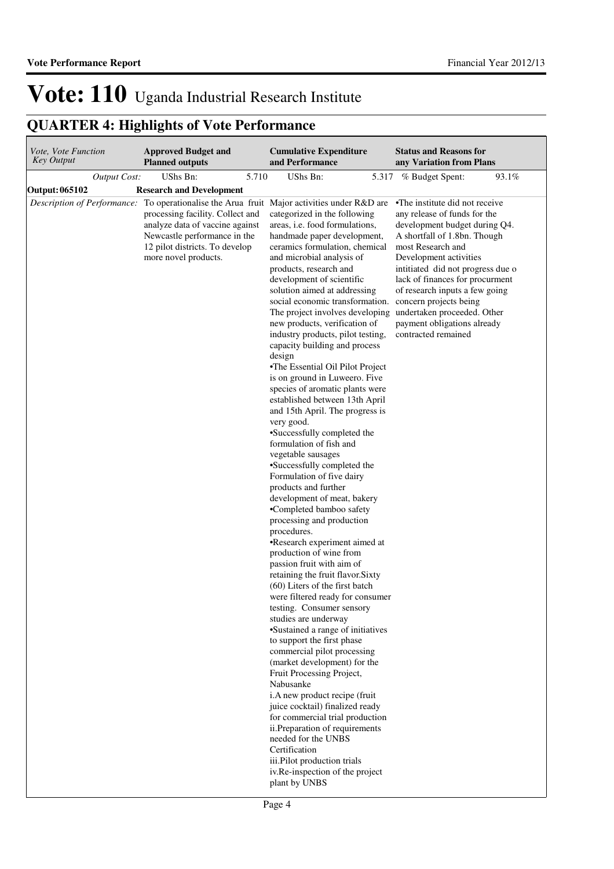| Vote, Vote Function<br><b>Key Output</b> | <b>Approved Budget and</b><br><b>Planned outputs</b>                                                                                                                                                                                                                | <b>Cumulative Expenditure</b><br>and Performance                                                                                                                                                                                                                                                                                                                                                                                                                                                                                                                                                                                                                                                                                                                                                                                                                                                                                                                                                                                                                                                                                                                                                                                                                                                                                                                                                                                                                                                                                                                                                                                                            | <b>Status and Reasons for</b><br>any Variation from Plans                                                                                                                                                                                                                                                                                      |
|------------------------------------------|---------------------------------------------------------------------------------------------------------------------------------------------------------------------------------------------------------------------------------------------------------------------|-------------------------------------------------------------------------------------------------------------------------------------------------------------------------------------------------------------------------------------------------------------------------------------------------------------------------------------------------------------------------------------------------------------------------------------------------------------------------------------------------------------------------------------------------------------------------------------------------------------------------------------------------------------------------------------------------------------------------------------------------------------------------------------------------------------------------------------------------------------------------------------------------------------------------------------------------------------------------------------------------------------------------------------------------------------------------------------------------------------------------------------------------------------------------------------------------------------------------------------------------------------------------------------------------------------------------------------------------------------------------------------------------------------------------------------------------------------------------------------------------------------------------------------------------------------------------------------------------------------------------------------------------------------|------------------------------------------------------------------------------------------------------------------------------------------------------------------------------------------------------------------------------------------------------------------------------------------------------------------------------------------------|
| <b>Output Cost:</b>                      | 5.710<br>UShs Bn:                                                                                                                                                                                                                                                   | UShs Bn:                                                                                                                                                                                                                                                                                                                                                                                                                                                                                                                                                                                                                                                                                                                                                                                                                                                                                                                                                                                                                                                                                                                                                                                                                                                                                                                                                                                                                                                                                                                                                                                                                                                    | 93.1%<br>5.317 % Budget Spent:                                                                                                                                                                                                                                                                                                                 |
| Output: 065102                           | <b>Research and Development</b>                                                                                                                                                                                                                                     |                                                                                                                                                                                                                                                                                                                                                                                                                                                                                                                                                                                                                                                                                                                                                                                                                                                                                                                                                                                                                                                                                                                                                                                                                                                                                                                                                                                                                                                                                                                                                                                                                                                             |                                                                                                                                                                                                                                                                                                                                                |
|                                          | <i>Description of Performance:</i> To operationalise the Arua fruit Major activities under R&D are<br>processing facility. Collect and<br>analyze data of vaccine against<br>Newcastle performance in the<br>12 pilot districts. To develop<br>more novel products. | categorized in the following<br>areas, i.e. food formulations,<br>handmade paper development,<br>ceramics formulation, chemical<br>and microbial analysis of<br>products, research and<br>development of scientific<br>solution aimed at addressing<br>social economic transformation. concern projects being<br>The project involves developing undertaken proceeded. Other<br>new products, verification of<br>industry products, pilot testing,<br>capacity building and process<br>design<br>•The Essential Oil Pilot Project<br>is on ground in Luweero. Five<br>species of aromatic plants were<br>established between 13th April<br>and 15th April. The progress is<br>very good.<br>•Successfully completed the<br>formulation of fish and<br>vegetable sausages<br>•Successfully completed the<br>Formulation of five dairy<br>products and further<br>development of meat, bakery<br>•Completed bamboo safety<br>processing and production<br>procedures.<br>•Research experiment aimed at<br>production of wine from<br>passion fruit with aim of<br>retaining the fruit flavor. Sixty<br>(60) Liters of the first batch<br>were filtered ready for consumer<br>testing. Consumer sensory<br>studies are underway<br>•Sustained a range of initiatives<br>to support the first phase<br>commercial pilot processing<br>(market development) for the<br>Fruit Processing Project,<br>Nabusanke<br>i.A new product recipe (fruit<br>juice cocktail) finalized ready<br>for commercial trial production<br>ii.Preparation of requirements<br>needed for the UNBS<br>Certification<br>iii.Pilot production trials<br>iv.Re-inspection of the project | •The institute did not receive<br>any release of funds for the<br>development budget during Q4.<br>A shortfall of 1.8bn. Though<br>most Research and<br>Development activities<br>intitiated did not progress due o<br>lack of finances for procurment<br>of research inputs a few going<br>payment obligations already<br>contracted remained |
|                                          |                                                                                                                                                                                                                                                                     | plant by UNBS                                                                                                                                                                                                                                                                                                                                                                                                                                                                                                                                                                                                                                                                                                                                                                                                                                                                                                                                                                                                                                                                                                                                                                                                                                                                                                                                                                                                                                                                                                                                                                                                                                               |                                                                                                                                                                                                                                                                                                                                                |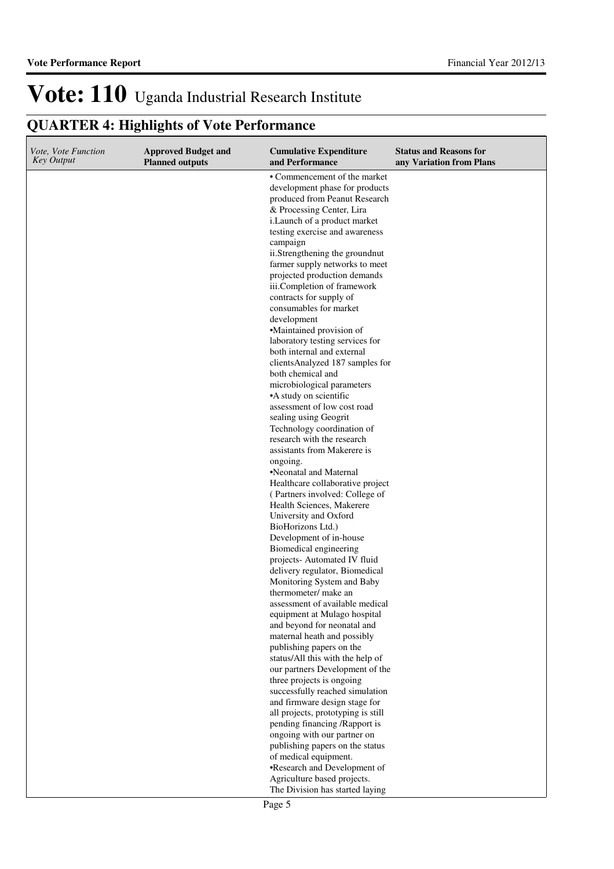| Vote, Vote Function<br><b>Key Output</b> | <b>Approved Budget and</b><br><b>Planned outputs</b> | <b>Cumulative Expenditure</b><br>and Performance                                                | <b>Status and Reasons for</b><br>any Variation from Plans |
|------------------------------------------|------------------------------------------------------|-------------------------------------------------------------------------------------------------|-----------------------------------------------------------|
|                                          |                                                      | • Commencement of the market<br>development phase for products<br>produced from Peanut Research |                                                           |
|                                          |                                                      | & Processing Center, Lira                                                                       |                                                           |
|                                          |                                                      | i.Launch of a product market<br>testing exercise and awareness                                  |                                                           |
|                                          |                                                      | campaign                                                                                        |                                                           |
|                                          |                                                      | ii.Strengthening the groundnut                                                                  |                                                           |
|                                          |                                                      | farmer supply networks to meet<br>projected production demands                                  |                                                           |
|                                          |                                                      | iii.Completion of framework                                                                     |                                                           |
|                                          |                                                      | contracts for supply of                                                                         |                                                           |
|                                          |                                                      | consumables for market<br>development                                                           |                                                           |
|                                          |                                                      | •Maintained provision of                                                                        |                                                           |
|                                          |                                                      | laboratory testing services for                                                                 |                                                           |
|                                          |                                                      | both internal and external                                                                      |                                                           |
|                                          |                                                      | clientsAnalyzed 187 samples for<br>both chemical and                                            |                                                           |
|                                          |                                                      | microbiological parameters                                                                      |                                                           |
|                                          |                                                      | •A study on scientific                                                                          |                                                           |
|                                          |                                                      | assessment of low cost road                                                                     |                                                           |
|                                          |                                                      | sealing using Geogrit<br>Technology coordination of                                             |                                                           |
|                                          |                                                      | research with the research                                                                      |                                                           |
|                                          |                                                      | assistants from Makerere is                                                                     |                                                           |
|                                          |                                                      | ongoing.                                                                                        |                                                           |
|                                          |                                                      | •Neonatal and Maternal<br>Healthcare collaborative project                                      |                                                           |
|                                          |                                                      | (Partners involved: College of                                                                  |                                                           |
|                                          |                                                      | Health Sciences, Makerere                                                                       |                                                           |
|                                          |                                                      | University and Oxford                                                                           |                                                           |
|                                          |                                                      | BioHorizons Ltd.)<br>Development of in-house                                                    |                                                           |
|                                          |                                                      | Biomedical engineering                                                                          |                                                           |
|                                          |                                                      | projects- Automated IV fluid                                                                    |                                                           |
|                                          |                                                      | delivery regulator, Biomedical                                                                  |                                                           |
|                                          |                                                      | Monitoring System and Baby<br>thermometer/ make an                                              |                                                           |
|                                          |                                                      | assessment of available medical                                                                 |                                                           |
|                                          |                                                      | equipment at Mulago hospital                                                                    |                                                           |
|                                          |                                                      | and beyond for neonatal and                                                                     |                                                           |
|                                          |                                                      | maternal heath and possibly<br>publishing papers on the                                         |                                                           |
|                                          |                                                      | status/All this with the help of                                                                |                                                           |
|                                          |                                                      | our partners Development of the                                                                 |                                                           |
|                                          |                                                      | three projects is ongoing                                                                       |                                                           |
|                                          |                                                      | successfully reached simulation<br>and firmware design stage for                                |                                                           |
|                                          |                                                      | all projects, prototyping is still                                                              |                                                           |
|                                          |                                                      | pending financing /Rapport is                                                                   |                                                           |
|                                          |                                                      | ongoing with our partner on<br>publishing papers on the status                                  |                                                           |
|                                          |                                                      | of medical equipment.                                                                           |                                                           |
|                                          |                                                      | •Research and Development of                                                                    |                                                           |
|                                          |                                                      | Agriculture based projects.                                                                     |                                                           |
|                                          |                                                      | The Division has started laying                                                                 |                                                           |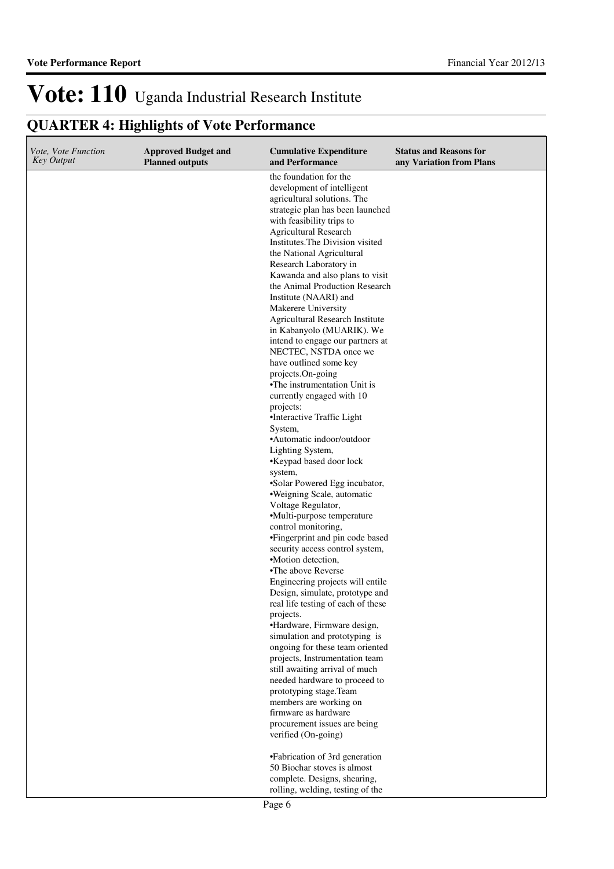| Vote, Vote Function<br>Key Output | <b>Approved Budget and</b><br><b>Planned outputs</b> | <b>Cumulative Expenditure</b><br>and Performance                                                                                                                                                                                                                                                                                                                                                                                                                                                                                                                                                                                                                                                                                                                                                                                                                                                                                                                                                                                                                                                                                                                                                                                                                                                                                                               | <b>Status and Reasons for</b><br>any Variation from Plans |
|-----------------------------------|------------------------------------------------------|----------------------------------------------------------------------------------------------------------------------------------------------------------------------------------------------------------------------------------------------------------------------------------------------------------------------------------------------------------------------------------------------------------------------------------------------------------------------------------------------------------------------------------------------------------------------------------------------------------------------------------------------------------------------------------------------------------------------------------------------------------------------------------------------------------------------------------------------------------------------------------------------------------------------------------------------------------------------------------------------------------------------------------------------------------------------------------------------------------------------------------------------------------------------------------------------------------------------------------------------------------------------------------------------------------------------------------------------------------------|-----------------------------------------------------------|
|                                   |                                                      | the foundation for the<br>development of intelligent<br>agricultural solutions. The<br>strategic plan has been launched<br>with feasibility trips to<br><b>Agricultural Research</b><br>Institutes. The Division visited<br>the National Agricultural<br>Research Laboratory in<br>Kawanda and also plans to visit<br>the Animal Production Research<br>Institute (NAARI) and<br>Makerere University<br><b>Agricultural Research Institute</b><br>in Kabanyolo (MUARIK). We<br>intend to engage our partners at<br>NECTEC, NSTDA once we<br>have outlined some key<br>projects.On-going<br>•The instrumentation Unit is<br>currently engaged with 10<br>projects:<br>•Interactive Traffic Light<br>System.<br>•Automatic indoor/outdoor<br>Lighting System,<br>•Keypad based door lock<br>system,<br>•Solar Powered Egg incubator,<br>·Weigning Scale, automatic<br>Voltage Regulator,<br>•Multi-purpose temperature<br>control monitoring,<br>•Fingerprint and pin code based<br>security access control system,<br>•Motion detection.<br>•The above Reverse<br>Engineering projects will entile<br>Design, simulate, prototype and<br>real life testing of each of these<br>projects.<br>•Hardware, Firmware design,<br>simulation and prototyping is<br>ongoing for these team oriented<br>projects, Instrumentation team<br>still awaiting arrival of much |                                                           |
|                                   |                                                      | needed hardware to proceed to<br>prototyping stage.Team                                                                                                                                                                                                                                                                                                                                                                                                                                                                                                                                                                                                                                                                                                                                                                                                                                                                                                                                                                                                                                                                                                                                                                                                                                                                                                        |                                                           |
|                                   |                                                      | members are working on<br>firmware as hardware                                                                                                                                                                                                                                                                                                                                                                                                                                                                                                                                                                                                                                                                                                                                                                                                                                                                                                                                                                                                                                                                                                                                                                                                                                                                                                                 |                                                           |
|                                   |                                                      | procurement issues are being<br>verified (On-going)                                                                                                                                                                                                                                                                                                                                                                                                                                                                                                                                                                                                                                                                                                                                                                                                                                                                                                                                                                                                                                                                                                                                                                                                                                                                                                            |                                                           |
|                                   |                                                      | •Fabrication of 3rd generation<br>50 Biochar stoves is almost<br>complete. Designs, shearing,<br>rolling, welding, testing of the                                                                                                                                                                                                                                                                                                                                                                                                                                                                                                                                                                                                                                                                                                                                                                                                                                                                                                                                                                                                                                                                                                                                                                                                                              |                                                           |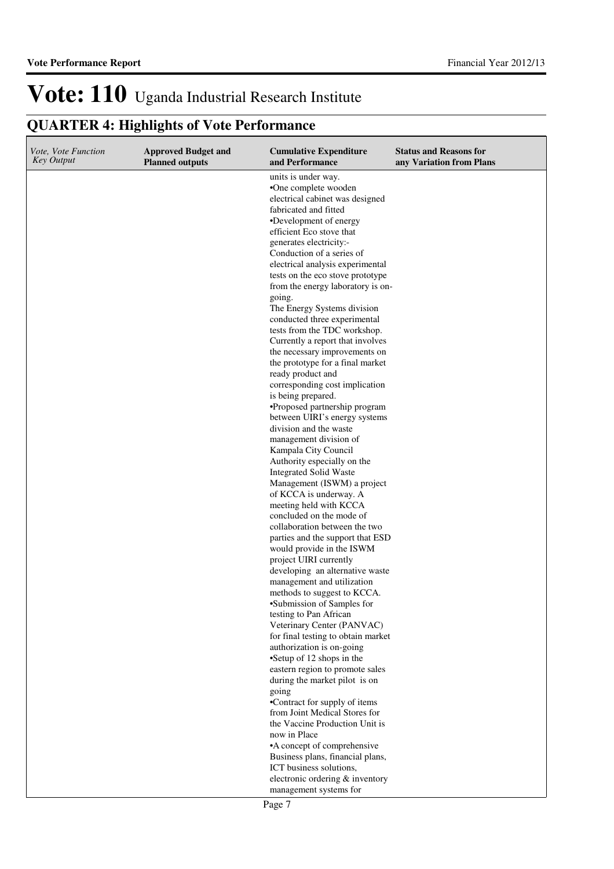| Vote, Vote Function<br><b>Key Output</b> | <b>Approved Budget and</b><br><b>Planned outputs</b> | <b>Cumulative Expenditure</b><br>and Performance                                                                                                                                                                                                                                                                                                                                                                                                                                                                                                                                                                                                                                                                              | <b>Status and Reasons for</b><br>any Variation from Plans |
|------------------------------------------|------------------------------------------------------|-------------------------------------------------------------------------------------------------------------------------------------------------------------------------------------------------------------------------------------------------------------------------------------------------------------------------------------------------------------------------------------------------------------------------------------------------------------------------------------------------------------------------------------------------------------------------------------------------------------------------------------------------------------------------------------------------------------------------------|-----------------------------------------------------------|
|                                          |                                                      | units is under way.<br>•One complete wooden<br>electrical cabinet was designed<br>fabricated and fitted<br>•Development of energy<br>efficient Eco stove that<br>generates electricity:-<br>Conduction of a series of<br>electrical analysis experimental<br>tests on the eco stove prototype<br>from the energy laboratory is on-<br>going.<br>The Energy Systems division<br>conducted three experimental<br>tests from the TDC workshop.<br>Currently a report that involves<br>the necessary improvements on<br>the prototype for a final market<br>ready product and<br>corresponding cost implication<br>is being prepared.<br>·Proposed partnership program<br>between UIRI's energy systems<br>division and the waste |                                                           |
|                                          |                                                      | management division of<br>Kampala City Council<br>Authority especially on the                                                                                                                                                                                                                                                                                                                                                                                                                                                                                                                                                                                                                                                 |                                                           |
|                                          |                                                      | <b>Integrated Solid Waste</b><br>Management (ISWM) a project<br>of KCCA is underway. A<br>meeting held with KCCA                                                                                                                                                                                                                                                                                                                                                                                                                                                                                                                                                                                                              |                                                           |
|                                          |                                                      | concluded on the mode of<br>collaboration between the two<br>parties and the support that ESD<br>would provide in the ISWM                                                                                                                                                                                                                                                                                                                                                                                                                                                                                                                                                                                                    |                                                           |
|                                          |                                                      | project UIRI currently<br>developing an alternative waste<br>management and utilization<br>methods to suggest to KCCA.                                                                                                                                                                                                                                                                                                                                                                                                                                                                                                                                                                                                        |                                                           |
|                                          |                                                      | •Submission of Samples for<br>testing to Pan African<br>Veterinary Center (PANVAC)<br>for final testing to obtain market<br>authorization is on-going                                                                                                                                                                                                                                                                                                                                                                                                                                                                                                                                                                         |                                                           |
|                                          |                                                      | •Setup of 12 shops in the<br>eastern region to promote sales<br>during the market pilot is on                                                                                                                                                                                                                                                                                                                                                                                                                                                                                                                                                                                                                                 |                                                           |
|                                          |                                                      | going<br>•Contract for supply of items<br>from Joint Medical Stores for                                                                                                                                                                                                                                                                                                                                                                                                                                                                                                                                                                                                                                                       |                                                           |
|                                          |                                                      | the Vaccine Production Unit is<br>now in Place<br>•A concept of comprehensive<br>Business plans, financial plans,                                                                                                                                                                                                                                                                                                                                                                                                                                                                                                                                                                                                             |                                                           |
|                                          |                                                      | ICT business solutions,<br>electronic ordering & inventory<br>management systems for                                                                                                                                                                                                                                                                                                                                                                                                                                                                                                                                                                                                                                          |                                                           |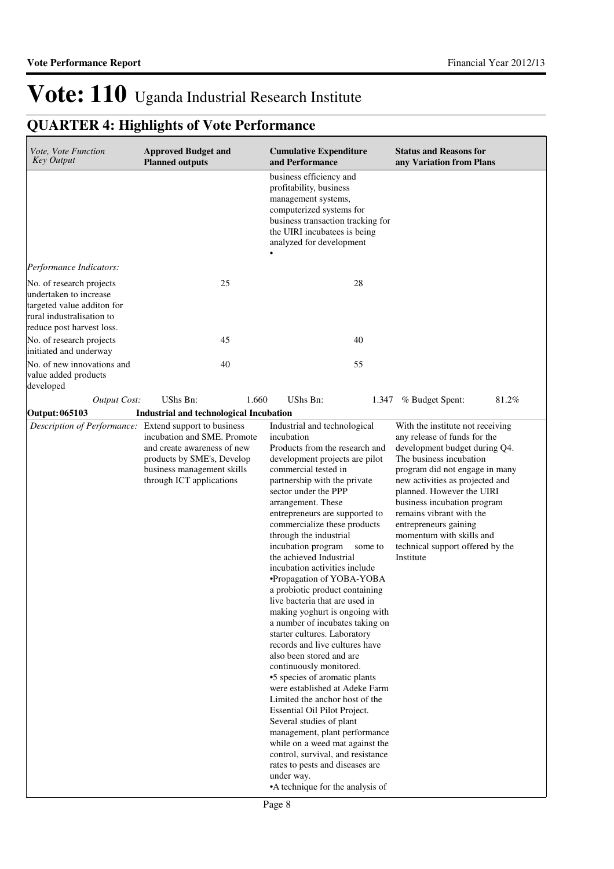| Vote, Vote Function<br><b>Key Output</b>                                                                                                   | <b>Approved Budget and</b><br><b>Planned outputs</b>                                                                                               | <b>Cumulative Expenditure</b><br>and Performance                                                                                                                                                                                                                                                                                                                                                                                                                                                                                                                                                                                                                                                                                                                                                                                                                                                                                                                                                                          | <b>Status and Reasons for</b><br>any Variation from Plans                                                                                                                                                                                                                                                                                                                                       |
|--------------------------------------------------------------------------------------------------------------------------------------------|----------------------------------------------------------------------------------------------------------------------------------------------------|---------------------------------------------------------------------------------------------------------------------------------------------------------------------------------------------------------------------------------------------------------------------------------------------------------------------------------------------------------------------------------------------------------------------------------------------------------------------------------------------------------------------------------------------------------------------------------------------------------------------------------------------------------------------------------------------------------------------------------------------------------------------------------------------------------------------------------------------------------------------------------------------------------------------------------------------------------------------------------------------------------------------------|-------------------------------------------------------------------------------------------------------------------------------------------------------------------------------------------------------------------------------------------------------------------------------------------------------------------------------------------------------------------------------------------------|
|                                                                                                                                            |                                                                                                                                                    | business efficiency and<br>profitability, business<br>management systems,<br>computerized systems for<br>business transaction tracking for<br>the UIRI incubatees is being<br>analyzed for development                                                                                                                                                                                                                                                                                                                                                                                                                                                                                                                                                                                                                                                                                                                                                                                                                    |                                                                                                                                                                                                                                                                                                                                                                                                 |
| Performance Indicators:                                                                                                                    |                                                                                                                                                    |                                                                                                                                                                                                                                                                                                                                                                                                                                                                                                                                                                                                                                                                                                                                                                                                                                                                                                                                                                                                                           |                                                                                                                                                                                                                                                                                                                                                                                                 |
| No. of research projects<br>undertaken to increase<br>targeted value additon for<br>rural industralisation to<br>reduce post harvest loss. | 25                                                                                                                                                 | 28                                                                                                                                                                                                                                                                                                                                                                                                                                                                                                                                                                                                                                                                                                                                                                                                                                                                                                                                                                                                                        |                                                                                                                                                                                                                                                                                                                                                                                                 |
| No. of research projects<br>initiated and underway                                                                                         | 45                                                                                                                                                 | 40                                                                                                                                                                                                                                                                                                                                                                                                                                                                                                                                                                                                                                                                                                                                                                                                                                                                                                                                                                                                                        |                                                                                                                                                                                                                                                                                                                                                                                                 |
| No. of new innovations and<br>value added products<br>developed                                                                            | 40                                                                                                                                                 | 55                                                                                                                                                                                                                                                                                                                                                                                                                                                                                                                                                                                                                                                                                                                                                                                                                                                                                                                                                                                                                        |                                                                                                                                                                                                                                                                                                                                                                                                 |
| <b>Output Cost:</b>                                                                                                                        | <b>UShs Bn:</b><br>1.660                                                                                                                           | UShs Bn:<br>1.347                                                                                                                                                                                                                                                                                                                                                                                                                                                                                                                                                                                                                                                                                                                                                                                                                                                                                                                                                                                                         | 81.2%<br>% Budget Spent:                                                                                                                                                                                                                                                                                                                                                                        |
| Output: 065103                                                                                                                             | <b>Industrial and technological Incubation</b>                                                                                                     |                                                                                                                                                                                                                                                                                                                                                                                                                                                                                                                                                                                                                                                                                                                                                                                                                                                                                                                                                                                                                           |                                                                                                                                                                                                                                                                                                                                                                                                 |
| Description of Performance: Extend support to business                                                                                     | incubation and SME. Promote<br>and create awareness of new<br>products by SME's, Develop<br>business management skills<br>through ICT applications | Industrial and technological<br>incubation<br>Products from the research and<br>development projects are pilot<br>commercial tested in<br>partnership with the private<br>sector under the PPP<br>arrangement. These<br>entrepreneurs are supported to<br>commercialize these products<br>through the industrial<br>incubation program<br>some to<br>the achieved Industrial<br>incubation activities include<br>•Propagation of YOBA-YOBA<br>a probiotic product containing<br>live bacteria that are used in<br>making yoghurt is ongoing with<br>a number of incubates taking on<br>starter cultures. Laboratory<br>records and live cultures have<br>also been stored and are<br>continuously monitored.<br>•5 species of aromatic plants<br>were established at Adeke Farm<br>Limited the anchor host of the<br>Essential Oil Pilot Project.<br>Several studies of plant<br>management, plant performance<br>while on a weed mat against the<br>control, survival, and resistance<br>rates to pests and diseases are | With the institute not receiving<br>any release of funds for the<br>development budget during Q4.<br>The business incubation<br>program did not engage in many<br>new activities as projected and<br>planned. However the UIRI<br>business incubation program<br>remains vibrant with the<br>entrepreneurs gaining<br>momentum with skills and<br>technical support offered by the<br>Institute |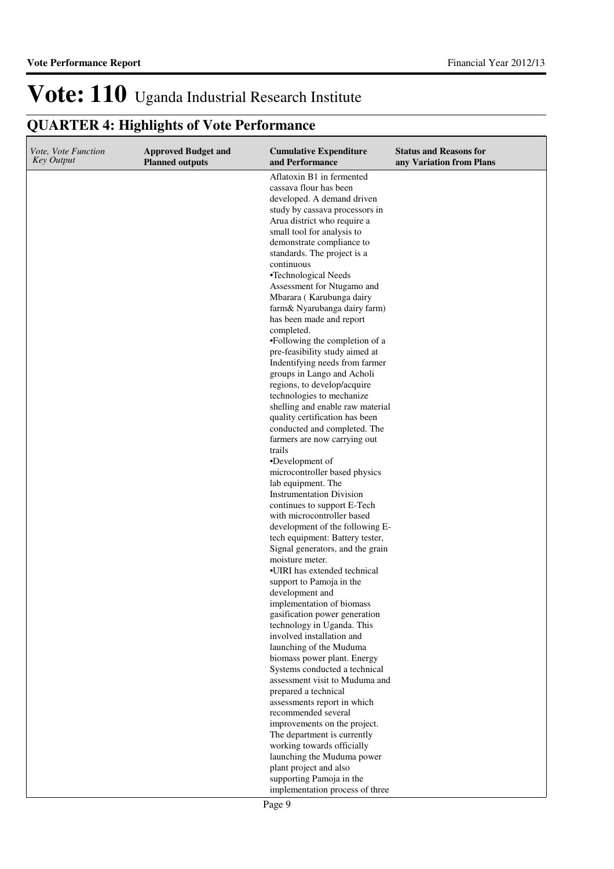| Vote, Vote Function<br>Key Output | <b>Approved Budget and</b><br><b>Planned outputs</b> | <b>Cumulative Expenditure</b><br>and Performance                                                                                                                                                                                                                                                                                                                                                                                                                                                                                                                                                                                                                                                                                                                                                                                                                                                                                                                                                                                                                                                              | <b>Status and Reasons for</b><br>any Variation from Plans |
|-----------------------------------|------------------------------------------------------|---------------------------------------------------------------------------------------------------------------------------------------------------------------------------------------------------------------------------------------------------------------------------------------------------------------------------------------------------------------------------------------------------------------------------------------------------------------------------------------------------------------------------------------------------------------------------------------------------------------------------------------------------------------------------------------------------------------------------------------------------------------------------------------------------------------------------------------------------------------------------------------------------------------------------------------------------------------------------------------------------------------------------------------------------------------------------------------------------------------|-----------------------------------------------------------|
|                                   |                                                      | Aflatoxin B1 in fermented<br>cassava flour has been<br>developed. A demand driven<br>study by cassava processors in<br>Arua district who require a<br>small tool for analysis to<br>demonstrate compliance to<br>standards. The project is a<br>continuous<br>•Technological Needs<br>Assessment for Ntugamo and<br>Mbarara (Karubunga dairy<br>farm& Nyarubanga dairy farm)<br>has been made and report<br>completed.<br>•Following the completion of a<br>pre-feasibility study aimed at<br>Indentifying needs from farmer<br>groups in Lango and Acholi<br>regions, to develop/acquire<br>technologies to mechanize<br>shelling and enable raw material<br>quality certification has been<br>conducted and completed. The<br>farmers are now carrying out<br>trails<br>•Development of<br>microcontroller based physics<br>lab equipment. The<br><b>Instrumentation Division</b><br>continues to support E-Tech<br>with microcontroller based<br>development of the following E-<br>tech equipment: Battery tester,<br>Signal generators, and the grain<br>moisture meter.<br>•UIRI has extended technical |                                                           |
|                                   |                                                      | support to Pamoja in the<br>development and<br>implementation of biomass<br>gasification power generation<br>technology in Uganda. This                                                                                                                                                                                                                                                                                                                                                                                                                                                                                                                                                                                                                                                                                                                                                                                                                                                                                                                                                                       |                                                           |
|                                   |                                                      | involved installation and<br>launching of the Muduma<br>biomass power plant. Energy<br>Systems conducted a technical                                                                                                                                                                                                                                                                                                                                                                                                                                                                                                                                                                                                                                                                                                                                                                                                                                                                                                                                                                                          |                                                           |
|                                   |                                                      | assessment visit to Muduma and<br>prepared a technical<br>assessments report in which<br>recommended several                                                                                                                                                                                                                                                                                                                                                                                                                                                                                                                                                                                                                                                                                                                                                                                                                                                                                                                                                                                                  |                                                           |
|                                   |                                                      | improvements on the project.<br>The department is currently<br>working towards officially<br>launching the Muduma power<br>plant project and also                                                                                                                                                                                                                                                                                                                                                                                                                                                                                                                                                                                                                                                                                                                                                                                                                                                                                                                                                             |                                                           |
|                                   |                                                      | supporting Pamoja in the<br>implementation process of three                                                                                                                                                                                                                                                                                                                                                                                                                                                                                                                                                                                                                                                                                                                                                                                                                                                                                                                                                                                                                                                   |                                                           |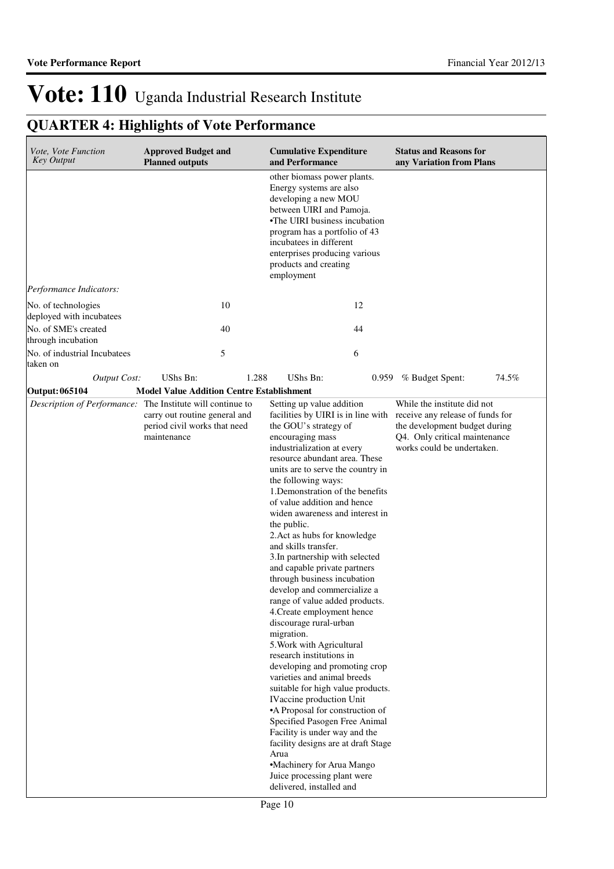| Vote, Vote Function<br>Key Output                          | <b>Approved Budget and</b><br><b>Planned outputs</b>                         | <b>Cumulative Expenditure</b><br>and Performance                                                                                                                                                                                                                                                                                                                                                                                                                                                                                                                                                                                                                                                                                                                                                                                                                                                                                                                                                                                                                     | <b>Status and Reasons for</b><br>any Variation from Plans                                                                                                                                          |
|------------------------------------------------------------|------------------------------------------------------------------------------|----------------------------------------------------------------------------------------------------------------------------------------------------------------------------------------------------------------------------------------------------------------------------------------------------------------------------------------------------------------------------------------------------------------------------------------------------------------------------------------------------------------------------------------------------------------------------------------------------------------------------------------------------------------------------------------------------------------------------------------------------------------------------------------------------------------------------------------------------------------------------------------------------------------------------------------------------------------------------------------------------------------------------------------------------------------------|----------------------------------------------------------------------------------------------------------------------------------------------------------------------------------------------------|
|                                                            |                                                                              | other biomass power plants.<br>Energy systems are also<br>developing a new MOU<br>between UIRI and Pamoja.<br>•The UIRI business incubation<br>program has a portfolio of 43<br>incubatees in different<br>enterprises producing various<br>products and creating<br>employment                                                                                                                                                                                                                                                                                                                                                                                                                                                                                                                                                                                                                                                                                                                                                                                      |                                                                                                                                                                                                    |
| Performance Indicators:                                    |                                                                              |                                                                                                                                                                                                                                                                                                                                                                                                                                                                                                                                                                                                                                                                                                                                                                                                                                                                                                                                                                                                                                                                      |                                                                                                                                                                                                    |
| No. of technologies<br>deployed with incubatees            | 10                                                                           | 12                                                                                                                                                                                                                                                                                                                                                                                                                                                                                                                                                                                                                                                                                                                                                                                                                                                                                                                                                                                                                                                                   |                                                                                                                                                                                                    |
| No. of SME's created<br>through incubation                 | 40                                                                           | 44                                                                                                                                                                                                                                                                                                                                                                                                                                                                                                                                                                                                                                                                                                                                                                                                                                                                                                                                                                                                                                                                   |                                                                                                                                                                                                    |
| No. of industrial Incubatees<br>taken on                   | 5                                                                            | 6                                                                                                                                                                                                                                                                                                                                                                                                                                                                                                                                                                                                                                                                                                                                                                                                                                                                                                                                                                                                                                                                    |                                                                                                                                                                                                    |
| <b>Output Cost:</b>                                        | UShs Bn:                                                                     | 1.288<br>UShs Bn:                                                                                                                                                                                                                                                                                                                                                                                                                                                                                                                                                                                                                                                                                                                                                                                                                                                                                                                                                                                                                                                    | 74.5%<br>% Budget Spent:<br>0.959                                                                                                                                                                  |
| Output: 065104                                             | <b>Model Value Addition Centre Establishment</b>                             |                                                                                                                                                                                                                                                                                                                                                                                                                                                                                                                                                                                                                                                                                                                                                                                                                                                                                                                                                                                                                                                                      |                                                                                                                                                                                                    |
| Description of Performance: The Institute will continue to | carry out routine general and<br>period civil works that need<br>maintenance | Setting up value addition<br>the GOU's strategy of<br>encouraging mass<br>industrialization at every<br>resource abundant area. These<br>units are to serve the country in<br>the following ways:<br>1. Demonstration of the benefits<br>of value addition and hence<br>widen awareness and interest in<br>the public.<br>2. Act as hubs for knowledge<br>and skills transfer.<br>3. In partnership with selected<br>and capable private partners<br>through business incubation<br>develop and commercialize a<br>range of value added products.<br>4. Create employment hence<br>discourage rural-urban<br>migration.<br>5. Work with Agricultural<br>research institutions in<br>developing and promoting crop<br>varieties and animal breeds<br>suitable for high value products.<br><b>IVaccine</b> production Unit<br>•A Proposal for construction of<br>Specified Pasogen Free Animal<br>Facility is under way and the<br>facility designs are at draft Stage<br>Arua<br>•Machinery for Arua Mango<br>Juice processing plant were<br>delivered, installed and | While the institute did not<br>facilities by UIRI is in line with receive any release of funds for<br>the development budget during<br>Q4. Only critical maintenance<br>works could be undertaken. |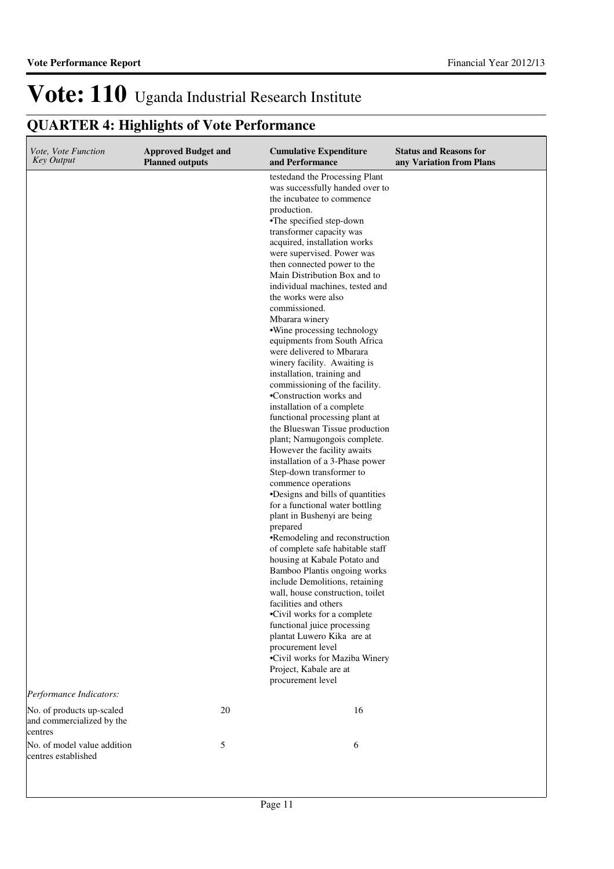| Vote, Vote Function<br><b>Key Output</b>                          | <b>Approved Budget and</b><br><b>Planned outputs</b> | <b>Cumulative Expenditure</b><br>and Performance                                                                                                                                                                                                                                                                                                                                                                                                                                                                                                                                                                                                                                                                                                                                                                                                                                                                                                                                                                                                                                                                                                                                                                                                                                                                                                                                                                                      | <b>Status and Reasons for</b><br>any Variation from Plans |
|-------------------------------------------------------------------|------------------------------------------------------|---------------------------------------------------------------------------------------------------------------------------------------------------------------------------------------------------------------------------------------------------------------------------------------------------------------------------------------------------------------------------------------------------------------------------------------------------------------------------------------------------------------------------------------------------------------------------------------------------------------------------------------------------------------------------------------------------------------------------------------------------------------------------------------------------------------------------------------------------------------------------------------------------------------------------------------------------------------------------------------------------------------------------------------------------------------------------------------------------------------------------------------------------------------------------------------------------------------------------------------------------------------------------------------------------------------------------------------------------------------------------------------------------------------------------------------|-----------------------------------------------------------|
|                                                                   |                                                      | testedand the Processing Plant<br>was successfully handed over to<br>the incubate to commence<br>production.<br>•The specified step-down<br>transformer capacity was<br>acquired, installation works<br>were supervised. Power was<br>then connected power to the<br>Main Distribution Box and to<br>individual machines, tested and<br>the works were also<br>commissioned.<br>Mbarara winery<br>•Wine processing technology<br>equipments from South Africa<br>were delivered to Mbarara<br>winery facility. Awaiting is<br>installation, training and<br>commissioning of the facility.<br>•Construction works and<br>installation of a complete<br>functional processing plant at<br>the Blueswan Tissue production<br>plant; Namugongois complete.<br>However the facility awaits<br>installation of a 3-Phase power<br>Step-down transformer to<br>commence operations<br>•Designs and bills of quantities<br>for a functional water bottling<br>plant in Bushenyi are being<br>prepared<br>•Remodeling and reconstruction<br>of complete safe habitable staff<br>housing at Kabale Potato and<br>Bamboo Plantis ongoing works<br>include Demolitions, retaining<br>wall, house construction, toilet<br>facilities and others<br>•Civil works for a complete<br>functional juice processing<br>plantat Luwero Kika are at<br>procurement level<br>•Civil works for Maziba Winery<br>Project, Kabale are at<br>procurement level |                                                           |
| Performance Indicators:                                           |                                                      |                                                                                                                                                                                                                                                                                                                                                                                                                                                                                                                                                                                                                                                                                                                                                                                                                                                                                                                                                                                                                                                                                                                                                                                                                                                                                                                                                                                                                                       |                                                           |
| No. of products up-scaled<br>and commercialized by the<br>centres | 20                                                   | 16                                                                                                                                                                                                                                                                                                                                                                                                                                                                                                                                                                                                                                                                                                                                                                                                                                                                                                                                                                                                                                                                                                                                                                                                                                                                                                                                                                                                                                    |                                                           |
| No. of model value addition<br>centres established                | $\mathfrak{S}$                                       | 6                                                                                                                                                                                                                                                                                                                                                                                                                                                                                                                                                                                                                                                                                                                                                                                                                                                                                                                                                                                                                                                                                                                                                                                                                                                                                                                                                                                                                                     |                                                           |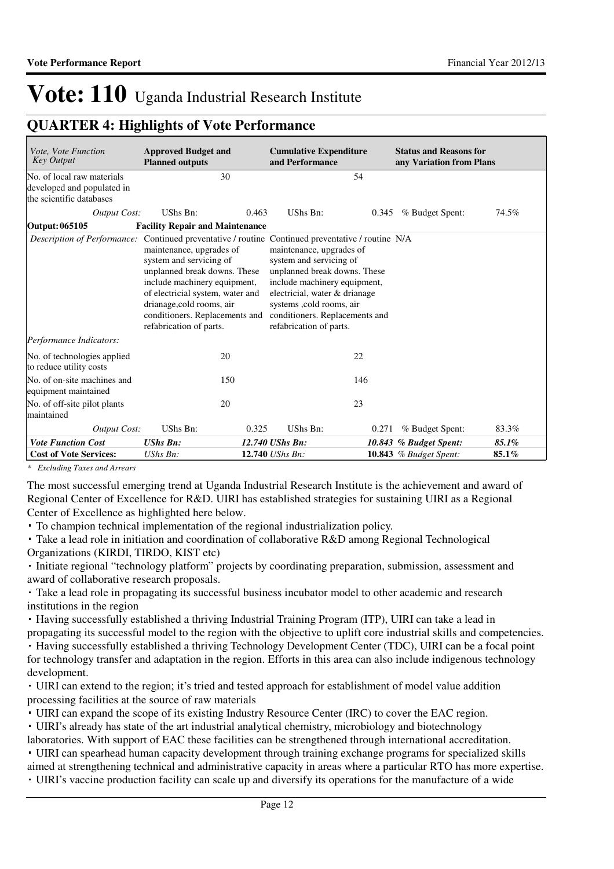### **QUARTER 4: Highlights of Vote Performance**

| Vote, Vote Function<br><b>Key Output</b>                                             | <b>Approved Budget and</b><br><b>Planned outputs</b>                                                                                                                                                                                              | <b>Cumulative Expenditure</b><br>and Performance                                                                                                                                                                                                                                                                                                           | <b>Status and Reasons for</b><br>any Variation from Plans |
|--------------------------------------------------------------------------------------|---------------------------------------------------------------------------------------------------------------------------------------------------------------------------------------------------------------------------------------------------|------------------------------------------------------------------------------------------------------------------------------------------------------------------------------------------------------------------------------------------------------------------------------------------------------------------------------------------------------------|-----------------------------------------------------------|
| No. of local raw materials<br>developed and populated in<br>the scientific databases | 30                                                                                                                                                                                                                                                | 54                                                                                                                                                                                                                                                                                                                                                         |                                                           |
| Output Cost:                                                                         | UShs Bn:<br>0.463                                                                                                                                                                                                                                 | UShs Bn:                                                                                                                                                                                                                                                                                                                                                   | % Budget Spent:<br>74.5%<br>0.345                         |
| Output: 065105                                                                       | <b>Facility Repair and Maintenance</b>                                                                                                                                                                                                            |                                                                                                                                                                                                                                                                                                                                                            |                                                           |
|                                                                                      | maintenance, upgrades of<br>system and servicing of<br>unplanned break downs. These<br>include machinery equipment,<br>of electricial system, water and<br>drianage, cold rooms, air<br>conditioners. Replacements and<br>refabrication of parts. | <i>Description of Performance:</i> Continued preventative / routine Continued preventative / routine N/A<br>maintenance, upgrades of<br>system and servicing of<br>unplanned break downs. These<br>include machinery equipment,<br>electricial, water & drianage<br>systems , cold rooms, air<br>conditioners. Replacements and<br>refabrication of parts. |                                                           |
| Performance Indicators:                                                              |                                                                                                                                                                                                                                                   |                                                                                                                                                                                                                                                                                                                                                            |                                                           |
| No. of technologies applied<br>to reduce utility costs                               | 20                                                                                                                                                                                                                                                | 22                                                                                                                                                                                                                                                                                                                                                         |                                                           |
| No. of on-site machines and<br>equipment maintained                                  | 150                                                                                                                                                                                                                                               | 146                                                                                                                                                                                                                                                                                                                                                        |                                                           |
| No. of off-site pilot plants                                                         | 20                                                                                                                                                                                                                                                | 23                                                                                                                                                                                                                                                                                                                                                         |                                                           |
| maintained                                                                           |                                                                                                                                                                                                                                                   |                                                                                                                                                                                                                                                                                                                                                            |                                                           |
| <b>Output Cost:</b>                                                                  | UShs Bn:<br>0.325                                                                                                                                                                                                                                 | UShs Bn:                                                                                                                                                                                                                                                                                                                                                   | % Budget Spent:<br>83.3%<br>0.271                         |
| <b>Vote Function Cost</b>                                                            | <b>UShs Bn:</b>                                                                                                                                                                                                                                   | 12.740 UShs Bn:                                                                                                                                                                                                                                                                                                                                            | 85.1%<br>10.843 % Budget Spent:                           |
| <b>Cost of Vote Services:</b>                                                        | UShs Bn:                                                                                                                                                                                                                                          | 12.740 UShs Bn:                                                                                                                                                                                                                                                                                                                                            | 10.843 % Budget Spent:<br>85.1%                           |

*\* Excluding Taxes and Arrears*

The most successful emerging trend at Uganda Industrial Research Institute is the achievement and award of Regional Center of Excellence for R&D. UIRI has established strategies for sustaining UIRI as a Regional Center of Excellence as highlighted here below.

To champion technical implementation of the regional industrialization policy.

 Take a lead role in initiation and coordination of collaborative R&D among Regional Technological Organizations (KIRDI, TIRDO, KIST etc)

 Initiate regional "technology platform" projects by coordinating preparation, submission, assessment and award of collaborative research proposals.

 Take a lead role in propagating its successful business incubator model to other academic and research institutions in the region

 Having successfully established a thriving Industrial Training Program (ITP), UIRI can take a lead in propagating its successful model to the region with the objective to uplift core industrial skills and competencies.

 Having successfully established a thriving Technology Development Center (TDC), UIRI can be a focal point for technology transfer and adaptation in the region. Efforts in this area can also include indigenous technology development.

 UIRI can extend to the region; it's tried and tested approach for establishment of model value addition processing facilities at the source of raw materials

UIRI can expand the scope of its existing Industry Resource Center (IRC) to cover the EAC region.

UIRI's already has state of the art industrial analytical chemistry, microbiology and biotechnology

laboratories. With support of EAC these facilities can be strengthened through international accreditation. UIRI can spearhead human capacity development through training exchange programs for specialized skills

aimed at strengthening technical and administrative capacity in areas where a particular RTO has more expertise.

UIRI's vaccine production facility can scale up and diversify its operations for the manufacture of a wide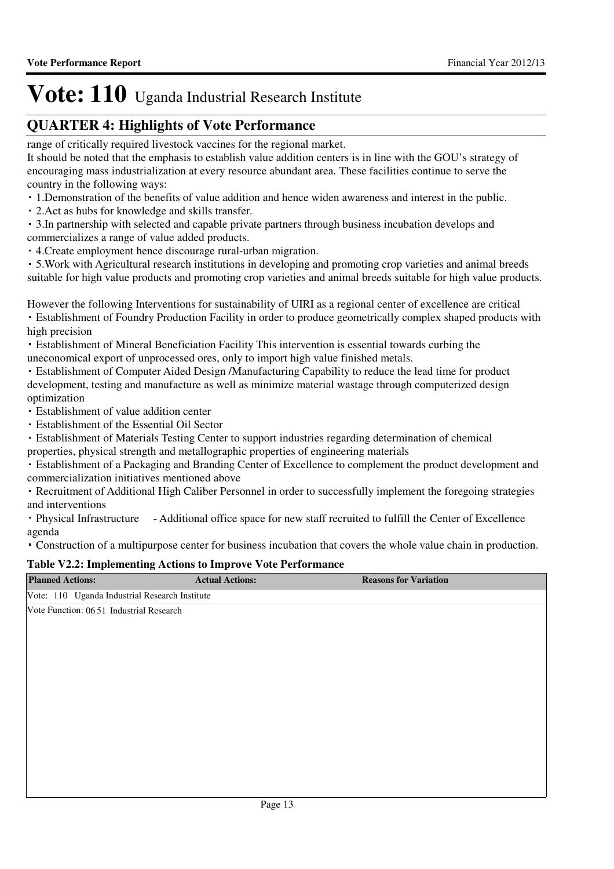### **QUARTER 4: Highlights of Vote Performance**

range of critically required livestock vaccines for the regional market.

It should be noted that the emphasis to establish value addition centers is in line with the GOU's strategy of encouraging mass industrialization at every resource abundant area. These facilities continue to serve the country in the following ways:

- 1.Demonstration of the benefits of value addition and hence widen awareness and interest in the public.
- 2.Act as hubs for knowledge and skills transfer.

 3.In partnership with selected and capable private partners through business incubation develops and commercializes a range of value added products.

4.Create employment hence discourage rural-urban migration.

 5.Work with Agricultural research institutions in developing and promoting crop varieties and animal breeds suitable for high value products and promoting crop varieties and animal breeds suitable for high value products.

However the following Interventions for sustainability of UIRI as a regional center of excellence are critical

- Establishment of Foundry Production Facility in order to produce geometrically complex shaped products with high precision
- Establishment of Mineral Beneficiation Facility This intervention is essential towards curbing the uneconomical export of unprocessed ores, only to import high value finished metals.
- Establishment of Computer Aided Design /Manufacturing Capability to reduce the lead time for product development, testing and manufacture as well as minimize material wastage through computerized design optimization
- Establishment of value addition center
- Establishment of the Essential Oil Sector
- Establishment of Materials Testing Center to support industries regarding determination of chemical
- properties, physical strength and metallographic properties of engineering materials

 Establishment of a Packaging and Branding Center of Excellence to complement the product development and commercialization initiatives mentioned above

 Recruitment of Additional High Caliber Personnel in order to successfully implement the foregoing strategies and interventions

 Physical Infrastructure - Additional office space for new staff recruited to fulfill the Center of Excellence agenda

Construction of a multipurpose center for business incubation that covers the whole value chain in production.

#### **Table V2.2: Implementing Actions to Improve Vote Performance**

| <b>Planned Actions:</b>                        | <b>Actual Actions:</b> | <b>Reasons for Variation</b> |
|------------------------------------------------|------------------------|------------------------------|
| Vote: 110 Uganda Industrial Research Institute |                        |                              |
| Vote Function: 06 51 Industrial Research       |                        |                              |
|                                                |                        |                              |
|                                                |                        |                              |
|                                                |                        |                              |
|                                                |                        |                              |
|                                                |                        |                              |
|                                                |                        |                              |
|                                                |                        |                              |
|                                                |                        |                              |
|                                                |                        |                              |
|                                                |                        |                              |
|                                                |                        |                              |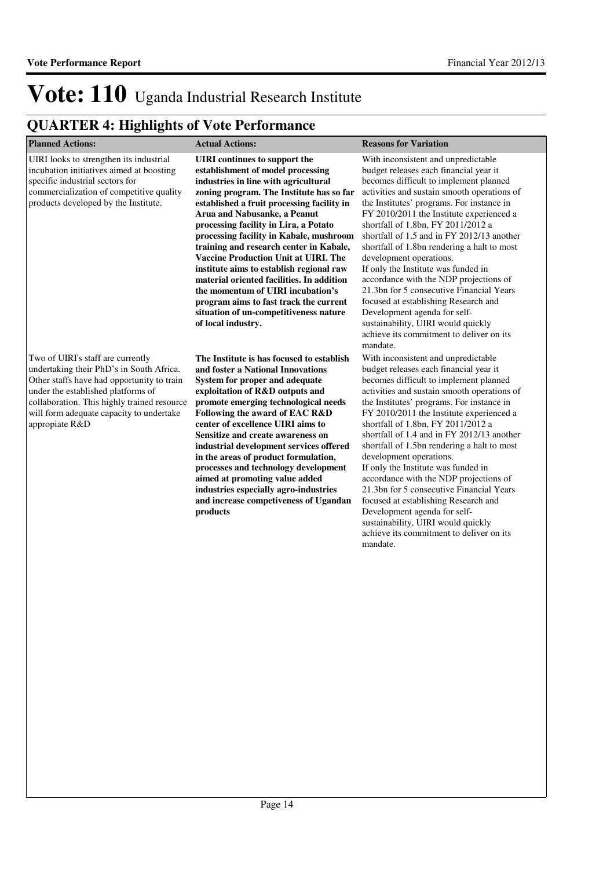| <b>Planned Actions:</b>                                                                                                                                                                                                                                                        | <b>Actual Actions:</b>                                                                                                                                                                                                                                                                                                                                                                                                                                                                                                                                                                                                                                            | <b>Reasons for Variation</b>                                                                                                                                                                                                                                                                                                                                                                                                                                                                                                                                                                                                                                                                                                     |
|--------------------------------------------------------------------------------------------------------------------------------------------------------------------------------------------------------------------------------------------------------------------------------|-------------------------------------------------------------------------------------------------------------------------------------------------------------------------------------------------------------------------------------------------------------------------------------------------------------------------------------------------------------------------------------------------------------------------------------------------------------------------------------------------------------------------------------------------------------------------------------------------------------------------------------------------------------------|----------------------------------------------------------------------------------------------------------------------------------------------------------------------------------------------------------------------------------------------------------------------------------------------------------------------------------------------------------------------------------------------------------------------------------------------------------------------------------------------------------------------------------------------------------------------------------------------------------------------------------------------------------------------------------------------------------------------------------|
| UIRI looks to strengthen its industrial<br>incubation initiatives aimed at boosting<br>specific industrial sectors for<br>commercialization of competitive quality<br>products developed by the Institute.                                                                     | <b>UIRI</b> continues to support the<br>establishment of model processing<br>industries in line with agricultural<br>zoning program. The Institute has so far<br>established a fruit processing facility in<br>Arua and Nabusanke, a Peanut<br>processing facility in Lira, a Potato<br>processing facility in Kabale, mushroom<br>training and research center in Kabale,<br><b>Vaccine Production Unit at UIRI. The</b><br>institute aims to establish regional raw<br>material oriented facilities. In addition<br>the momentum of UIRI incubation's<br>program aims to fast track the current<br>situation of un-competitiveness nature<br>of local industry. | With inconsistent and unpredictable<br>budget releases each financial year it<br>becomes difficult to implement planned<br>activities and sustain smooth operations of<br>the Institutes' programs. For instance in<br>FY 2010/2011 the Institute experienced a<br>shortfall of 1.8bn, FY 2011/2012 a<br>shortfall of 1.5 and in FY 2012/13 another<br>shortfall of 1.8bn rendering a halt to most<br>development operations.<br>If only the Institute was funded in<br>accordance with the NDP projections of<br>21.3bn for 5 consecutive Financial Years<br>focused at establishing Research and<br>Development agenda for self-<br>sustainability, UIRI would quickly<br>achieve its commitment to deliver on its<br>mandate. |
| Two of UIRI's staff are currently<br>undertaking their PhD's in South Africa.<br>Other staffs have had opportunity to train<br>under the established platforms of<br>collaboration. This highly trained resource<br>will form adequate capacity to undertake<br>appropiate R&D | The Institute is has focused to establish<br>and foster a National Innovations<br>System for proper and adequate<br>exploitation of R&D outputs and<br>promote emerging technological needs<br>Following the award of EAC R&D<br>center of excellence UIRI aims to<br>Sensitize and create awareness on<br>industrial development services offered<br>in the areas of product formulation,<br>processes and technology development<br>aimed at promoting value added<br>industries especially agro-industries<br>and increase competiveness of Ugandan<br>products                                                                                                | With inconsistent and unpredictable<br>budget releases each financial year it<br>becomes difficult to implement planned<br>activities and sustain smooth operations of<br>the Institutes' programs. For instance in<br>FY 2010/2011 the Institute experienced a<br>shortfall of 1.8bn, FY 2011/2012 a<br>shortfall of 1.4 and in FY 2012/13 another<br>shortfall of 1.5bn rendering a halt to most<br>development operations.<br>If only the Institute was funded in<br>accordance with the NDP projections of<br>21.3bn for 5 consecutive Financial Years<br>focused at establishing Research and<br>Development agenda for self-<br>sustainability, UIRI would quickly<br>achieve its commitment to deliver on its<br>mandate. |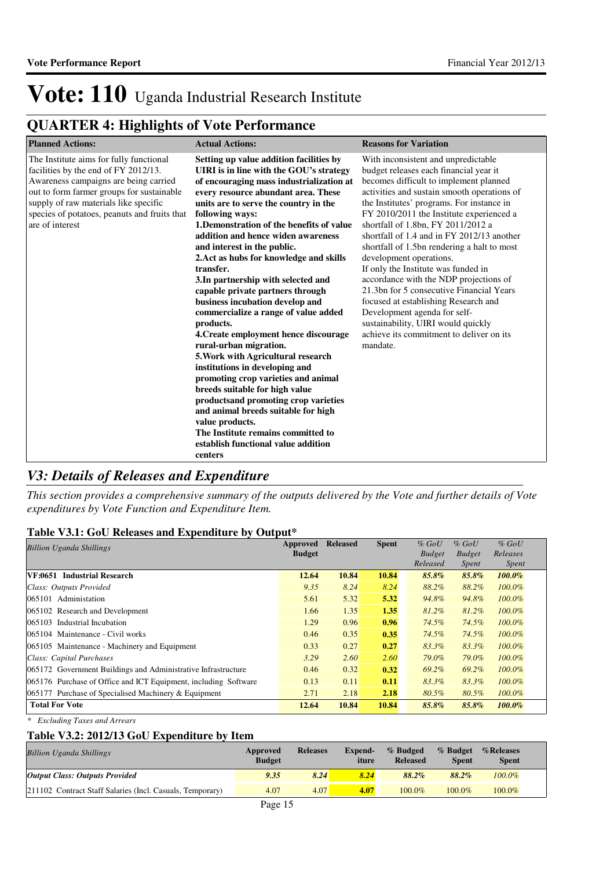### **QUARTER 4: Highlights of Vote Performance**

| <b>Planned Actions:</b>                                                                                                                                                                                                                                                           | <b>Actual Actions:</b>                                                                                                                                                                                                                                                                                                                                                                                                                                                                                                                                                                                                                                                                                                                                                                                                                                                                                                                                                                       | <b>Reasons for Variation</b>                                                                                                                                                                                                                                                                                                                                                                                                                                                                                                                                                                                                                                                                                                     |
|-----------------------------------------------------------------------------------------------------------------------------------------------------------------------------------------------------------------------------------------------------------------------------------|----------------------------------------------------------------------------------------------------------------------------------------------------------------------------------------------------------------------------------------------------------------------------------------------------------------------------------------------------------------------------------------------------------------------------------------------------------------------------------------------------------------------------------------------------------------------------------------------------------------------------------------------------------------------------------------------------------------------------------------------------------------------------------------------------------------------------------------------------------------------------------------------------------------------------------------------------------------------------------------------|----------------------------------------------------------------------------------------------------------------------------------------------------------------------------------------------------------------------------------------------------------------------------------------------------------------------------------------------------------------------------------------------------------------------------------------------------------------------------------------------------------------------------------------------------------------------------------------------------------------------------------------------------------------------------------------------------------------------------------|
| The Institute aims for fully functional<br>facilities by the end of FY 2012/13.<br>Awareness campaigns are being carried<br>out to form farmer groups for sustainable<br>supply of raw materials like specific<br>species of potatoes, peanuts and fruits that<br>are of interest | Setting up value addition facilities by<br>UIRI is in line with the GOU's strategy<br>of encouraging mass industrialization at<br>every resource abundant area. These<br>units are to serve the country in the<br>following ways:<br>1. Demonstration of the benefits of value<br>addition and hence widen awareness<br>and interest in the public.<br>2. Act as hubs for knowledge and skills<br>transfer.<br>3. In partnership with selected and<br>capable private partners through<br>business incubation develop and<br>commercialize a range of value added<br>products.<br>4. Create employment hence discourage<br>rural-urban migration.<br>5. Work with Agricultural research<br>institutions in developing and<br>promoting crop varieties and animal<br>breeds suitable for high value<br>productsand promoting crop varieties<br>and animal breeds suitable for high<br>value products.<br>The Institute remains committed to<br>establish functional value addition<br>centers | With inconsistent and unpredictable<br>budget releases each financial year it<br>becomes difficult to implement planned<br>activities and sustain smooth operations of<br>the Institutes' programs. For instance in<br>FY 2010/2011 the Institute experienced a<br>shortfall of 1.8bn, FY 2011/2012 a<br>shortfall of 1.4 and in FY 2012/13 another<br>shortfall of 1.5bn rendering a halt to most<br>development operations.<br>If only the Institute was funded in<br>accordance with the NDP projections of<br>21.3bn for 5 consecutive Financial Years<br>focused at establishing Research and<br>Development agenda for self-<br>sustainability, UIRI would quickly<br>achieve its commitment to deliver on its<br>mandate. |

### *V3: Details of Releases and Expenditure*

*This section provides a comprehensive summary of the outputs delivered by the Vote and further details of Vote expenditures by Vote Function and Expenditure Item.*

#### **Table V3.1: GoU Releases and Expenditure by Output\***

| <b>Billion Uganda Shillings</b>                                 | Approved<br><b>Budget</b> | <b>Released</b> | <b>Spent</b> | $%$ GoU<br><b>Budget</b> | $%$ GoU<br><b>Budget</b> | $%$ GoU<br>Releases |
|-----------------------------------------------------------------|---------------------------|-----------------|--------------|--------------------------|--------------------------|---------------------|
|                                                                 |                           |                 |              | Released                 | <i>Spent</i>             | <i>Spent</i>        |
| VF:0651 Industrial Research                                     | 12.64                     | 10.84           | 10.84        | 85.8%                    | 85.8%                    | $100.0\%$           |
| Class: Outputs Provided                                         | 9.35                      | 8.24            | 8.24         | 88.2%                    | 88.2%                    | $100.0\%$           |
| 065101 Administation                                            | 5.61                      | 5.32            | 5.32         | 94.8%                    | 94.8%                    | $100.0\%$           |
| 065102 Research and Development                                 | 1.66                      | 1.35            | 1.35         | 81.2%                    | 81.2%                    | $100.0\%$           |
| 065103 Industrial Incubation                                    | 1.29                      | 0.96            | 0.96         | 74.5%                    | 74.5%                    | $100.0\%$           |
| 065104 Maintenance - Civil works                                | 0.46                      | 0.35            | 0.35         | 74.5%                    | 74.5%                    | $100.0\%$           |
| 065105 Maintenance - Machinery and Equipment                    | 0.33                      | 0.27            | 0.27         | 83.3%                    | 83.3%                    | $100.0\%$           |
| Class: Capital Purchases                                        | 3.29                      | 2.60            | 2.60         | 79.0%                    | 79.0%                    | $100.0\%$           |
| 065172 Government Buildings and Administrative Infrastructure   | 0.46                      | 0.32            | 0.32         | 69.2%                    | 69.2%                    | $100.0\%$           |
| 065176 Purchase of Office and ICT Equipment, including Software | 0.13                      | 0.11            | 0.11         | 83.3%                    | 83.3%                    | $100.0\%$           |
| 065177 Purchase of Specialised Machinery & Equipment            | 2.71                      | 2.18            | 2.18         | 80.5%                    | 80.5%                    | $100.0\%$           |
| <b>Total For Vote</b>                                           | 12.64                     | 10.84           | 10.84        | 85.8%                    | 85.8%                    | $100.0\%$           |

*\* Excluding Taxes and Arrears*

### **Table V3.2: 2012/13 GoU Expenditure by Item**

| <b>Billion Uganda Shillings</b>                           | Approved<br><b>Budget</b> | <b>Releases</b> | Expend-<br>iture | % Budged<br><b>Released</b> | % Budget<br><b>Spent</b> | <i>%</i> Releases<br>Spent |  |
|-----------------------------------------------------------|---------------------------|-----------------|------------------|-----------------------------|--------------------------|----------------------------|--|
| <b>Output Class: Outputs Provided</b>                     | 9.35                      | 8.24            | 8.24             | $88.2\%$                    | $88.2\%$                 | $100.0\%$                  |  |
| 211102 Contract Staff Salaries (Incl. Casuals, Temporary) | 4.07                      | 4.07            | 4.07             | $100.0\%$                   | $100.0\%$                | $100.0\%$                  |  |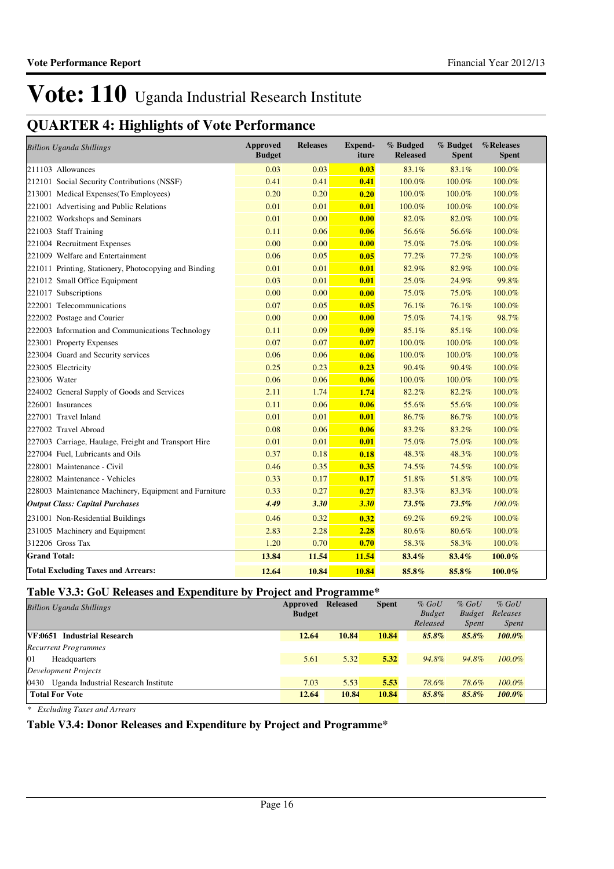### **QUARTER 4: Highlights of Vote Performance**

**Vote Performance Report**

| <b>Billion Uganda Shillings</b>                       | <b>Approved</b><br><b>Budget</b> | <b>Releases</b> | <b>Expend-</b><br>iture | % Budged<br><b>Released</b> | % Budget<br><b>Spent</b> | %Releases<br><b>Spent</b> |
|-------------------------------------------------------|----------------------------------|-----------------|-------------------------|-----------------------------|--------------------------|---------------------------|
| 211103 Allowances                                     | 0.03                             | 0.03            | 0.03                    | 83.1%                       | 83.1%                    | 100.0%                    |
| 212101 Social Security Contributions (NSSF)           | 0.41                             | 0.41            | 0.41                    | 100.0%                      | 100.0%                   | 100.0%                    |
| 213001 Medical Expenses (To Employees)                | 0.20                             | 0.20            | 0.20                    | 100.0%                      | 100.0%                   | 100.0%                    |
| 221001 Advertising and Public Relations               | 0.01                             | 0.01            | 0.01                    | 100.0%                      | 100.0%                   | 100.0%                    |
| 221002 Workshops and Seminars                         | 0.01                             | 0.00            | 0.00                    | 82.0%                       | 82.0%                    | 100.0%                    |
| 221003 Staff Training                                 | 0.11                             | 0.06            | 0.06                    | 56.6%                       | 56.6%                    | 100.0%                    |
| 221004 Recruitment Expenses                           | 0.00                             | 0.00            | 0.00                    | 75.0%                       | 75.0%                    | 100.0%                    |
| 221009 Welfare and Entertainment                      | 0.06                             | 0.05            | 0.05                    | 77.2%                       | 77.2%                    | 100.0%                    |
| 221011 Printing, Stationery, Photocopying and Binding | 0.01                             | 0.01            | 0.01                    | 82.9%                       | 82.9%                    | 100.0%                    |
| 221012 Small Office Equipment                         | 0.03                             | 0.01            | 0.01                    | 25.0%                       | 24.9%                    | 99.8%                     |
| 221017 Subscriptions                                  | 0.00                             | 0.00            | 0.00                    | 75.0%                       | 75.0%                    | 100.0%                    |
| 222001 Telecommunications                             | 0.07                             | 0.05            | 0.05                    | 76.1%                       | 76.1%                    | 100.0%                    |
| 222002 Postage and Courier                            | 0.00                             | 0.00            | 0.00                    | 75.0%                       | 74.1%                    | 98.7%                     |
| 222003 Information and Communications Technology      | 0.11                             | 0.09            | 0.09                    | 85.1%                       | 85.1%                    | 100.0%                    |
| 223001 Property Expenses                              | 0.07                             | 0.07            | 0.07                    | 100.0%                      | 100.0%                   | 100.0%                    |
| 223004 Guard and Security services                    | 0.06                             | 0.06            | 0.06                    | 100.0%                      | 100.0%                   | 100.0%                    |
| 223005 Electricity                                    | 0.25                             | 0.23            | 0.23                    | 90.4%                       | 90.4%                    | 100.0%                    |
| 223006 Water                                          | 0.06                             | 0.06            | 0.06                    | 100.0%                      | 100.0%                   | 100.0%                    |
| 224002 General Supply of Goods and Services           | 2.11                             | 1.74            | 1.74                    | 82.2%                       | 82.2%                    | 100.0%                    |
| 226001 Insurances                                     | 0.11                             | 0.06            | 0.06                    | 55.6%                       | 55.6%                    | 100.0%                    |
| 227001 Travel Inland                                  | 0.01                             | 0.01            | 0.01                    | 86.7%                       | 86.7%                    | 100.0%                    |
| 227002 Travel Abroad                                  | 0.08                             | 0.06            | 0.06                    | 83.2%                       | 83.2%                    | 100.0%                    |
| 227003 Carriage, Haulage, Freight and Transport Hire  | 0.01                             | 0.01            | 0.01                    | 75.0%                       | 75.0%                    | 100.0%                    |
| 227004 Fuel, Lubricants and Oils                      | 0.37                             | 0.18            | 0.18                    | 48.3%                       | 48.3%                    | 100.0%                    |
| 228001 Maintenance - Civil                            | 0.46                             | 0.35            | 0.35                    | 74.5%                       | 74.5%                    | 100.0%                    |
| 228002 Maintenance - Vehicles                         | 0.33                             | 0.17            | 0.17                    | 51.8%                       | 51.8%                    | 100.0%                    |
| 228003 Maintenance Machinery, Equipment and Furniture | 0.33                             | 0.27            | 0.27                    | 83.3%                       | 83.3%                    | 100.0%                    |
| <b>Output Class: Capital Purchases</b>                | 4.49                             | 3.30            | 3.30                    | 73.5%                       | 73.5%                    | 100.0%                    |
| 231001 Non-Residential Buildings                      | 0.46                             | 0.32            | 0.32                    | 69.2%                       | 69.2%                    | 100.0%                    |
| 231005 Machinery and Equipment                        | 2.83                             | 2.28            | 2.28                    | 80.6%                       | 80.6%                    | 100.0%                    |
| 312206 Gross Tax                                      | 1.20                             | 0.70            | 0.70                    | 58.3%                       | 58.3%                    | 100.0%                    |
| <b>Grand Total:</b>                                   | 13.84                            | 11.54           | 11.54                   | 83.4%                       | 83.4%                    | 100.0%                    |
| <b>Total Excluding Taxes and Arrears:</b>             | 12.64                            | 10.84           | 10.84                   | 85.8%                       | 85.8%                    | 100.0%                    |

### **Table V3.3: GoU Releases and Expenditure by Project and Programme\***

| <b>Billion Uganda Shillings</b>              | Approved<br><b>Budget</b> | <b>Released</b> | <b>Spent</b> | $%$ GoU<br><b>Budget</b><br>Released | $%$ GoU<br><b>Budget</b><br><i>Spent</i> | $%$ GoU<br>Releases<br><i>Spent</i> |
|----------------------------------------------|---------------------------|-----------------|--------------|--------------------------------------|------------------------------------------|-------------------------------------|
| VF:0651 Industrial Research                  | 12.64                     | 10.84           | 10.84        | 85.8%                                | 85.8%                                    | $100.0\%$                           |
| <b>Recurrent Programmes</b>                  |                           |                 |              |                                      |                                          |                                     |
| 01<br>Headquarters                           | 5.61                      | 5.32            | 5.32         | 94.8%                                | 94.8%                                    | $100.0\%$                           |
| Development Projects                         |                           |                 |              |                                      |                                          |                                     |
| Uganda Industrial Research Institute<br>0430 | 7.03                      | 5.53            | 5.53         | 78.6%                                | 78.6%                                    | $100.0\%$                           |
| <b>Total For Vote</b>                        | 12.64                     | 10.84           | 10.84        | 85.8%                                | 85.8%                                    | $100.0\%$                           |

*\* Excluding Taxes and Arrears*

### **Table V3.4: Donor Releases and Expenditure by Project and Programme\***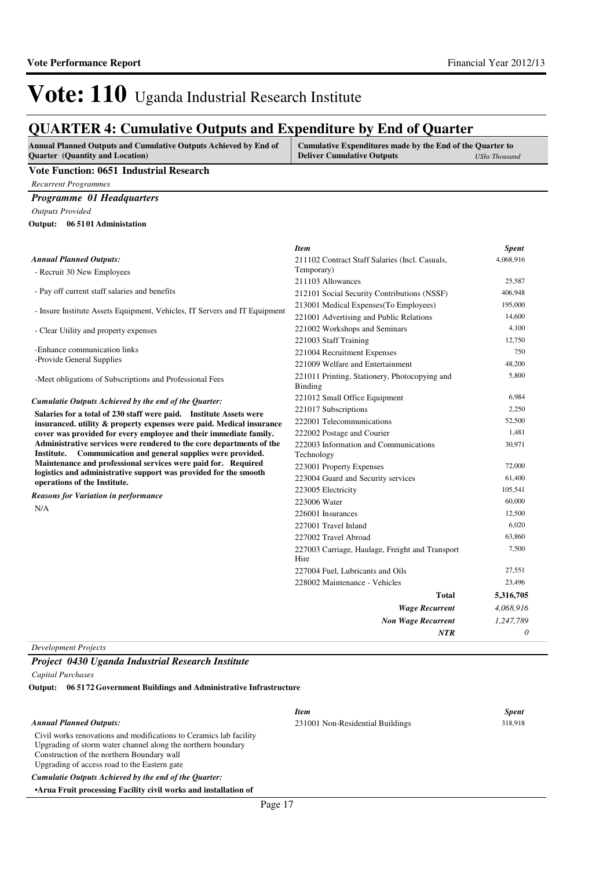### **QUARTER 4: Cumulative Outputs and Expenditure by End of Quarter**

| <b>Annual Planned Outputs and Cumulative Outputs Achieved by End of</b> | <b>Cumulative Expenditures made by the End of the Quarter to</b> |               |
|-------------------------------------------------------------------------|------------------------------------------------------------------|---------------|
| <b>Quarter</b> (Quantity and Location)                                  | <b>Deliver Cumulative Outputs</b>                                | UShs Thousand |

#### **Vote Function: 0651 Industrial Research**

*Recurrent Programmes*

#### *Programme 01 Headquarters*

*Outputs Provided*

**06 5101 Administation Output:**

|                                                                                                                                   | <b>Item</b>                                              | <b>Spent</b> |
|-----------------------------------------------------------------------------------------------------------------------------------|----------------------------------------------------------|--------------|
| <b>Annual Planned Outputs:</b>                                                                                                    | 211102 Contract Staff Salaries (Incl. Casuals,           | 4,068,916    |
| - Recruit 30 New Employees                                                                                                        | Temporary)                                               |              |
|                                                                                                                                   | 211103 Allowances                                        | 25,587       |
| - Pay off current staff salaries and benefits                                                                                     | 212101 Social Security Contributions (NSSF)              | 406,948      |
|                                                                                                                                   | 213001 Medical Expenses (To Employees)                   | 195,000      |
| - Insure Institute Assets Equipment, Vehicles, IT Servers and IT Equipment                                                        | 221001 Advertising and Public Relations                  | 14.600       |
| - Clear Utility and property expenses                                                                                             | 221002 Workshops and Seminars                            | 4,100        |
|                                                                                                                                   | 221003 Staff Training                                    | 12,750       |
| -Enhance communication links                                                                                                      | 221004 Recruitment Expenses                              | 750          |
| -Provide General Supplies                                                                                                         | 221009 Welfare and Entertainment                         | 48,200       |
| -Meet obligations of Subscriptions and Professional Fees                                                                          | 221011 Printing, Stationery, Photocopying and<br>Binding | 5,800        |
| Cumulatie Outputs Achieved by the end of the Quarter:                                                                             | 221012 Small Office Equipment                            | 6,984        |
| Salaries for a total of 230 staff were paid. Institute Assets were                                                                | 221017 Subscriptions                                     | 2,250        |
| insuranced, utility & property expenses were paid. Medical insurance                                                              | 222001 Telecommunications                                | 52,500       |
| cover was provided for every employee and their immediate family.                                                                 | 222002 Postage and Courier                               | 1,481        |
| Administrative services were rendered to the core departments of the                                                              | 222003 Information and Communications                    | 30,971       |
| Communication and general supplies were provided.<br>Institute.                                                                   | Technology                                               |              |
| Maintenance and professional services were paid for. Required<br>logistics and administrative support was provided for the smooth | 223001 Property Expenses                                 | 72,000       |
| operations of the Institute.                                                                                                      | 223004 Guard and Security services                       | 61,400       |
| <b>Reasons for Variation in performance</b>                                                                                       | 223005 Electricity                                       | 105,541      |
|                                                                                                                                   | 223006 Water                                             | 60,000       |
| N/A                                                                                                                               | 226001 Insurances                                        | 12,500       |
|                                                                                                                                   | 227001 Travel Inland                                     | 6,020        |
|                                                                                                                                   | 227002 Travel Abroad                                     | 63,860       |
|                                                                                                                                   | 227003 Carriage, Haulage, Freight and Transport<br>Hire  | 7,500        |
|                                                                                                                                   | 227004 Fuel. Lubricants and Oils                         | 27,551       |
|                                                                                                                                   | 228002 Maintenance - Vehicles                            | 23,496       |
|                                                                                                                                   | <b>Total</b>                                             | 5,316,705    |
|                                                                                                                                   | <b>Wage Recurrent</b>                                    | 4,068,916    |
|                                                                                                                                   | <b>Non Wage Recurrent</b>                                | 1,247,789    |
|                                                                                                                                   | <b>NTR</b>                                               | 0            |

*Development Projects*

#### *Project 0430 Uganda Industrial Research Institute*

*Capital Purchases*

**06 5172 Government Buildings and Administrative Infrastructure Output:**

| <b>Annual Planned Outputs:</b>                                                                                                                                                                                                   | <b>Item</b><br>231001 Non-Residential Buildings | <b>Spent</b><br>318,918 |
|----------------------------------------------------------------------------------------------------------------------------------------------------------------------------------------------------------------------------------|-------------------------------------------------|-------------------------|
| Civil works renovations and modifications to Ceramics lab facility<br>Upgrading of storm water channel along the northern boundary<br>Construction of the northern Boundary wall<br>Upgrading of access road to the Eastern gate |                                                 |                         |
| Cumulatie Outputs Achieved by the end of the Ouarter:                                                                                                                                                                            |                                                 |                         |
| • Arua Fruit processing Facility civil works and installation of                                                                                                                                                                 |                                                 |                         |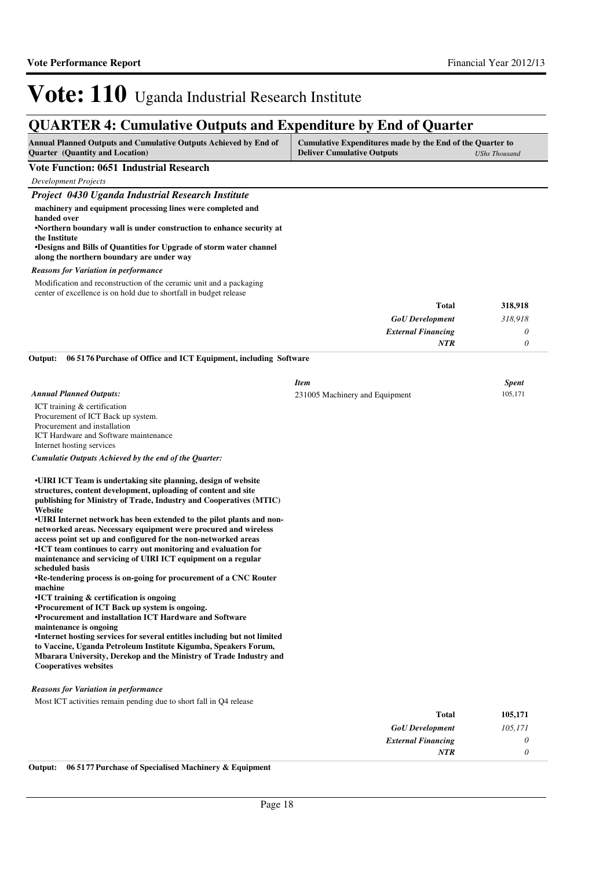### **QUARTER 4: Cumulative Outputs and Expenditure by End of Quarter**

| <b>Annual Planned Outputs and Cumulative Outputs Achieved by End of</b> | Cumulative Expenditures made by the End of the Quarter to |               |
|-------------------------------------------------------------------------|-----------------------------------------------------------|---------------|
| <b>Ouarter</b> (Quantity and Location)                                  | <b>Deliver Cumulative Outputs</b>                         | UShs Thousand |

#### **Vote Function: 0651 Industrial Research**

*Development Projects*

#### *Project 0430 Uganda Industrial Research Institute* **machinery and equipment processing lines were completed and handed over •Northern boundary wall is under construction to en hance security at the Institute •Designs and Bills of Quantities for Upgrade of storm water channel along the northern boundary are under way** *GoU Development External Financing* **Total** *318,918 0 0* **318,918** *NTR* Modification and reconstruction of the ceramic unit and a packaging center of excellence is on hold due to shortfall in budget release *Reasons for Variation in performance* ICT training & certification Procurement of ICT Back up system. Procurement and installation ICT Hardware and Software maintenance Internet hosting services **06 5176 Purchase of Office and ICT Equipment, including Software Output:** *Annual Planned Outputs: Item Spent* 231005 Machinery and Equipment 105,171

*Cumulatie Outputs Achieved by the end of the Quarter:*

**•UIRI ICT Team is undertaking site planning, design of website structures, content development, uploading of content and site publishing for Ministry of Trade, Industry and Cooperatives (MTIC) Website**

•UIRI Internet network has been extended to the pilot plants and non**networked areas. Necessary equipment were procured and wireless access point set up and configured for the non-networked areas •ICT team continues to carry out monitoring and evaluation for maintenance and servicing of UIRI ICT equipment on a regular scheduled basis** 

**•Re-tendering process is on-going for procurement of a CNC Router machine**

**•ICT training & certification is ongoing** 

**•Procurement of ICT Back up system is ongoing.**

**•Procurement and installation ICT Hardware and Software maintenance is ongoing**

•Internet hosting services for several entitles including but not limited **to Vaccine, Uganda Petroleum Institute Kigumba, Speakers Forum, Mbarara University, Derekop and the Ministry of Trade Industry and Cooperatives websites**

#### *Reasons for Variation in performance*

Most ICT activities remain pending due to short fall in Q4 release

| 105,171 | <b>Total</b>              |
|---------|---------------------------|
| 105,171 | <b>GoU</b> Development    |
|         | <b>External Financing</b> |
|         | <b>NTR</b>                |
|         |                           |

**Output: 06 5177 Purchase of Specialised Machinery & Equipment**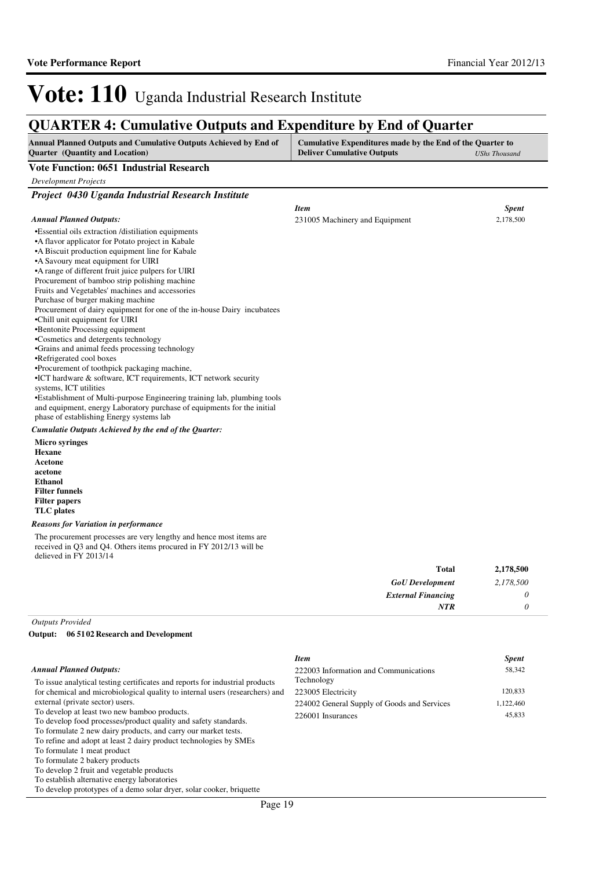2,178,500

# Vote: 110 Uganda Industrial Research Institute

### **QUARTER 4: Cumulative Outputs and Expenditure by End of Quarter**

| <b>Annual Planned Outputs and Cumulative Outputs Achieved by End of</b> | Cumulative Expenditures made by the End of the Quarter to |               |
|-------------------------------------------------------------------------|-----------------------------------------------------------|---------------|
| <b>Ouarter</b> (Quantity and Location)                                  | <b>Deliver Cumulative Outputs</b>                         | UShs Thousand |

#### **Vote Function: 0651 Industrial Research**

| Vote Function: 0651 Industrial Research                                                                                                                                                                                                                                                                                                                                                                                                                                                                                                                                                                                                                                                                                                                                                                                                                                                                                                                                                                                                                                                                                         |                                |              |
|---------------------------------------------------------------------------------------------------------------------------------------------------------------------------------------------------------------------------------------------------------------------------------------------------------------------------------------------------------------------------------------------------------------------------------------------------------------------------------------------------------------------------------------------------------------------------------------------------------------------------------------------------------------------------------------------------------------------------------------------------------------------------------------------------------------------------------------------------------------------------------------------------------------------------------------------------------------------------------------------------------------------------------------------------------------------------------------------------------------------------------|--------------------------------|--------------|
| <b>Development Projects</b>                                                                                                                                                                                                                                                                                                                                                                                                                                                                                                                                                                                                                                                                                                                                                                                                                                                                                                                                                                                                                                                                                                     |                                |              |
| Project 0430 Uganda Industrial Research Institute                                                                                                                                                                                                                                                                                                                                                                                                                                                                                                                                                                                                                                                                                                                                                                                                                                                                                                                                                                                                                                                                               |                                |              |
|                                                                                                                                                                                                                                                                                                                                                                                                                                                                                                                                                                                                                                                                                                                                                                                                                                                                                                                                                                                                                                                                                                                                 | <b>Item</b>                    | <b>Spent</b> |
| <b>Annual Planned Outputs:</b>                                                                                                                                                                                                                                                                                                                                                                                                                                                                                                                                                                                                                                                                                                                                                                                                                                                                                                                                                                                                                                                                                                  | 231005 Machinery and Equipment | 2,178,500    |
| •Essential oils extraction /distiliation equipments<br>•A flavor applicator for Potato project in Kabale<br>•A Biscuit production equipment line for Kabale<br>•A Savoury meat equipment for UIRI<br>•A range of different fruit juice pulpers for UIRI<br>Procurement of bamboo strip polishing machine<br>Fruits and Vegetables' machines and accessories<br>Purchase of burger making machine<br>Procurement of dairy equipment for one of the in-house Dairy incubatees<br>•Chill unit equipment for UIRI<br>•Bentonite Processing equipment<br>•Cosmetics and detergents technology<br>•Grains and animal feeds processing technology<br>•Refrigerated cool boxes<br>•Procurement of toothpick packaging machine,<br>$\bullet$ ICT hardware $\&$ software, ICT requirements, ICT network security<br>systems, ICT utilities<br>•Establishment of Multi-purpose Engineering training lab, plumbing tools<br>and equipment, energy Laboratory purchase of equipments for the initial<br>phase of establishing Energy systems lab<br>Cumulatie Outputs Achieved by the end of the Quarter:<br><b>Micro syringes</b><br>Hexane |                                |              |
| Acetone                                                                                                                                                                                                                                                                                                                                                                                                                                                                                                                                                                                                                                                                                                                                                                                                                                                                                                                                                                                                                                                                                                                         |                                |              |
| acetone                                                                                                                                                                                                                                                                                                                                                                                                                                                                                                                                                                                                                                                                                                                                                                                                                                                                                                                                                                                                                                                                                                                         |                                |              |

**acetone Ethanol Filter funnels Filter papers TLC plates**

#### *Reasons for Variation in performance*

The procurement processes are very lengthy and hence most items are received in Q3 and Q4. Others items procured in FY 2012/13 will be delieved in FY 2013/14

| 2,178,500 | <b>Total</b>              |
|-----------|---------------------------|
| 2,178,500 | <b>GoU</b> Development    |
|           | <b>External Financing</b> |
|           | <b>NTR</b>                |
|           |                           |

*Outputs Provided*

**06 5102 Research and Development Output:**

|                                                                              | <b>Item</b>                                 | <b>Spent</b> |
|------------------------------------------------------------------------------|---------------------------------------------|--------------|
| <b>Annual Planned Outputs:</b>                                               | 222003 Information and Communications       | 58,342       |
| To issue analytical testing certificates and reports for industrial products | Technology                                  |              |
| for chemical and microbiological quality to internal users (researchers) and | 223005 Electricity                          | 120,833      |
| external (private sector) users.                                             | 224002 General Supply of Goods and Services | 1,122,460    |
| To develop at least two new bamboo products.                                 | 226001 Insurances                           | 45,833       |
| To develop food processes/product quality and safety standards.              |                                             |              |
| To formulate 2 new dairy products, and carry our market tests.               |                                             |              |
| To refine and adopt at least 2 dairy product technologies by SMEs            |                                             |              |
| To formulate 1 meat product                                                  |                                             |              |
| To formulate 2 bakery products                                               |                                             |              |
| To develop 2 fruit and vegetable products                                    |                                             |              |
| To establish alternative energy laboratories                                 |                                             |              |
| To develop prototypes of a demo solar dryer, solar cooker, briquette         |                                             |              |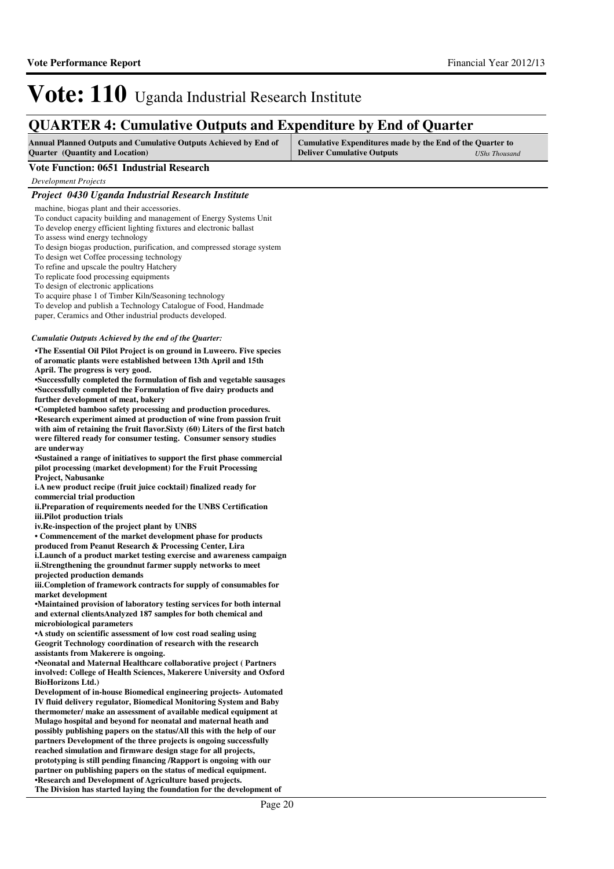### **QUARTER 4: Cumulative Outputs and Expenditure by End of Quarter**

| <b>Annual Planned Outputs and Cumulative Outputs Achieved by End of</b> | Cumulative Expenditures made by the End of the Quarter to |                      |
|-------------------------------------------------------------------------|-----------------------------------------------------------|----------------------|
| <b>Quarter</b> (Quantity and Location)                                  | <b>Deliver Cumulative Outputs</b>                         | <b>UShs Thousand</b> |

#### **Vote Function: 0651 Industrial Research**

*Development Projects*

| Project 0430 Uganda Industrial Research Institute                                                                                         |
|-------------------------------------------------------------------------------------------------------------------------------------------|
| machine, biogas plant and their accessories.                                                                                              |
| To conduct capacity building and management of Energy Systems Unit                                                                        |
| To develop energy efficient lighting fixtures and electronic ballast                                                                      |
| To assess wind energy technology                                                                                                          |
| To design biogas production, purification, and compressed storage system                                                                  |
| To design wet Coffee processing technology<br>To refine and upscale the poultry Hatchery                                                  |
| To replicate food processing equipments                                                                                                   |
| To design of electronic applications                                                                                                      |
| To acquire phase 1 of Timber Kiln/Seasoning technology                                                                                    |
| To develop and publish a Technology Catalogue of Food, Handmade                                                                           |
| paper, Ceramics and Other industrial products developed.                                                                                  |
| Cumulatie Outputs Achieved by the end of the Quarter:                                                                                     |
| •The Essential Oil Pilot Project is on ground in Luweero. Five species                                                                    |
| of aromatic plants were established between 13th April and 15th                                                                           |
| April. The progress is very good.                                                                                                         |
| •Successfully completed the formulation of fish and vegetable sausages                                                                    |
| •Successfully completed the Formulation of five dairy products and<br>further development of meat, bakery                                 |
| •Completed bamboo safety processing and production procedures.                                                                            |
| •Research experiment aimed at production of wine from passion fruit                                                                       |
| with aim of retaining the fruit flavor. Sixty (60) Liters of the first batch                                                              |
| were filtered ready for consumer testing. Consumer sensory studies                                                                        |
| are underway                                                                                                                              |
| •Sustained a range of initiatives to support the first phase commercial<br>pilot processing (market development) for the Fruit Processing |
| <b>Project, Nabusanke</b>                                                                                                                 |
| i.A new product recipe (fruit juice cocktail) finalized ready for                                                                         |
| commercial trial production                                                                                                               |
| ii. Preparation of requirements needed for the UNBS Certification                                                                         |
| iii. Pilot production trials                                                                                                              |
| iv. Re-inspection of the project plant by UNBS<br>• Commencement of the market development phase for products                             |
| produced from Peanut Research & Processing Center, Lira                                                                                   |
| i. Launch of a product market testing exercise and awareness campaign                                                                     |
| ii.Strengthening the groundnut farmer supply networks to meet                                                                             |
| projected production demands                                                                                                              |
| iii.Completion of framework contracts for supply of consumables for<br>market development                                                 |
| •Maintained provision of laboratory testing services for both internal                                                                    |
| and external clientsAnalyzed 187 samples for both chemical and                                                                            |
| microbiological parameters                                                                                                                |
| •A study on scientific assessment of low cost road sealing using                                                                          |
| Geogrit Technology coordination of research with the research                                                                             |
| assistants from Makerere is ongoing.<br>•Neonatal and Maternal Healthcare collaborative project (Partners                                 |
| involved: College of Health Sciences, Makerere University and Oxford                                                                      |
| <b>BioHorizons Ltd.)</b>                                                                                                                  |
| Development of in-house Biomedical engineering projects-Automated                                                                         |
| IV fluid delivery regulator, Biomedical Monitoring System and Baby                                                                        |
| thermometer/ make an assessment of available medical equipment at                                                                         |
| Mulago hospital and beyond for neonatal and maternal heath and<br>possibly publishing papers on the status/All this with the help of our  |
| partners Development of the three projects is ongoing successfully                                                                        |
| reached simulation and firmware design stage for all projects,                                                                            |
| prototyping is still pending financing / Rapport is ongoing with our                                                                      |
| partner on publishing papers on the status of medical equipment.                                                                          |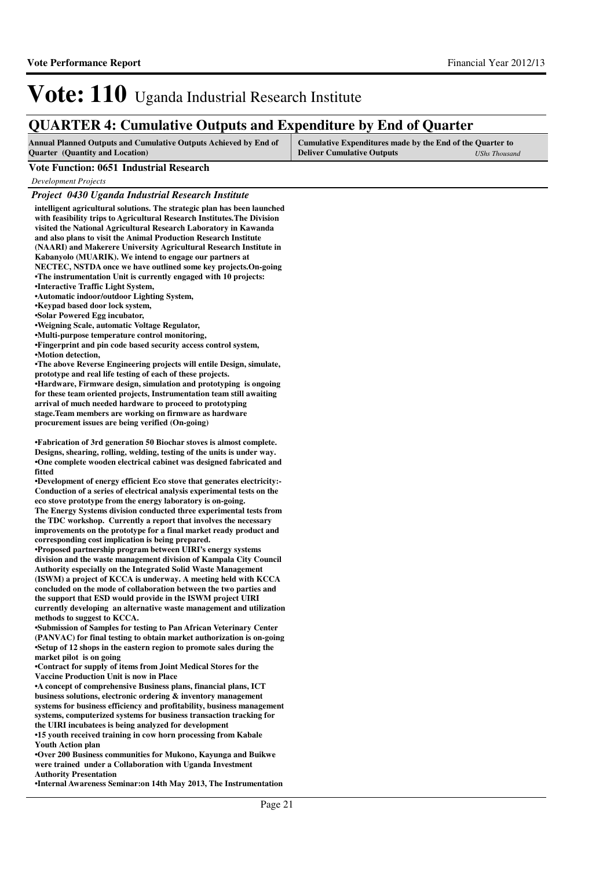### **QUARTER 4: Cumulative Outputs and Expenditure by End of Quarter**

| <b>Annual Planned Outputs and Cumulative Outputs Achieved by End of</b> | Cumulative Expenditures made by the End of the Quarter to |                      |
|-------------------------------------------------------------------------|-----------------------------------------------------------|----------------------|
| <b>Ouarter</b> (Quantity and Location)                                  | <b>Deliver Cumulative Outputs</b>                         | <b>UShs Thousand</b> |

#### **Vote Function: 0651 Industrial Research**

*Development Projects*

#### *Project 0430 Uganda Industrial Research Institute*

**intelligent agricultural solutions. The strategic plan has been launched with feasibility trips to Agricultural Research Institutes.The Division visited the National Agricultural Research Laboratory in Kawanda and also plans to visit the Animal Production Research Institute (NAARI) and Makerere University Agricultural Research Institute in Kabanyolo (MUARIK). We intend to engage our partners at NECTEC, NSTDA once we have outlined some key projects.On-going •The instrumentation Unit is currently engaged with 10 projects: •Interactive Traffic Light System, •Automatic indoor/outdoor Lighting System, •Keypad based door lock system, •Solar Powered Egg incubator, •Weigning Scale, automatic Voltage Regulator, •Multi-purpose temperature control monitoring,**  •Fingerprint and pin code based security access control system, **•Motion detection, •The above Reverse Engineering projects will entile Design, simulate, prototype and real life testing of each of these projects. •Hardware, Firmware design, simulation and prototyping is ongoing for these team oriented projects, Instrumentation team still awaiting arrival of much needed hardware to proceed to prototyping**  stage.Team members are working on firmware as hardware **procurement issues are being verified (On-going) •Fabrication of 3rd generation 50 Biochar stoves is almost complete. Designs, shearing, rolling, welding, testing of the units is under way. •One complete wooden electrical cabinet was designed fabricated and fitted** •Development of energy efficient Eco stove that generates electricity:-**Conduction of a series of electrical analysis experimental tests on the eco stove prototype from the energy laboratory is on-going. The Energy Systems division conducted three experimental tests from the TDC workshop. Currently a report that involves the necessary improvements on the prototype for a final market ready product and corresponding cost implication is being prepared. •Proposed partnership program between UIRI's energy systems division and the waste management division of Kampala City Council Authority especially on the Integrated Solid Waste Management** 

**(ISWM) a project of KCCA is underway. A meeting held with KCCA concluded on the mode of collaboration between the two parties and the support that ESD would provide in the ISWM project UIRI currently developing an alternative waste management and utilization methods to suggest to KCCA.** 

**•Submission of Samples for testing to Pan African Veterinary Center (PANVAC) for final testing to obtain market authorization is on-going •Setup of 12 shops in the eastern region to promote sales during the market pilot is on going**

•Contract for supply of items from Joint Medical Stores for the **Vaccine Production Unit is now in Place**

**•A concept of comprehensive Business plans, financial plans, ICT business solutions, electronic ordering & inventory management systems for business efficiency and profitability, business management systems, computerized systems for business transaction tracking for the UIRI incubatees is being analyzed for development**

**•15 youth received training in cow horn processing from Kabale Youth Action plan**

**•Over 200 Business communities for Mukono, Kayunga and Buikwe were trained under a Collaboration with Uganda Investment Authority Presentation**

**•Internal Awareness Seminar:on 14th May 2013, The I nstrumentation**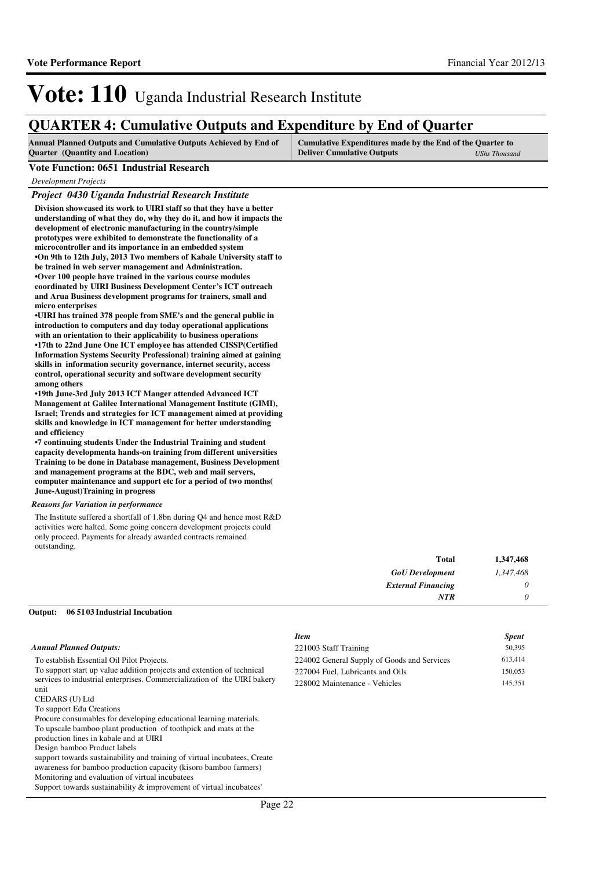### **QUARTER 4: Cumulative Outputs and Expenditure by End of Quarter**

| <b>Annual Planned Outputs and Cumulative Outputs Achieved by End of</b> | Cumulative Expenditures made by the End of the Quarter to |                      |
|-------------------------------------------------------------------------|-----------------------------------------------------------|----------------------|
| <b>Quarter</b> (Quantity and Location)                                  | <b>Deliver Cumulative Outputs</b>                         | <b>UShs Thousand</b> |

#### **Vote Function: 0651 Industrial Research**

*Development Projects*

#### *Project 0430 Uganda Industrial Research Institute*

**Division showcased its work to UIRI staff so that they have a better understanding of what they do, why they do it, and how it impacts the development of electronic manufacturing in the country/simple prototypes were exhibited to demonstrate the functionality of a microcontroller and its importance in an embedded system •On 9th to 12th July, 2013 Two members of Kabale University staff to be trained in web server management and Administration. •Over 100 people have trained in the various course modules coordinated by UIRI Business Development Center's ICT outreach and Arua Business development programs for trainers, small and micro enterprises** 

•UIRI has trained 378 people from SME's and the general public in **introduction to computers and day today operational applications with an orientation to their applicability to business operations •17th to 22nd June One ICT employee has attended CI SSP(Certified Information Systems Security Professional) training aimed at gaining skills in information security governance, internet security, access control, operational security and software development security among others**

•19th June-3rd July 2013 ICT Manger attended Advanced ICT **Management at Galilee International Management Institute (GIMI),**  Israel; Trends and strategies for ICT management **aimed at providing skills and knowledge in ICT management for better understanding and efficiency** 

**•7 continuing students Under the Industrial Trainin g and student capacity developmenta hands-on training from different universities Training to be done in Database management, Business Development and management programs at the BDC, web and mail servers, computer maintenance and support etc for a period of two months( June-August)Training in progress**

#### *Reasons for Variation in performance*

The Institute suffered a shortfall of 1.8bn during Q4 and hence most R&D activities were halted. Some going concern development projects could only proceed. Payments for already awarded contracts remained outstanding.

| 1,347,468 | Total                     |
|-----------|---------------------------|
| 1,347,468 | <b>GoU</b> Development    |
|           | <b>External Financing</b> |
|           | <b>NTR</b>                |
|           |                           |

### **06 5103 Industrial Incubation Output:**

|                                                                                  | <b>Item</b>                                 | <b>Spent</b> |
|----------------------------------------------------------------------------------|---------------------------------------------|--------------|
| <b>Annual Planned Outputs:</b>                                                   | 221003 Staff Training                       | 50,395       |
| To establish Essential Oil Pilot Projects.                                       | 224002 General Supply of Goods and Services | 613,414      |
| To support start up value addition projects and extention of technical           | 227004 Fuel, Lubricants and Oils            | 150,053      |
| services to industrial enterprises. Commercialization of the UIRI bakery<br>unit | 228002 Maintenance - Vehicles               | 145,351      |
| CEDARS (U) Ltd<br>To support Edu Creations                                       |                                             |              |
| Procure consumables for developing educational learning materials.               |                                             |              |
| To upscale bamboo plant production of toothpick and mats at the                  |                                             |              |
| production lines in kabale and at UIRI                                           |                                             |              |
| Design bamboo Product labels                                                     |                                             |              |
| support towards sustainability and training of virtual incubatees, Create        |                                             |              |
| awareness for bamboo production capacity (kisoro bamboo farmers)                 |                                             |              |
| Monitoring and evaluation of virtual incubatees                                  |                                             |              |
| Support towards sustainability $\&$ improvement of virtual incubatees'           |                                             |              |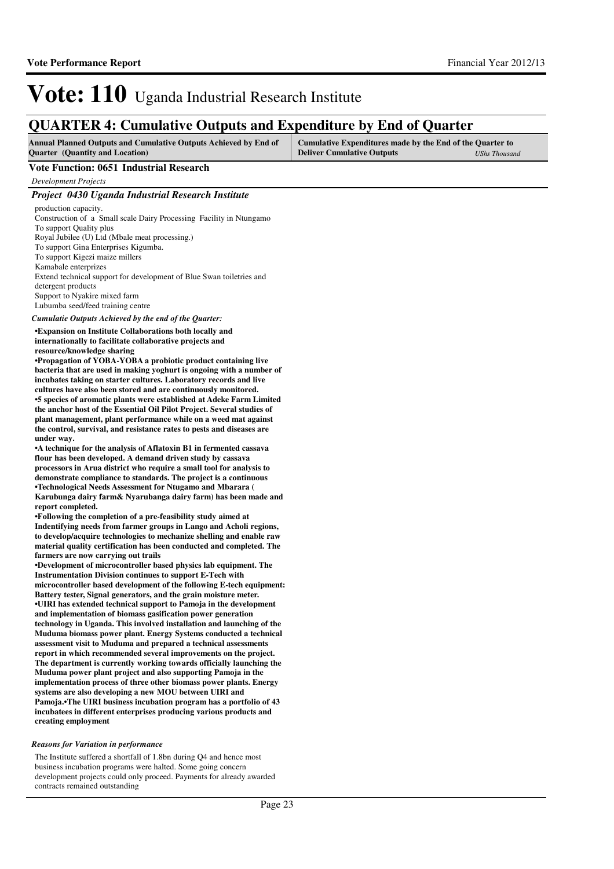### **QUARTER 4: Cumulative Outputs and Expenditure by End of Quarter**

| <b>Annual Planned Outputs and Cumulative Outputs Achieved by End of</b> | Cumulative Expenditures made by the End of the Quarter to |                      |
|-------------------------------------------------------------------------|-----------------------------------------------------------|----------------------|
| <b>Quarter</b> (Quantity and Location)                                  | <b>Deliver Cumulative Outputs</b>                         | <b>UShs Thousand</b> |

#### **Vote Function: 0651 Industrial Research**

*Development Projects*

#### *Project 0430 Uganda Industrial Research Institute*

production capacity. Construction of a Small scale Dairy Processing Facility in Ntungamo To support Quality plus Royal Jubilee (U) Ltd (Mbale meat processing.) To support Gina Enterprises Kigumba. To support Kigezi maize millers Kamabale enterprizes Extend technical support for development of Blue Swan toiletries and detergent products Support to Nyakire mixed farm Lubumba seed/feed training centre

#### *Cumulatie Outputs Achieved by the end of the Quarter:*

**•Expansion on Institute Collaborations both locally and internationally to facilitate collaborative projects and resource/knowledge sharing**

**•Propagation of YOBA-YOBA a probiotic product containing live bacteria that are used in making yoghurt is ongoing with a number of incubates taking on starter cultures. Laboratory records and live cultures have also been stored and are continuously monitored. •5 species of aromatic plants were established at A deke Farm Limited the anchor host of the Essential Oil Pilot Project. Several studies of plant management, plant performance while on a weed mat against the control, survival, and resistance rates to pests and diseases are under way.**

**•A technique for the analysis of Aflatoxin B1 in fermented cassava flour has been developed. A demand driven study by cassava processors in Arua district who require a small tool for analysis to demonstrate compliance to standards. The project is a continuous •Technological Needs Assessment for Ntugamo and Mbarara ( Karubunga dairy farm& Nyarubanga dairy farm) has been made and report completed.**

**•Following the completion of a pre-feasibility stud y aimed at Indentifying needs from farmer groups in Lango and Acholi regions, to develop/acquire technologies to mechanize shelling and enable raw material quality certification has been conducted and completed. The farmers are now carrying out trails** 

**•Development of microcontroller based physics lab e quipment. The Instrumentation Division continues to support E-Tech with microcontroller based development of the following E-tech equipment: Battery tester, Signal generators, and the grain moisture meter.** •**UIRI** has extended technical support to Pamoja in the development **and implementation of biomass gasification power generation technology in Uganda. This involved installation and launching of the Muduma biomass power plant. Energy Systems conducted a technical assessment visit to Muduma and prepared a technical assessments report in which recommended several improvements on the project. The department is currently working towards officially launching the Muduma power plant project and also supporting Pamoja in the implementation process of three other biomass power plants. Energy systems are also developing a new MOU between UIRI and Pamoja.•The UIRI business incubation program has a portfolio of 43 incubatees in different enterprises producing various products and creating employment**

#### *Reasons for Variation in performance*

The Institute suffered a shortfall of 1.8bn during Q4 and hence most business incubation programs were halted. Some going concern development projects could only proceed. Payments for already awarded contracts remained outstanding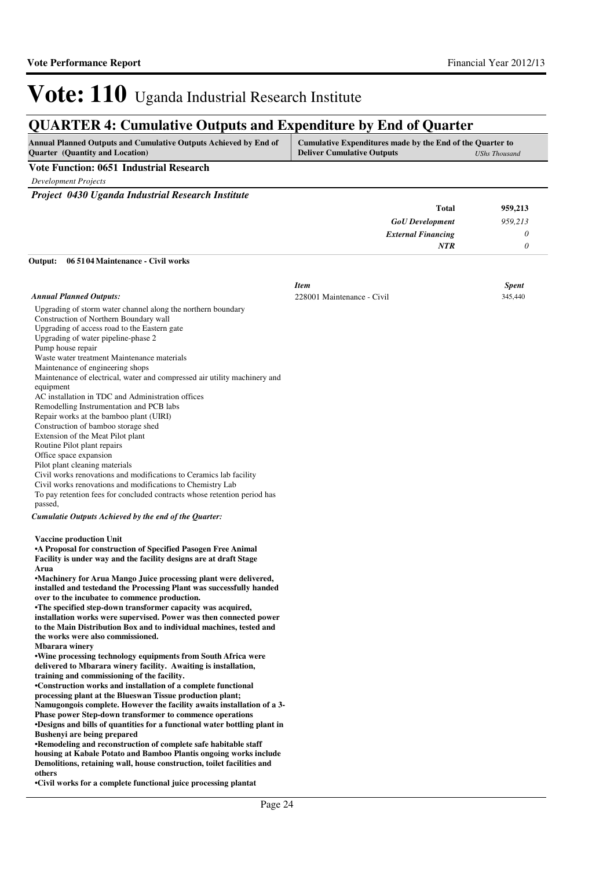### **QUARTER 4: Cumulative Outputs and Expenditure by End of Quarter**

| <b>Annual Planned Outputs and Cumulative Outputs Achieved by End of</b> | Cumulative Expenditures made by the End of the Quarter to |               |
|-------------------------------------------------------------------------|-----------------------------------------------------------|---------------|
| <b>Quarter</b> (Quantity and Location)                                  | <b>Deliver Cumulative Outputs</b>                         | UShs Thousand |

### **Vote Function: 0651 Industrial Research**

*Development Projects*

*Project 0430 Uganda Industrial Research Institute*

| 959,213 | Total                     |
|---------|---------------------------|
| 959,213 | <b>GoU</b> Development    |
|         | <b>External Financing</b> |
|         | <b>NTR</b>                |
|         |                           |

#### **06 5104 Maintenance - Civil works Output:**

|                                                                                                                                                                                                                                                                                                                                                                                                                                                                                                                                                                                                                                                                                                                                                                                                                                                                                                                                                                                                                                                                                                                                                                                                                                                                                                                                                                                                                                                                                                                                            | <b>Item</b>                | <b>Spent</b> |
|--------------------------------------------------------------------------------------------------------------------------------------------------------------------------------------------------------------------------------------------------------------------------------------------------------------------------------------------------------------------------------------------------------------------------------------------------------------------------------------------------------------------------------------------------------------------------------------------------------------------------------------------------------------------------------------------------------------------------------------------------------------------------------------------------------------------------------------------------------------------------------------------------------------------------------------------------------------------------------------------------------------------------------------------------------------------------------------------------------------------------------------------------------------------------------------------------------------------------------------------------------------------------------------------------------------------------------------------------------------------------------------------------------------------------------------------------------------------------------------------------------------------------------------------|----------------------------|--------------|
| <b>Annual Planned Outputs:</b>                                                                                                                                                                                                                                                                                                                                                                                                                                                                                                                                                                                                                                                                                                                                                                                                                                                                                                                                                                                                                                                                                                                                                                                                                                                                                                                                                                                                                                                                                                             | 228001 Maintenance - Civil | 345,440      |
| Upgrading of storm water channel along the northern boundary<br>Construction of Northern Boundary wall<br>Upgrading of access road to the Eastern gate<br>Upgrading of water pipeline-phase 2<br>Pump house repair<br>Waste water treatment Maintenance materials<br>Maintenance of engineering shops<br>Maintenance of electrical, water and compressed air utility machinery and<br>equipment<br>AC installation in TDC and Administration offices<br>Remodelling Instrumentation and PCB labs<br>Repair works at the bamboo plant (UIRI)<br>Construction of bamboo storage shed<br>Extension of the Meat Pilot plant<br>Routine Pilot plant repairs<br>Office space expansion<br>Pilot plant cleaning materials<br>Civil works renovations and modifications to Ceramics lab facility<br>Civil works renovations and modifications to Chemistry Lab<br>To pay retention fees for concluded contracts whose retention period has<br>passed,<br>Cumulatie Outputs Achieved by the end of the Quarter:                                                                                                                                                                                                                                                                                                                                                                                                                                                                                                                                     |                            |              |
| <b>Vaccine production Unit</b><br><b>A Proposal for construction of Specified Pasogen Free Animal</b><br>Facility is under way and the facility designs are at draft Stage<br>Arua<br>•Machinery for Arua Mango Juice processing plant were delivered,<br>installed and testedand the Processing Plant was successfully handed<br>over to the incubatee to commence production.<br>•The specified step-down transformer capacity was acquired,<br>installation works were supervised. Power was then connected power<br>to the Main Distribution Box and to individual machines, tested and<br>the works were also commissioned.<br><b>Mbarara winery</b><br>. Wine processing technology equipments from South Africa were<br>delivered to Mbarara winery facility. Awaiting is installation,<br>training and commissioning of the facility.<br>•Construction works and installation of a complete functional<br>processing plant at the Blueswan Tissue production plant;<br>Namugongois complete. However the facility awaits installation of a 3-<br><b>Phase power Step-down transformer to commence operations</b><br>•Designs and bills of quantities for a functional water bottling plant in<br><b>Bushenyi are being prepared</b><br>•Remodeling and reconstruction of complete safe habitable staff<br>housing at Kabale Potato and Bamboo Plantis ongoing works include<br>Demolitions, retaining wall, house construction, toilet facilities and<br>others<br>•Civil works for a complete functional juice processing plantat |                            |              |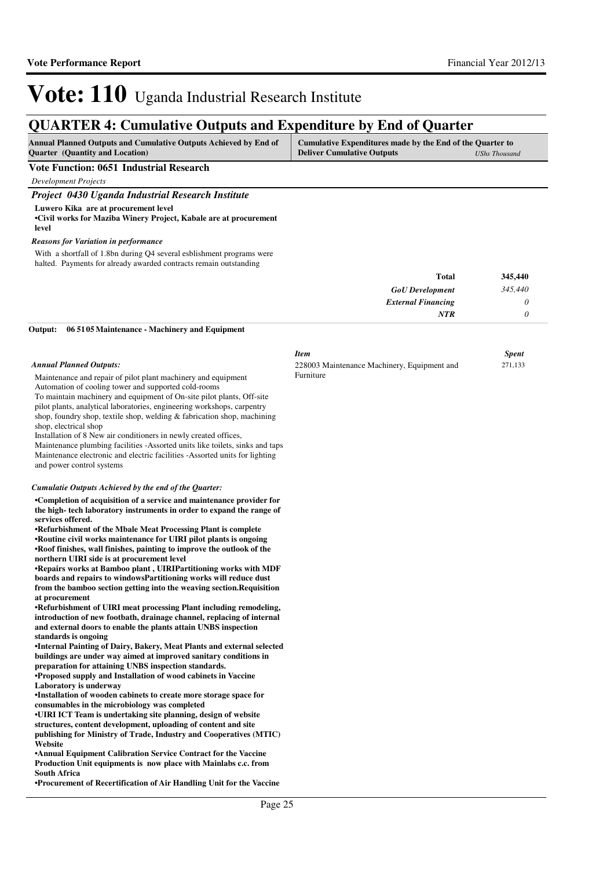271,133

# Vote: 110 Uganda Industrial Research Institute

### **QUARTER 4: Cumulative Outputs and Expenditure by End of Quarter**

| <b>Annual Planned Outputs and Cumulative Outputs Achieved by End of</b> | Cumulative Expenditures made by the End of the Quarter to |               |
|-------------------------------------------------------------------------|-----------------------------------------------------------|---------------|
| <b>Quarter</b> (Quantity and Location)                                  | <b>Deliver Cumulative Outputs</b>                         | UShs Thousand |

#### **Vote Function: 0651 Industrial Research**

*Development Projects*

| Project 0430 Uganda Industrial Research Institute                                                                   |  |
|---------------------------------------------------------------------------------------------------------------------|--|
| Luwero Kika are at procurement level<br>• Civil works for Maziba Winery Project, Kabale are at procurement<br>level |  |

#### *Reasons for Variation in performance*

With a shortfall of 1.8bn during Q4 several esblishment programs were halted. Payments for already awarded contracts remain outstanding

| 345,440 | <b>Total</b>              |
|---------|---------------------------|
| 345,440 | <b>GoU</b> Development    |
|         | <b>External Financing</b> |
| υ       | <b>NTR</b>                |

Furniture

*Item Spent*

228003 Maintenance Machinery, Equipment and

**06 5105 Maintenance - Machinery and Equipment Output:**

#### *Annual Planned Outputs:*

Maintenance and repair of pilot plant machinery and equipment Automation of cooling tower and supported cold-rooms

To maintain machinery and equipment of On-site pilot plants, Off-site pilot plants, analytical laboratories, engineering workshops, carpentry shop, foundry shop, textile shop, welding & fabrication shop, machining shop, electrical shop

Installation of 8 New air conditioners in newly created offices,

Maintenance plumbing facilities -Assorted units like toilets, sinks and taps Maintenance electronic and electric facilities -Assorted units for lighting and power control systems

#### *Cumulatie Outputs Achieved by the end of the Quarter:*

**•Completion of acquisition of a service and maintenance provider for the high- tech laboratory instruments in order to expand the range of services offered.**

**•Refurbishment of the Mbale Meat Processing Plant i s complete •Routine civil works maintenance for UIRI pilot plants is ongoing •Roof finishes, wall finishes, painting to improve the outlook of the northern UIRI side is at procurement level**

**•Repairs works at Bamboo plant , UIRIPartitioning w orks with MDF**  boards and repairs to windowsPartitioning works will reduce dust **from the bamboo section getting into the weaving section.Requisition at procurement**

**•Refurbishment of UIRI meat processing Plant including remodeling, introduction of new footbath, drainage channel, replacing of internal and external doors to enable the plants attain UNBS inspection standards is ongoing**

**•Internal Painting of Dairy, Bakery, Meat Plants and external selected buildings are under way aimed at improved sanitary conditions in preparation for attaining UNBS inspection standards.**

**•Proposed supply and Installation of wood cabinets in Vaccine Laboratory is underway**

**•Installation of wooden cabinets to create more storage space for consumables in the microbiology was completed** 

**•UIRI ICT Team is undertaking site planning, design of website structures, content development, uploading of content and site publishing for Ministry of Trade, Industry and Cooperatives (MTIC) Website**

**•Annual Equipment Calibration Service Contract for the Vaccine Production Unit equipments is now place with Mainlabs c.c. from South Africa**

**•Procurement of Recertification of Air Handling Uni t for the Vaccine**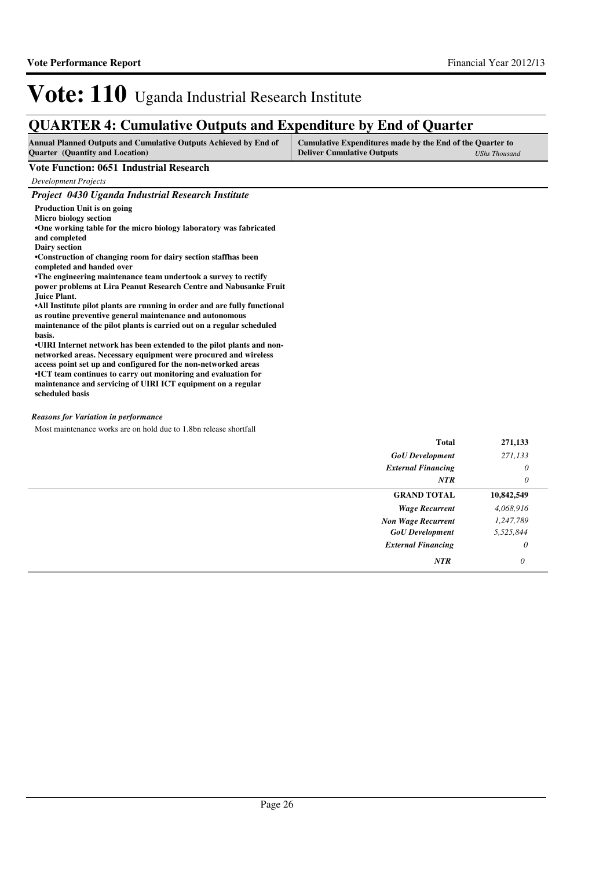### **QUARTER 4: Cumulative Outputs and Expenditure by End of Quarter**

| <b>Annual Planned Outputs and Cumulative Outputs Achieved by End of</b> | Cumulative Expenditures made by the End of the Quarter to |  |
|-------------------------------------------------------------------------|-----------------------------------------------------------|--|
| <b>Ouarter</b> (Quantity and Location)                                  | <b>Deliver Cumulative Outputs</b><br>UShs Thousand        |  |

#### **Vote Function: 0651 Industrial Research**

*Development Projects*

| Project 0430 Uganda Industrial Research Institute                         |
|---------------------------------------------------------------------------|
| Production Unit is on going                                               |
| Micro biology section                                                     |
| •One working table for the micro biology laboratory was fabricated        |
| and completed                                                             |
| <b>Dairy section</b>                                                      |
| •Construction of changing room for dairy section staffhas been            |
| completed and handed over                                                 |
| •The engineering maintenance team undertook a survey to rectify           |
| power problems at Lira Peanut Research Centre and Nabusanke Fruit         |
| Juice Plant.                                                              |
| •All Institute pilot plants are running in order and are fully functional |
| as routine preventive general maintenance and autonomous                  |
| maintenance of the pilot plants is carried out on a regular scheduled     |
| hasis.                                                                    |
| •UIRI Internet network has been extended to the pilot plants and non-     |
| networked areas. Necessary equipment were procured and wireless           |
| access point set up and configured for the non-networked areas            |
| •ICT team continues to carry out monitoring and evaluation for            |
| maintenance and servicing of UIRI ICT equipment on a regular              |
| scheduled basis                                                           |

#### *Reasons for Variation in performance*

Most maintenance works are on hold due to 1.8bn release shortfall

| <b>GoU</b> Development<br>271,133<br><b>External Financing</b><br><b>NTR</b><br><b>GRAND TOTAL</b><br>10,842,549<br>4,068,916<br><b>Wage Recurrent</b> | 271,133 |
|--------------------------------------------------------------------------------------------------------------------------------------------------------|---------|
|                                                                                                                                                        |         |
|                                                                                                                                                        | 0       |
|                                                                                                                                                        | 0       |
|                                                                                                                                                        |         |
|                                                                                                                                                        |         |
| 1,247,789<br><b>Non Wage Recurrent</b>                                                                                                                 |         |
| <b>GoU</b> Development<br>5,525,844                                                                                                                    |         |
| <b>External Financing</b><br>0                                                                                                                         |         |
| <b>NTR</b><br>0                                                                                                                                        |         |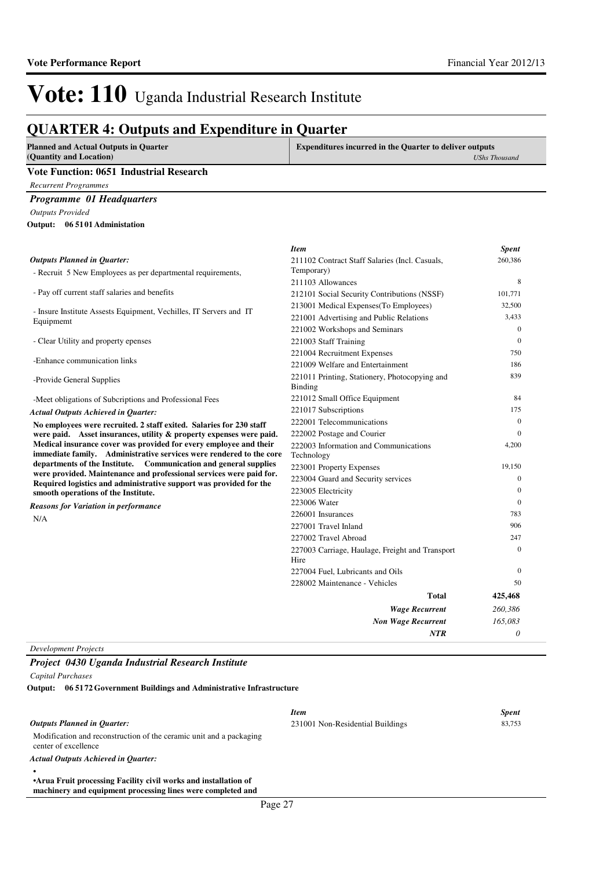### **QUARTER 4: Outputs and Expenditure in Quarter**

| <b>Planned and Actual Outputs in Quarter</b><br>(Quantity and Location)                                                                   | <b>Expenditures incurred in the Quarter to deliver outputs</b><br><b>UShs Thousand</b> |                  |
|-------------------------------------------------------------------------------------------------------------------------------------------|----------------------------------------------------------------------------------------|------------------|
| <b>Vote Function: 0651 Industrial Research</b>                                                                                            |                                                                                        |                  |
| <b>Recurrent Programmes</b>                                                                                                               |                                                                                        |                  |
| Programme 01 Headquarters                                                                                                                 |                                                                                        |                  |
| <b>Outputs Provided</b>                                                                                                                   |                                                                                        |                  |
| Output: 06 5101 Administation                                                                                                             |                                                                                        |                  |
|                                                                                                                                           |                                                                                        |                  |
|                                                                                                                                           | <b>Item</b>                                                                            | <b>Spent</b>     |
| <b>Outputs Planned in Quarter:</b>                                                                                                        | 211102 Contract Staff Salaries (Incl. Casuals,                                         | 260,386          |
| - Recruit 5 New Employees as per departmental requirements,                                                                               | Temporary)                                                                             |                  |
|                                                                                                                                           | 211103 Allowances                                                                      | 8                |
| - Pay off current staff salaries and benefits                                                                                             | 212101 Social Security Contributions (NSSF)                                            | 101,771          |
| - Insure Institute Assests Equipment, Vechilles, IT Servers and IT                                                                        | 213001 Medical Expenses (To Employees)                                                 | 32,500           |
| Equipmemt                                                                                                                                 | 221001 Advertising and Public Relations                                                | 3,433            |
|                                                                                                                                           | 221002 Workshops and Seminars                                                          | $\mathbf{0}$     |
| - Clear Utility and property epenses                                                                                                      | 221003 Staff Training                                                                  | $\mathbf{0}$     |
| -Enhance communication links                                                                                                              | 221004 Recruitment Expenses                                                            | 750              |
|                                                                                                                                           | 221009 Welfare and Entertainment                                                       | 186              |
| -Provide General Supplies                                                                                                                 | 221011 Printing, Stationery, Photocopying and<br>Binding                               | 839              |
| -Meet obligations of Subcriptions and Professional Fees                                                                                   | 221012 Small Office Equipment                                                          | 84               |
| <b>Actual Outputs Achieved in Quarter:</b>                                                                                                | 221017 Subscriptions                                                                   | 175              |
| No employees were recruited. 2 staff exited. Salaries for 230 staff                                                                       | 222001 Telecommunications                                                              | $\mathbf{0}$     |
| were paid. Asset insurances, utility & property expenses were paid.                                                                       | 222002 Postage and Courier                                                             | $\Omega$         |
| Medical insurance cover was provided for every employee and their<br>immediate family. Administrative services were rendered to the core  | 222003 Information and Communications<br>Technology                                    | 4,200            |
| departments of the Institute. Communication and general supplies                                                                          | 223001 Property Expenses                                                               | 19,150           |
| were provided. Maintenance and professional services were paid for.<br>Required logistics and administrative support was provided for the | 223004 Guard and Security services                                                     | $\mathbf{0}$     |
| smooth operations of the Institute.                                                                                                       | 223005 Electricity                                                                     | $\mathbf{0}$     |
| <b>Reasons for Variation in performance</b>                                                                                               | 223006 Water                                                                           | $\boldsymbol{0}$ |
| N/A                                                                                                                                       | 226001 Insurances                                                                      | 783              |
|                                                                                                                                           | 227001 Travel Inland                                                                   | 906              |
|                                                                                                                                           | 227002 Travel Abroad                                                                   | 247              |
|                                                                                                                                           | 227003 Carriage, Haulage, Freight and Transport<br>Hire                                | $\mathbf{0}$     |
|                                                                                                                                           | 227004 Fuel, Lubricants and Oils                                                       | $\mathbf{0}$     |
|                                                                                                                                           | 228002 Maintenance - Vehicles                                                          | 50               |
|                                                                                                                                           | Total                                                                                  | 425,468          |
|                                                                                                                                           | <b>Wage Recurrent</b>                                                                  | 260,386          |
|                                                                                                                                           | <b>Non Wage Recurrent</b>                                                              | 165,083          |
|                                                                                                                                           | <b>NTR</b>                                                                             | $\theta$         |

*Development Projects*

#### *Project 0430 Uganda Industrial Research Institute*

*Capital Purchases*

**06 5172 Government Buildings and Administrative Infrastructure Output:**

|                                                                                                                                 | <b>Item</b>                      | <b>Spent</b> |
|---------------------------------------------------------------------------------------------------------------------------------|----------------------------------|--------------|
| <b>Outputs Planned in Ouarter:</b>                                                                                              | 231001 Non-Residential Buildings | 83.753       |
| Modification and reconstruction of the ceramic unit and a packaging<br>center of excellence                                     |                                  |              |
| <b>Actual Outputs Achieved in Ouarter:</b>                                                                                      |                                  |              |
|                                                                                                                                 |                                  |              |
| • Arua Fruit processing Facility civil works and installation of<br>machinery and equipment processing lines were completed and |                                  |              |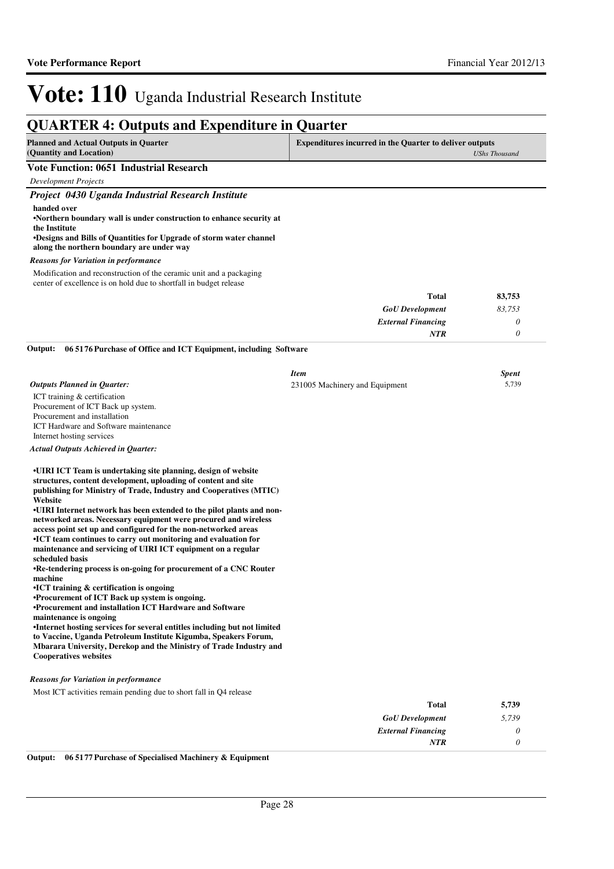|                                                                                                                                                                                                                                                                                                                                                                                                                                                                                                                                                                                                                                                                                                                                                                                                                                                                                                                                                                                                                                                                                                                                                                                                                                                                                                                                                | <b>QUARTER 4: Outputs and Expenditure in Quarter</b>                                   |              |
|------------------------------------------------------------------------------------------------------------------------------------------------------------------------------------------------------------------------------------------------------------------------------------------------------------------------------------------------------------------------------------------------------------------------------------------------------------------------------------------------------------------------------------------------------------------------------------------------------------------------------------------------------------------------------------------------------------------------------------------------------------------------------------------------------------------------------------------------------------------------------------------------------------------------------------------------------------------------------------------------------------------------------------------------------------------------------------------------------------------------------------------------------------------------------------------------------------------------------------------------------------------------------------------------------------------------------------------------|----------------------------------------------------------------------------------------|--------------|
| <b>Planned and Actual Outputs in Quarter</b><br>(Quantity and Location)                                                                                                                                                                                                                                                                                                                                                                                                                                                                                                                                                                                                                                                                                                                                                                                                                                                                                                                                                                                                                                                                                                                                                                                                                                                                        | <b>Expenditures incurred in the Quarter to deliver outputs</b><br><b>UShs Thousand</b> |              |
| <b>Vote Function: 0651 Industrial Research</b>                                                                                                                                                                                                                                                                                                                                                                                                                                                                                                                                                                                                                                                                                                                                                                                                                                                                                                                                                                                                                                                                                                                                                                                                                                                                                                 |                                                                                        |              |
| <b>Development Projects</b>                                                                                                                                                                                                                                                                                                                                                                                                                                                                                                                                                                                                                                                                                                                                                                                                                                                                                                                                                                                                                                                                                                                                                                                                                                                                                                                    |                                                                                        |              |
| Project 0430 Uganda Industrial Research Institute                                                                                                                                                                                                                                                                                                                                                                                                                                                                                                                                                                                                                                                                                                                                                                                                                                                                                                                                                                                                                                                                                                                                                                                                                                                                                              |                                                                                        |              |
| handed over<br>•Northern boundary wall is under construction to enhance security at<br>the Institute<br><b>•Designs and Bills of Quantities for Upgrade of storm water channel</b><br>along the northern boundary are under way                                                                                                                                                                                                                                                                                                                                                                                                                                                                                                                                                                                                                                                                                                                                                                                                                                                                                                                                                                                                                                                                                                                |                                                                                        |              |
| <b>Reasons for Variation in performance</b>                                                                                                                                                                                                                                                                                                                                                                                                                                                                                                                                                                                                                                                                                                                                                                                                                                                                                                                                                                                                                                                                                                                                                                                                                                                                                                    |                                                                                        |              |
| Modification and reconstruction of the ceramic unit and a packaging<br>center of excellence is on hold due to shortfall in budget release                                                                                                                                                                                                                                                                                                                                                                                                                                                                                                                                                                                                                                                                                                                                                                                                                                                                                                                                                                                                                                                                                                                                                                                                      |                                                                                        |              |
|                                                                                                                                                                                                                                                                                                                                                                                                                                                                                                                                                                                                                                                                                                                                                                                                                                                                                                                                                                                                                                                                                                                                                                                                                                                                                                                                                | Total                                                                                  | 83,753       |
|                                                                                                                                                                                                                                                                                                                                                                                                                                                                                                                                                                                                                                                                                                                                                                                                                                                                                                                                                                                                                                                                                                                                                                                                                                                                                                                                                | <b>GoU</b> Development                                                                 | 83,753       |
|                                                                                                                                                                                                                                                                                                                                                                                                                                                                                                                                                                                                                                                                                                                                                                                                                                                                                                                                                                                                                                                                                                                                                                                                                                                                                                                                                | <b>External Financing</b>                                                              | 0            |
|                                                                                                                                                                                                                                                                                                                                                                                                                                                                                                                                                                                                                                                                                                                                                                                                                                                                                                                                                                                                                                                                                                                                                                                                                                                                                                                                                | NTR                                                                                    | 0            |
| Output:<br>06 5176 Purchase of Office and ICT Equipment, including Software                                                                                                                                                                                                                                                                                                                                                                                                                                                                                                                                                                                                                                                                                                                                                                                                                                                                                                                                                                                                                                                                                                                                                                                                                                                                    |                                                                                        |              |
|                                                                                                                                                                                                                                                                                                                                                                                                                                                                                                                                                                                                                                                                                                                                                                                                                                                                                                                                                                                                                                                                                                                                                                                                                                                                                                                                                | <b>Item</b>                                                                            | <b>Spent</b> |
| <b>Outputs Planned in Quarter:</b>                                                                                                                                                                                                                                                                                                                                                                                                                                                                                                                                                                                                                                                                                                                                                                                                                                                                                                                                                                                                                                                                                                                                                                                                                                                                                                             | 231005 Machinery and Equipment                                                         | 5,739        |
| ICT training & certification<br>Procurement of ICT Back up system.<br>Procurement and installation<br>ICT Hardware and Software maintenance<br>Internet hosting services<br><b>Actual Outputs Achieved in Quarter:</b><br>•UIRI ICT Team is undertaking site planning, design of website<br>structures, content development, uploading of content and site<br>publishing for Ministry of Trade, Industry and Cooperatives (MTIC)<br>Website<br>•UIRI Internet network has been extended to the pilot plants and non-<br>networked areas. Necessary equipment were procured and wireless<br>access point set up and configured for the non-networked areas<br>•ICT team continues to carry out monitoring and evaluation for<br>maintenance and servicing of UIRI ICT equipment on a regular<br>scheduled basis<br>•Re-tendering process is on-going for procurement of a CNC Router<br>machine<br>$\cdot$ ICT training & certification is ongoing<br>•Procurement of ICT Back up system is ongoing.<br>•Procurement and installation ICT Hardware and Software<br>maintenance is ongoing<br>•Internet hosting services for several entitles including but not limited<br>to Vaccine, Uganda Petroleum Institute Kigumba, Speakers Forum,<br>Mbarara University, Derekop and the Ministry of Trade Industry and<br><b>Cooperatives websites</b> |                                                                                        |              |
| <b>Reasons for Variation in performance</b>                                                                                                                                                                                                                                                                                                                                                                                                                                                                                                                                                                                                                                                                                                                                                                                                                                                                                                                                                                                                                                                                                                                                                                                                                                                                                                    |                                                                                        |              |
| Most ICT activities remain pending due to short fall in Q4 release                                                                                                                                                                                                                                                                                                                                                                                                                                                                                                                                                                                                                                                                                                                                                                                                                                                                                                                                                                                                                                                                                                                                                                                                                                                                             |                                                                                        |              |
|                                                                                                                                                                                                                                                                                                                                                                                                                                                                                                                                                                                                                                                                                                                                                                                                                                                                                                                                                                                                                                                                                                                                                                                                                                                                                                                                                | <b>Total</b>                                                                           | 5,739        |

| 5,739 | Total                     |
|-------|---------------------------|
| 5,739 | <b>GoU</b> Development    |
|       | <b>External Financing</b> |
|       | NTR                       |
|       |                           |

**Output: 06 5177 Purchase of Specialised Machinery & Equipment**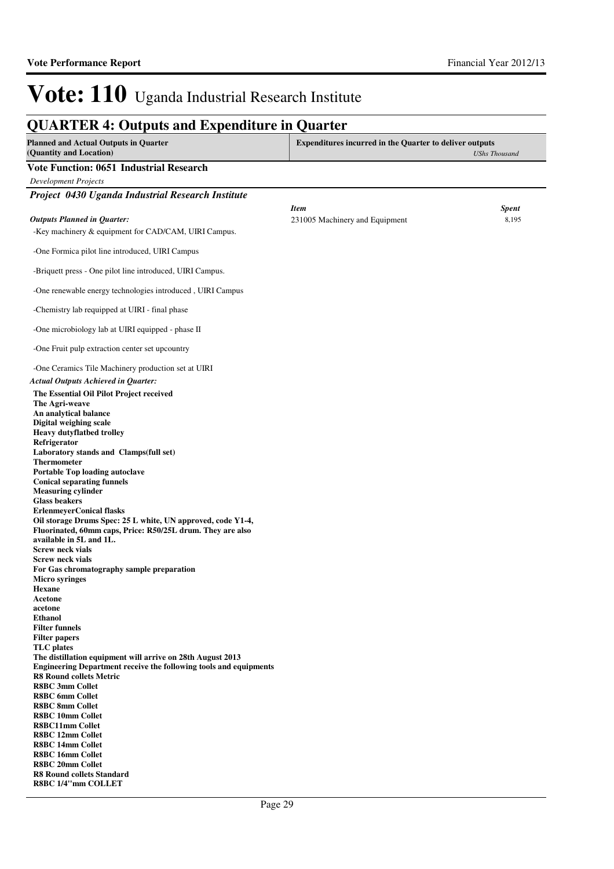### **QUARTER 4: Outputs and Expenditure in Quarter**

| <b>Planned and Actual Outputs in Quarter</b><br>(Quantity and Location)                                                   | <b>Expenditures incurred in the Quarter to deliver outputs</b> | <b>UShs Thousand</b> |
|---------------------------------------------------------------------------------------------------------------------------|----------------------------------------------------------------|----------------------|
| <b>Vote Function: 0651 Industrial Research</b>                                                                            |                                                                |                      |
| <b>Development Projects</b>                                                                                               |                                                                |                      |
| Project 0430 Uganda Industrial Research Institute                                                                         |                                                                |                      |
|                                                                                                                           | <b>Item</b>                                                    | <b>Spent</b>         |
| <b>Outputs Planned in Quarter:</b>                                                                                        | 231005 Machinery and Equipment                                 | 8,195                |
| -Key machinery & equipment for CAD/CAM, UIRI Campus.                                                                      |                                                                |                      |
|                                                                                                                           |                                                                |                      |
| -One Formica pilot line introduced, UIRI Campus                                                                           |                                                                |                      |
| -Briquett press - One pilot line introduced, UIRI Campus.                                                                 |                                                                |                      |
| -One renewable energy technologies introduced, UIRI Campus                                                                |                                                                |                      |
| -Chemistry lab requipped at UIRI - final phase                                                                            |                                                                |                      |
| -One microbiology lab at UIRI equipped - phase II                                                                         |                                                                |                      |
| -One Fruit pulp extraction center set upcountry                                                                           |                                                                |                      |
| -One Ceramics Tile Machinery production set at UIRI                                                                       |                                                                |                      |
| <b>Actual Outputs Achieved in Quarter:</b>                                                                                |                                                                |                      |
| The Essential Oil Pilot Project received                                                                                  |                                                                |                      |
| The Agri-weave                                                                                                            |                                                                |                      |
| An analytical balance<br>Digital weighing scale                                                                           |                                                                |                      |
| <b>Heavy dutyflatbed trolley</b>                                                                                          |                                                                |                      |
| Refrigerator                                                                                                              |                                                                |                      |
| Laboratory stands and Clamps(full set)                                                                                    |                                                                |                      |
| <b>Thermometer</b>                                                                                                        |                                                                |                      |
| Portable Top loading autoclave<br><b>Conical separating funnels</b>                                                       |                                                                |                      |
| <b>Measuring cylinder</b>                                                                                                 |                                                                |                      |
| <b>Glass beakers</b>                                                                                                      |                                                                |                      |
| <b>ErlenmeyerConical flasks</b>                                                                                           |                                                                |                      |
| Oil storage Drums Spec: 25 L white, UN approved, code Y1-4,<br>Fluorinated, 60mm caps, Price: R50/25L drum. They are also |                                                                |                      |
| available in 5L and 1L.                                                                                                   |                                                                |                      |
| <b>Screw neck vials</b>                                                                                                   |                                                                |                      |
| <b>Screw neck vials</b>                                                                                                   |                                                                |                      |
| For Gas chromatography sample preparation                                                                                 |                                                                |                      |
| <b>Micro syringes</b><br><b>Hexane</b>                                                                                    |                                                                |                      |
| Acetone                                                                                                                   |                                                                |                      |
| acetone                                                                                                                   |                                                                |                      |
| <b>Ethanol</b>                                                                                                            |                                                                |                      |
| <b>Filter funnels</b><br><b>Filter papers</b>                                                                             |                                                                |                      |
| <b>TLC</b> plates                                                                                                         |                                                                |                      |
| The distillation equipment will arrive on 28th August 2013                                                                |                                                                |                      |
| Engineering Department receive the following tools and equipments                                                         |                                                                |                      |
| <b>R8 Round collets Metric</b><br><b>R8BC 3mm Collet</b>                                                                  |                                                                |                      |
| <b>R8BC</b> 6mm Collet                                                                                                    |                                                                |                      |
| <b>R8BC 8mm Collet</b>                                                                                                    |                                                                |                      |
| <b>R8BC 10mm Collet</b>                                                                                                   |                                                                |                      |
| <b>R8BC11mm Collet</b>                                                                                                    |                                                                |                      |
| <b>R8BC 12mm Collet</b><br><b>R8BC 14mm Collet</b>                                                                        |                                                                |                      |
| <b>R8BC 16mm Collet</b>                                                                                                   |                                                                |                      |
| <b>R8BC 20mm Collet</b>                                                                                                   |                                                                |                      |
| <b>R8 Round collets Standard</b>                                                                                          |                                                                |                      |
| R8BC 1/4"mm COLLET                                                                                                        |                                                                |                      |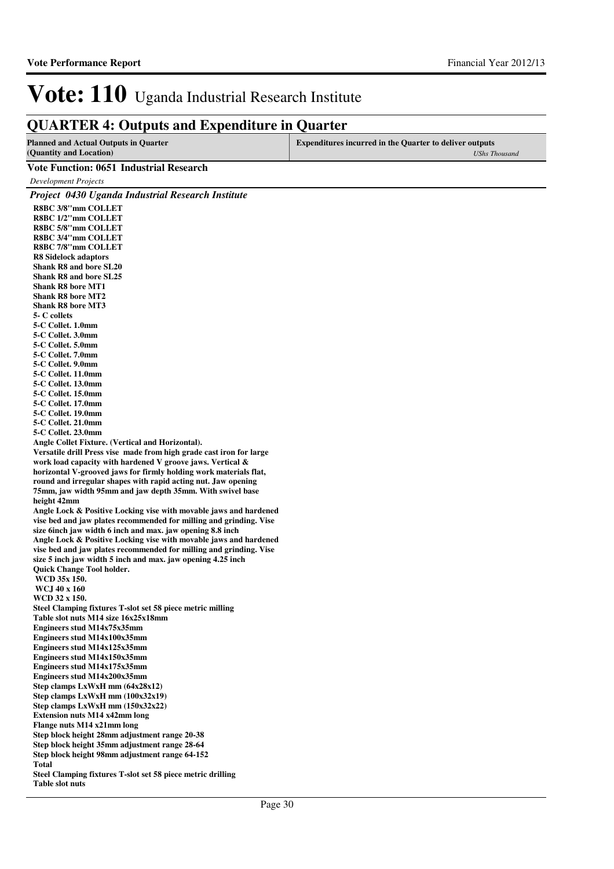### **QUARTER 4: Outputs and Expenditure in Quarter**

| <b>Planned and Actual Outputs in Quarter</b> | <b>Expenditures incurred in the Quarter to deliver outputs</b> |
|----------------------------------------------|----------------------------------------------------------------|
| (Quantity and Location)                      | UShs Thousand                                                  |

#### **Vote Function: 0651 Industrial Research**

*Development Projects*

*Project 0430 Uganda Industrial Research Institute*

**R8BC 3/8''mm COLLET R8BC 1/2''mm COLLET R8BC 5/8''mm COLLET R8BC 3/4''mm COLLET R8BC 7/8''mm COLLET R8 Sidelock adaptors Shank R8 and bore SL20 Shank R8 and bore SL25 Shank R8 bore MT1 Shank R8 bore MT2 Shank R8 bore MT3 5- C collets 5-C Collet. 1.0mm 5-C Collet. 3.0mm 5-C Collet. 5.0mm 5-C Collet. 7.0mm 5-C Collet. 9.0mm 5-C Collet. 11.0mm 5-C Collet. 13.0mm 5-C Collet. 15.0mm 5-C Collet. 17.0mm 5-C Collet. 19.0mm 5-C Collet. 21.0mm 5-C Collet. 23.0mm Angle Collet Fixture. (Vertical and Horizontal). Versatile drill Press vise made from high grade cast iron for large work load capacity with hardened V groove jaws. Vertical & horizontal V-grooved jaws for firmly holding work materials flat, round and irregular shapes with rapid acting nut. Jaw opening 75mm, jaw width 95mm and jaw depth 35mm. With swivel base height 42mm Angle Lock & Positive Locking vise with movable jaws and hardened vise bed and jaw plates recommended for milling and grinding. Vise size 6inch jaw width 6 inch and max. jaw opening 8.8 inch Angle Lock & Positive Locking vise with movable jaws and hardened vise bed and jaw plates recommended for milling and grinding. Vise size 5 inch jaw width 5 inch and max. jaw opening 4.25 inch Quick Change Tool holder. WCD 35x 150. WCJ 40 x 160 WCD 32 x 150. Steel Clamping fixtures T-slot set 58 piece metric milling Table slot nuts M14 size 16x25x18mm Engineers stud M14x75x35mm Engineers stud M14x100x35mm Engineers stud M14x125x35mm Engineers stud M14x150x35mm Engineers stud M14x175x35mm Engineers stud M14x200x35mm Step clamps LxWxH mm (64x28x12) Step clamps LxWxH mm (100x32x19) Step clamps LxWxH mm (150x32x22) Extension nuts M14 x42mm long Flange nuts M14 x21mm long Step block height 28mm adjustment range 20-38 Step block height 35mm adjustment range 28-64 Step block height 98mm adjustment range 64-152 Total Steel Clamping fixtures T-slot set 58 piece metric drilling**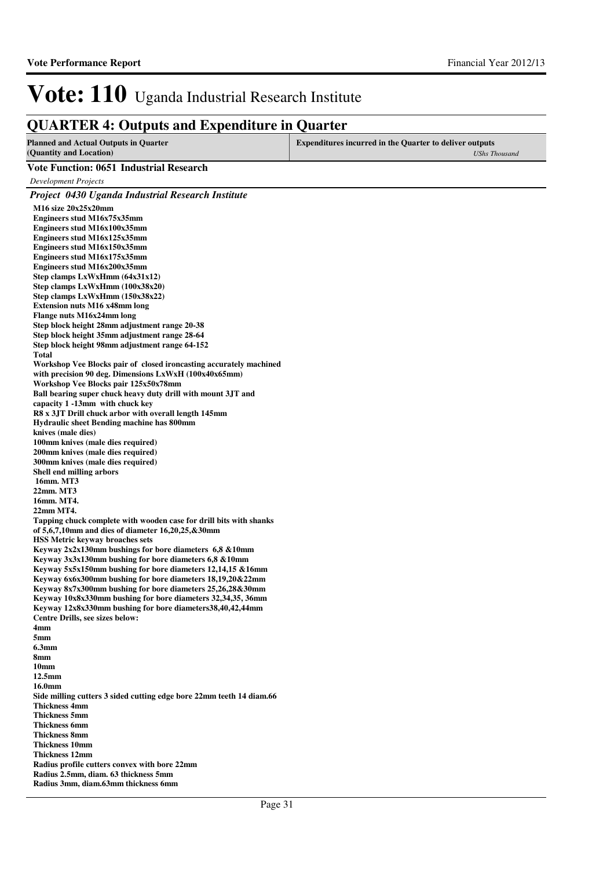### **QUARTER 4: Outputs and Expenditure in Quarter**

| <b>Planned and Actual Outputs in Quarter</b> | <b>Expenditures incurred in the Quarter to deliver outputs</b> |
|----------------------------------------------|----------------------------------------------------------------|
| (Quantity and Location)                      | <b>UShs Thousand</b>                                           |
| Vote Function: 0651 Industrial Research      |                                                                |

**Vote Function: 0651 Industrial Research** *Development Projects Project 0430 Uganda Industrial Research Institute* **M16 size 20x25x20mm Engineers stud M16x75x35mm Engineers stud M16x100x35mm Engineers stud M16x125x35mm Engineers stud M16x150x35mm Engineers stud M16x175x35mm Engineers stud M16x200x35mm Step clamps LxWxHmm (64x31x12) Step clamps LxWxHmm (100x38x20) Step clamps LxWxHmm (150x38x22) Extension nuts M16 x48mm long Flange nuts M16x24mm long Step block height 28mm adjustment range 20-38 Step block height 35mm adjustment range 28-64 Step block height 98mm adjustment range 64-152 Total Workshop Vee Blocks pair of closed ironcasting accurately machined with precision 90 deg. Dimensions LxWxH (100x40x65mm) Workshop Vee Blocks pair 125x50x78mm Ball bearing super chuck heavy duty drill with mount 3JT and capacity 1 -13mm with chuck key R8 x 3JT Drill chuck arbor with overall length 145mm Hydraulic sheet Bending machine has 800mm knives (male dies) 100mm knives (male dies required) 200mm knives (male dies required) 300mm knives (male dies required) Shell end milling arbors 16mm. MT3 22mm. MT3 16mm. MT4. 22mm MT4. Tapping chuck complete with wooden case for drill bits with shanks of 5,6,7,10mm and dies of diameter 16,20,25,&30mm HSS Metric keyway broaches sets Keyway 2x2x130mm bushings for bore diameters 6,8 &10mm Keyway 3x3x130mm bushing for bore diameters 6,8 &10mm Keyway 5x5x150mm bushing for bore diameters 12,14,15 &16mm Keyway 6x6x300mm bushing for bore diameters 18,19,20&22mm Keyway 8x7x300mm bushing for bore diameters 25,26,28&30mm Keyway 10x8x330mm bushing for bore diameters 32,34,35, 36mm Keyway 12x8x330mm bushing for bore diameters38,40,42,44mm Centre Drills, see sizes below: 4mm 5mm 6.3mm 8mm 10mm 12.5mm 16.0mm Side milling cutters 3 sided cutting edge bore 22mm teeth 14 diam.66 Thickness 4mm Thickness 5mm Thickness 6mm Thickness 8mm Thickness 10mm Thickness 12mm Radius profile cutters convex with bore 22mm Radius 2.5mm, diam. 63 thickness 5mm Radius 3mm, diam.63mm thickness 6mm** Page 31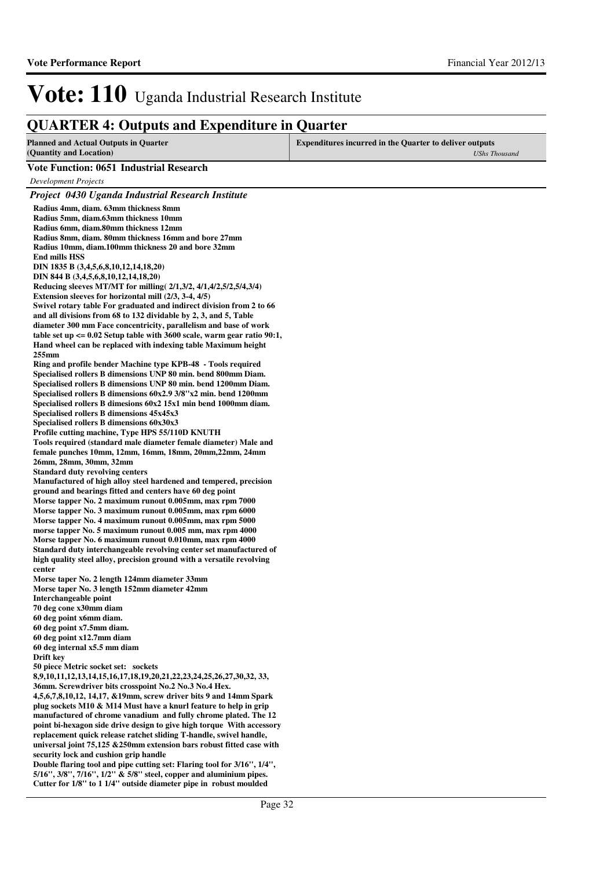### **QUARTER 4: Outputs and Expenditure in Quarter**

| <b>Planned and Actual Outputs in Quarter</b><br>(Quantity and Location)                                                                                                                                                                                                                                                                                                                                                                                                                                                                                                                                                                                                                                                                                                                                                                                                                                                                                                                                                                                                                                                                                                                                                                                                                                                                                                                                                                                                                                                                                                                                                                                                                                                                                                                                                                                                                                                                                                                                                                                                                                                                                                                                                                                                                                                                                                                                                                                                    | <b>Expenditures incurred in the Quarter to deliver outputs</b><br><b>UShs Thousand</b> |
|----------------------------------------------------------------------------------------------------------------------------------------------------------------------------------------------------------------------------------------------------------------------------------------------------------------------------------------------------------------------------------------------------------------------------------------------------------------------------------------------------------------------------------------------------------------------------------------------------------------------------------------------------------------------------------------------------------------------------------------------------------------------------------------------------------------------------------------------------------------------------------------------------------------------------------------------------------------------------------------------------------------------------------------------------------------------------------------------------------------------------------------------------------------------------------------------------------------------------------------------------------------------------------------------------------------------------------------------------------------------------------------------------------------------------------------------------------------------------------------------------------------------------------------------------------------------------------------------------------------------------------------------------------------------------------------------------------------------------------------------------------------------------------------------------------------------------------------------------------------------------------------------------------------------------------------------------------------------------------------------------------------------------------------------------------------------------------------------------------------------------------------------------------------------------------------------------------------------------------------------------------------------------------------------------------------------------------------------------------------------------------------------------------------------------------------------------------------------------|----------------------------------------------------------------------------------------|
| <b>Vote Function: 0651 Industrial Research</b>                                                                                                                                                                                                                                                                                                                                                                                                                                                                                                                                                                                                                                                                                                                                                                                                                                                                                                                                                                                                                                                                                                                                                                                                                                                                                                                                                                                                                                                                                                                                                                                                                                                                                                                                                                                                                                                                                                                                                                                                                                                                                                                                                                                                                                                                                                                                                                                                                             |                                                                                        |
| Development Projects                                                                                                                                                                                                                                                                                                                                                                                                                                                                                                                                                                                                                                                                                                                                                                                                                                                                                                                                                                                                                                                                                                                                                                                                                                                                                                                                                                                                                                                                                                                                                                                                                                                                                                                                                                                                                                                                                                                                                                                                                                                                                                                                                                                                                                                                                                                                                                                                                                                       |                                                                                        |
|                                                                                                                                                                                                                                                                                                                                                                                                                                                                                                                                                                                                                                                                                                                                                                                                                                                                                                                                                                                                                                                                                                                                                                                                                                                                                                                                                                                                                                                                                                                                                                                                                                                                                                                                                                                                                                                                                                                                                                                                                                                                                                                                                                                                                                                                                                                                                                                                                                                                            |                                                                                        |
| Project 0430 Uganda Industrial Research Institute<br>Radius 4mm, diam. 63mm thickness 8mm<br>Radius 5mm, diam.63mm thickness 10mm<br>Radius 6mm, diam.80mm thickness 12mm<br>Radius 8mm, diam. 80mm thickness 16mm and bore 27mm<br>Radius 10mm, diam.100mm thickness 20 and bore 32mm<br><b>End mills HSS</b><br>DIN 1835 B (3,4,5,6,8,10,12,14,18,20)<br>DIN 844 B (3,4,5,6,8,10,12,14,18,20)<br>Reducing sleeves MT/MT for milling (2/1,3/2, 4/1,4/2,5/2,5/4,3/4)<br>Extension sleeves for horizontal mill (2/3, 3-4, 4/5)<br>Swivel rotary table For graduated and indirect division from 2 to 66<br>and all divisions from 68 to 132 dividable by 2, 3, and 5, Table<br>diameter 300 mm Face concentricity, parallelism and base of work<br>table set up $\leq 0.02$ Setup table with 3600 scale, warm gear ratio 90:1,<br>Hand wheel can be replaced with indexing table Maximum height<br>$255$ mm<br>Ring and profile bender Machine type KPB-48 - Tools required<br>Specialised rollers B dimensions UNP 80 min. bend 800mm Diam.<br>Specialised rollers B dimensions UNP 80 min. bend 1200mm Diam.<br>Specialised rollers B dimensions 60x2.9 3/8"x2 min. bend 1200mm<br>Specialised rollers B dimesions 60x2 15x1 min bend 1000mm diam.<br>Specialised rollers B dimensions 45x45x3<br>Specialised rollers B dimensions 60x30x3<br>Profile cutting machine, Type HPS 55/110D KNUTH<br>Tools required (standard male diameter female diameter) Male and<br>female punches 10mm, 12mm, 16mm, 18mm, 20mm, 22mm, 24mm<br>26mm, 28mm, 30mm, 32mm<br><b>Standard duty revolving centers</b><br>Manufactured of high alloy steel hardened and tempered, precision<br>ground and bearings fitted and centers have 60 deg point<br>Morse tapper No. 2 maximum runout 0.005mm, max rpm 7000<br>Morse tapper No. 3 maximum runout 0.005mm, max rpm 6000<br>Morse tapper No. 4 maximum runout 0.005mm, max rpm 5000<br>morse tapper No. 5 maximum runout 0.005 mm, max rpm 4000<br>Morse tapper No. 6 maximum runout 0.010mm, max rpm 4000<br>Standard duty interchangeable revolving center set manufactured of<br>high quality steel alloy, precision ground with a versatile revolving<br>center<br>Morse taper No. 2 length 124mm diameter 33mm<br>Morse taper No. 3 length 152mm diameter 42mm<br>Interchangeable point<br>70 deg cone x30mm diam<br>60 deg point x6mm diam.<br>60 deg point x7.5mm diam.<br>60 deg point x12.7mm diam<br>60 deg internal x5.5 mm diam |                                                                                        |
| Drift key                                                                                                                                                                                                                                                                                                                                                                                                                                                                                                                                                                                                                                                                                                                                                                                                                                                                                                                                                                                                                                                                                                                                                                                                                                                                                                                                                                                                                                                                                                                                                                                                                                                                                                                                                                                                                                                                                                                                                                                                                                                                                                                                                                                                                                                                                                                                                                                                                                                                  |                                                                                        |
| 50 piece Metric socket set: sockets<br>8,9,10,11,12,13,14,15,16,17,18,19,20,21,22,23,24,25,26,27,30,32, 33,<br>36mm. Screwdriver bits crosspoint No.2 No.3 No.4 Hex.                                                                                                                                                                                                                                                                                                                                                                                                                                                                                                                                                                                                                                                                                                                                                                                                                                                                                                                                                                                                                                                                                                                                                                                                                                                                                                                                                                                                                                                                                                                                                                                                                                                                                                                                                                                                                                                                                                                                                                                                                                                                                                                                                                                                                                                                                                       |                                                                                        |
| 4,5,6,7,8,10,12, 14,17, & 19mm, screw driver bits 9 and 14mm Spark<br>plug sockets M10 & M14 Must have a knurl feature to help in grip                                                                                                                                                                                                                                                                                                                                                                                                                                                                                                                                                                                                                                                                                                                                                                                                                                                                                                                                                                                                                                                                                                                                                                                                                                                                                                                                                                                                                                                                                                                                                                                                                                                                                                                                                                                                                                                                                                                                                                                                                                                                                                                                                                                                                                                                                                                                     |                                                                                        |
| manufactured of chrome vanadium and fully chrome plated. The 12<br>point bi-hexagon side drive design to give high torque With accessory                                                                                                                                                                                                                                                                                                                                                                                                                                                                                                                                                                                                                                                                                                                                                                                                                                                                                                                                                                                                                                                                                                                                                                                                                                                                                                                                                                                                                                                                                                                                                                                                                                                                                                                                                                                                                                                                                                                                                                                                                                                                                                                                                                                                                                                                                                                                   |                                                                                        |
| replacement quick release ratchet sliding T-handle, swivel handle,                                                                                                                                                                                                                                                                                                                                                                                                                                                                                                                                                                                                                                                                                                                                                                                                                                                                                                                                                                                                                                                                                                                                                                                                                                                                                                                                                                                                                                                                                                                                                                                                                                                                                                                                                                                                                                                                                                                                                                                                                                                                                                                                                                                                                                                                                                                                                                                                         |                                                                                        |
| universal joint $75,125$ $&250$ mm extension bars robust fitted case with<br>security lock and cushion grip handle                                                                                                                                                                                                                                                                                                                                                                                                                                                                                                                                                                                                                                                                                                                                                                                                                                                                                                                                                                                                                                                                                                                                                                                                                                                                                                                                                                                                                                                                                                                                                                                                                                                                                                                                                                                                                                                                                                                                                                                                                                                                                                                                                                                                                                                                                                                                                         |                                                                                        |
| Double flaring tool and pipe cutting set: Flaring tool for 3/16", 1/4",<br>5/16", 3/8", 7/16", 1/2" & 5/8" steel, copper and aluminium pipes.                                                                                                                                                                                                                                                                                                                                                                                                                                                                                                                                                                                                                                                                                                                                                                                                                                                                                                                                                                                                                                                                                                                                                                                                                                                                                                                                                                                                                                                                                                                                                                                                                                                                                                                                                                                                                                                                                                                                                                                                                                                                                                                                                                                                                                                                                                                              |                                                                                        |

**Cutter for 1/8'' to 1 1/4'' outside diameter pipe in robust moulded**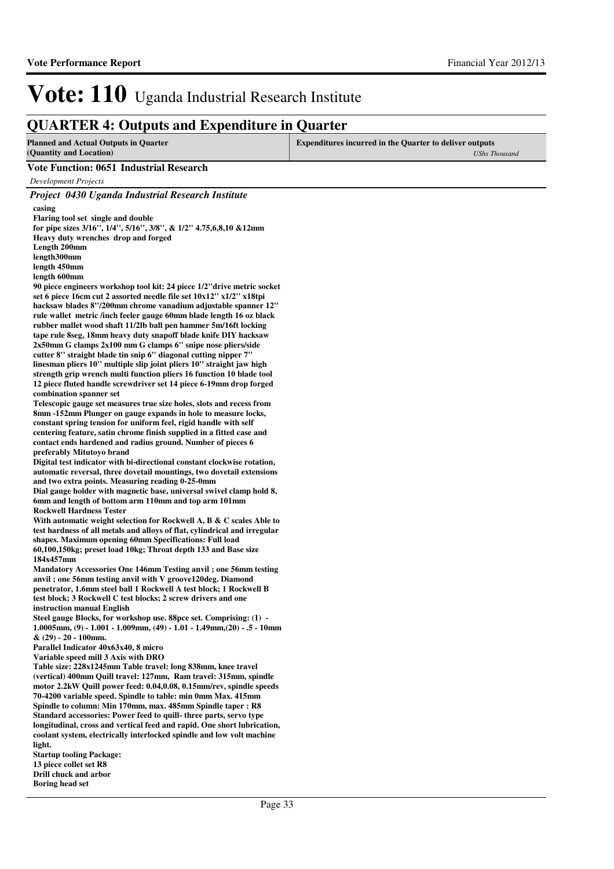### **QUARTER 4: Outputs and Expenditure in Quarter**

| VUANTEN 7. Outputs and Expenditure in Quarter                                                                                                 |                                                                                        |
|-----------------------------------------------------------------------------------------------------------------------------------------------|----------------------------------------------------------------------------------------|
| <b>Planned and Actual Outputs in Quarter</b><br>(Quantity and Location)                                                                       | <b>Expenditures incurred in the Quarter to deliver outputs</b><br><b>UShs Thousand</b> |
| <b>Vote Function: 0651 Industrial Research</b>                                                                                                |                                                                                        |
| <b>Development Projects</b>                                                                                                                   |                                                                                        |
| Project 0430 Uganda Industrial Research Institute                                                                                             |                                                                                        |
| casing                                                                                                                                        |                                                                                        |
| Flaring tool set single and double                                                                                                            |                                                                                        |
| for pipe sizes 3/16", 1/4", 5/16", 3/8", & 1/2" 4.75,6,8,10 & 12mm                                                                            |                                                                                        |
| Heavy duty wrenches drop and forged                                                                                                           |                                                                                        |
| Length 200mm<br>length300mm                                                                                                                   |                                                                                        |
| length 450mm                                                                                                                                  |                                                                                        |
| length 600mm                                                                                                                                  |                                                                                        |
| 90 piece engineers workshop tool kit: 24 piece 1/2"drive metric socket                                                                        |                                                                                        |
| set 6 piece 16cm cut 2 assorted needle file set 10x12" x1/2" x18tpi                                                                           |                                                                                        |
| hacksaw blades 8"/200mm chrome vanadium adjustable spanner 12"<br>rule wallet metric/inch feeler gauge 60mm blade length 16 oz black          |                                                                                        |
| rubber mallet wood shaft 11/2lb ball pen hammer 5m/16ft locking                                                                               |                                                                                        |
| tape rule 8seg, 18mm heavy duty snapoff blade knife DIY hacksaw                                                                               |                                                                                        |
| 2x50mm G clamps 2x100 mm G clamps 6" snipe nose pliers/side                                                                                   |                                                                                        |
| cutter 8" straight blade tin snip 6" diagonal cutting nipper 7"                                                                               |                                                                                        |
| linesman pliers 10" multiple slip joint pliers 10" straight jaw high<br>strength grip wrench multi function pliers 16 function 10 blade tool  |                                                                                        |
| 12 piece fluted handle screwdriver set 14 piece 6-19mm drop forged                                                                            |                                                                                        |
| combination spanner set                                                                                                                       |                                                                                        |
| Telescopic gauge set measures true size holes, slots and recess from                                                                          |                                                                                        |
| 8mm -152mm Plunger on gauge expands in hole to measure locks,                                                                                 |                                                                                        |
| constant spring tension for uniform feel, rigid handle with self<br>centering feature, satin chrome finish supplied in a fitted case and      |                                                                                        |
| contact ends hardened and radius ground. Number of pieces 6                                                                                   |                                                                                        |
| preferably Mitutoyo brand                                                                                                                     |                                                                                        |
| Digital test indicator with bi-directional constant clockwise rotation,                                                                       |                                                                                        |
| automatic reversal, three dovetail mountings, two dovetail extensions                                                                         |                                                                                        |
| and two extra points. Measuring reading 0-25-0mm<br>Dial gauge holder with magnetic base, universal swivel clamp hold 8,                      |                                                                                        |
| 6mm and length of bottom arm 110mm and top arm 101mm                                                                                          |                                                                                        |
| <b>Rockwell Hardness Tester</b>                                                                                                               |                                                                                        |
| With automatic weight selection for Rockwell A, B $\&$ C scales Able to                                                                       |                                                                                        |
| test hardness of all metals and alloys of flat, cylindrical and irregular                                                                     |                                                                                        |
| shapes. Maximum opening 60mm Specifications: Full load<br>60,100,150kg; preset load 10kg; Throat depth 133 and Base size                      |                                                                                        |
| 184x457mm                                                                                                                                     |                                                                                        |
| Mandatory Accessories One 146mm Testing anvil; one 56mm testing                                                                               |                                                                                        |
| anvil; one 56mm testing anvil with V groove 120 deg. Diamond                                                                                  |                                                                                        |
| penetrator, 1.6mm steel ball 1 Rockwell A test block; 1 Rockwell B                                                                            |                                                                                        |
| test block; 3 Rockwell C test blocks; 2 screw drivers and one<br>instruction manual English                                                   |                                                                                        |
| Steel gauge Blocks, for workshop use. 88pce set. Comprising: (1) -                                                                            |                                                                                        |
| 1.0005mm, (9) - 1.001 - 1.009mm, (49) - 1.01 - 1.49mm, (20) - .5 - 10mm                                                                       |                                                                                        |
| $& (29) - 20 - 100$ mm.                                                                                                                       |                                                                                        |
| Parallel Indicator 40x63x40, 8 micro                                                                                                          |                                                                                        |
| Variable speed mill 3 Axis with DRO<br>Table size: 228x1245mm Table travel: long 838mm, knee travel                                           |                                                                                        |
| (vertical) 400mm Quill travel: 127mm, Ram travel: 315mm, spindle                                                                              |                                                                                        |
| motor 2.2kW Quill power feed: 0.04,0.08, 0.15mm/rev, spindle speeds                                                                           |                                                                                        |
| 70-4200 variable speed. Spindle to table: min 0mm Max. 415mm                                                                                  |                                                                                        |
| Spindle to column: Min 170mm, max. 485mm Spindle taper : R8                                                                                   |                                                                                        |
| Standard accessories: Power feed to quill- three parts, servo type<br>longitudinal, cross and vertical feed and rapid. One short lubrication, |                                                                                        |
| coolant system, electrically interlocked spindle and low volt machine                                                                         |                                                                                        |
| light.                                                                                                                                        |                                                                                        |
| <b>Startup tooling Package:</b>                                                                                                               |                                                                                        |
| 13 piece collet set R8                                                                                                                        |                                                                                        |

**Drill chuck and arbor Boring head set**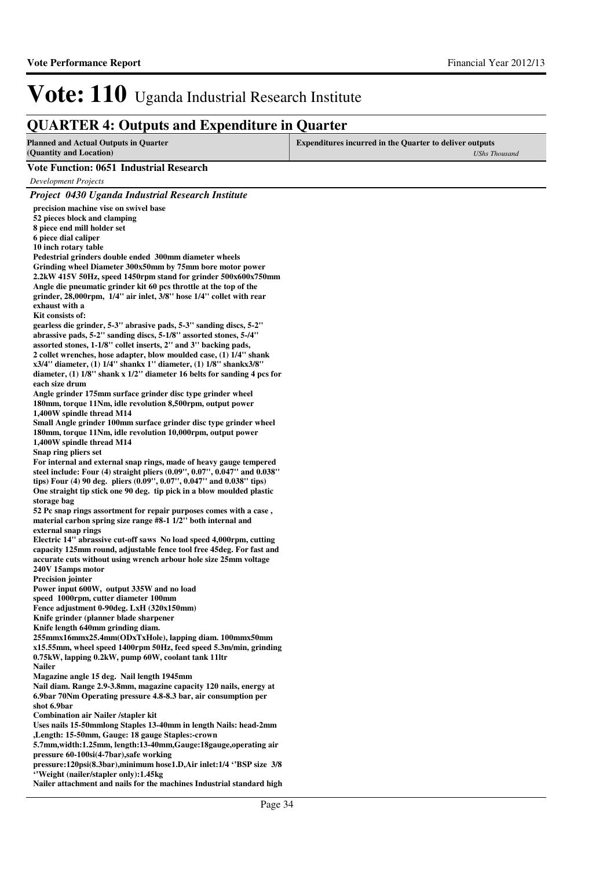### **QUARTER 4: Outputs and Expenditure in Quarter**

| g chart Life it carputs and Life                                                                                                                    | Europe                                                                                 |
|-----------------------------------------------------------------------------------------------------------------------------------------------------|----------------------------------------------------------------------------------------|
| <b>Planned and Actual Outputs in Quarter</b><br>(Quantity and Location)                                                                             | <b>Expenditures incurred in the Quarter to deliver outputs</b><br><b>UShs Thousand</b> |
| <b>Vote Function: 0651 Industrial Research</b>                                                                                                      |                                                                                        |
| <b>Development Projects</b>                                                                                                                         |                                                                                        |
| Project 0430 Uganda Industrial Research Institute                                                                                                   |                                                                                        |
| precision machine vise on swivel base                                                                                                               |                                                                                        |
| 52 pieces block and clamping                                                                                                                        |                                                                                        |
| 8 piece end mill holder set                                                                                                                         |                                                                                        |
| 6 piece dial caliper                                                                                                                                |                                                                                        |
| 10 inch rotary table                                                                                                                                |                                                                                        |
| Pedestrial grinders double ended 300mm diameter wheels<br>Grinding wheel Diameter 300x50mm by 75mm bore motor power                                 |                                                                                        |
| 2.2kW 415V 50Hz, speed 1450rpm stand for grinder 500x600x750mm                                                                                      |                                                                                        |
| Angle die pneumatic grinder kit 60 pcs throttle at the top of the                                                                                   |                                                                                        |
| grinder, 28,000rpm, 1/4" air inlet, 3/8" hose 1/4" collet with rear                                                                                 |                                                                                        |
| exhaust with a                                                                                                                                      |                                                                                        |
| Kit consists of:<br>gearless die grinder, 5-3" abrasive pads, 5-3" sanding discs, 5-2"                                                              |                                                                                        |
| abrassive pads, 5-2" sanding discs, 5-1/8" assorted stones, 5-/4"                                                                                   |                                                                                        |
| assorted stones, 1-1/8" collet inserts, 2" and 3" backing pads,                                                                                     |                                                                                        |
| 2 collet wrenches, hose adapter, blow moulded case, (1) 1/4" shank                                                                                  |                                                                                        |
| x3/4" diameter, (1) $1/4$ " shankx 1" diameter, (1) $1/8$ " shankx3/8"<br>diameter, $(1)$ 1/8" shank x 1/2" diameter 16 belts for sanding 4 pcs for |                                                                                        |
| each size drum                                                                                                                                      |                                                                                        |
| Angle grinder 175mm surface grinder disc type grinder wheel                                                                                         |                                                                                        |
| 180mm, torque 11Nm, idle revolution 8,500rpm, output power                                                                                          |                                                                                        |
| 1,400W spindle thread M14                                                                                                                           |                                                                                        |
| Small Angle grinder 100mm surface grinder disc type grinder wheel<br>180mm, torque 11Nm, idle revolution 10,000rpm, output power                    |                                                                                        |
| 1,400W spindle thread M14                                                                                                                           |                                                                                        |
| Snap ring pliers set                                                                                                                                |                                                                                        |
| For internal and external snap rings, made of heavy gauge tempered                                                                                  |                                                                                        |
| steel include: Four (4) straight pliers (0.09", 0.07", 0.047" and 0.038"                                                                            |                                                                                        |
| tips) Four (4) 90 deg. pliers (0.09", 0.07", 0.047" and 0.038" tips)<br>One straight tip stick one 90 deg. tip pick in a blow moulded plastic       |                                                                                        |
| storage bag                                                                                                                                         |                                                                                        |
| 52 Pc snap rings assortment for repair purposes comes with a case,                                                                                  |                                                                                        |
| material carbon spring size range #8-1 1/2" both internal and                                                                                       |                                                                                        |
| external snap rings<br>Electric 14" abrassive cut-off saws No load speed 4,000rpm, cutting                                                          |                                                                                        |
| capacity 125mm round, adjustable fence tool free 45deg. For fast and                                                                                |                                                                                        |
| accurate cuts without using wrench arbour hole size 25mm voltage                                                                                    |                                                                                        |
| 240V 15amps motor                                                                                                                                   |                                                                                        |
| <b>Precision jointer</b>                                                                                                                            |                                                                                        |
| Power input 600W, output 335W and no load<br>speed 1000rpm, cutter diameter 100mm                                                                   |                                                                                        |
| Fence adjustment 0-90deg. LxH (320x150mm)                                                                                                           |                                                                                        |
| Knife grinder (planner blade sharpener                                                                                                              |                                                                                        |
| Knife length 640mm grinding diam.                                                                                                                   |                                                                                        |
| 255mmx16mmx25.4mm(ODxTxHole), lapping diam. 100mmx50mm<br>x15.55mm, wheel speed 1400rpm 50Hz, feed speed 5.3m/min, grinding                         |                                                                                        |
| 0.75kW, lapping 0.2kW, pump 60W, coolant tank 11ltr                                                                                                 |                                                                                        |
| <b>Nailer</b>                                                                                                                                       |                                                                                        |
| Magazine angle 15 deg. Nail length 1945mm                                                                                                           |                                                                                        |
| Nail diam. Range 2.9-3.8mm, magazine capacity 120 nails, energy at                                                                                  |                                                                                        |
| 6.9bar 70Nm Operating pressure 4.8-8.3 bar, air consumption per<br>shot 6.9bar                                                                      |                                                                                        |
| <b>Combination air Nailer /stapler kit</b>                                                                                                          |                                                                                        |
| Uses nails 15-50mmlong Staples 13-40mm in length Nails: head-2mm                                                                                    |                                                                                        |
| , Length: 15-50mm, Gauge: 18 gauge Staples:-crown                                                                                                   |                                                                                        |
| 5.7mm,width:1.25mm, length:13-40mm,Gauge:18gauge,operating air                                                                                      |                                                                                        |
| pressure 60-100si(4-7bar),safe working<br>pressure:120psi(8.3bar), minimum hose1.D, Air inlet:1/4 "BSP size 3/8                                     |                                                                                        |
| "Weight (nailer/stapler only):1.45kg                                                                                                                |                                                                                        |
|                                                                                                                                                     |                                                                                        |

**Nailer attachment and nails for the machines Industrial standard high**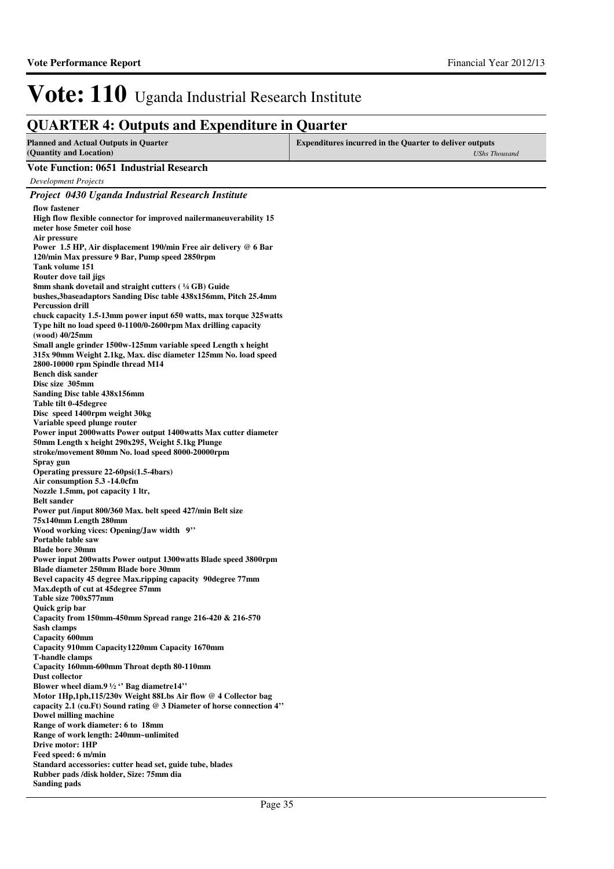### **QUARTER 4: Outputs and Expenditure in Quarter**

| <b>Planned and Actual Outputs in Quarter</b><br>(Quantity and Location)                                                                                                                                                                                | <b>Expenditures incurred in the Quarter to deliver outputs</b><br><b>UShs Thousand</b> |
|--------------------------------------------------------------------------------------------------------------------------------------------------------------------------------------------------------------------------------------------------------|----------------------------------------------------------------------------------------|
| <b>Vote Function: 0651 Industrial Research</b>                                                                                                                                                                                                         |                                                                                        |
| <b>Development Projects</b>                                                                                                                                                                                                                            |                                                                                        |
| Project 0430 Uganda Industrial Research Institute                                                                                                                                                                                                      |                                                                                        |
| flow fastener<br>High flow flexible connector for improved nailermaneuverability 15<br>meter hose 5 meter coil hose<br>Air pressure                                                                                                                    |                                                                                        |
| Power 1.5 HP, Air displacement 190/min Free air delivery @ 6 Bar<br>120/min Max pressure 9 Bar, Pump speed 2850rpm<br>Tank volume 151                                                                                                                  |                                                                                        |
| Router dove tail jigs<br>8mm shank dovetail and straight cutters (1/4 GB) Guide<br>bushes, 3base adaptors Sanding Disc table 438x156mm, Pitch 25.4mm<br><b>Percussion drill</b><br>chuck capacity 1.5-13mm power input 650 watts, max torque 325 watts |                                                                                        |
| Type hilt no load speed 0-1100/0-2600rpm Max drilling capacity<br>(wood) 40/25mm                                                                                                                                                                       |                                                                                        |
| Small angle grinder 1500w-125mm variable speed Length x height<br>315x 90mm Weight 2.1kg, Max. disc diameter 125mm No. load speed<br>2800-10000 rpm Spindle thread M14                                                                                 |                                                                                        |
| <b>Bench disk sander</b><br>Disc size 305mm<br>Sanding Disc table 438x156mm                                                                                                                                                                            |                                                                                        |
| Table tilt 0-45 degree<br>Disc speed 1400rpm weight 30kg                                                                                                                                                                                               |                                                                                        |
| Variable speed plunge router<br>Power input 2000 watts Power output 1400 watts Max cutter diameter                                                                                                                                                     |                                                                                        |
| 50mm Length x height 290x295, Weight 5.1kg Plunge<br>stroke/movement 80mm No. load speed 8000-20000rpm<br>Spray gun                                                                                                                                    |                                                                                        |
| Operating pressure 22-60psi(1.5-4bars)<br>Air consumption 5.3 -14.0cfm                                                                                                                                                                                 |                                                                                        |
| Nozzle 1.5mm, pot capacity 1 ltr,<br><b>Belt sander</b>                                                                                                                                                                                                |                                                                                        |
| Power put /input 800/360 Max. belt speed 427/min Belt size<br>75x140mm Length 280mm                                                                                                                                                                    |                                                                                        |
| Wood working vices: Opening/Jaw width 9"<br>Portable table saw                                                                                                                                                                                         |                                                                                        |
| <b>Blade bore 30mm</b><br>Power input 200 watts Power output 1300 watts Blade speed 3800 rpm<br>Blade diameter 250mm Blade bore 30mm                                                                                                                   |                                                                                        |
| Bevel capacity 45 degree Max.ripping capacity 90degree 77mm<br>Max.depth of cut at 45 degree 57mm                                                                                                                                                      |                                                                                        |
| Table size 700x577mm<br>Quick grip bar                                                                                                                                                                                                                 |                                                                                        |
| Capacity from 150mm-450mm Spread range 216-420 & 216-570<br>Sash clamps                                                                                                                                                                                |                                                                                        |
| Capacity 600mm<br>Capacity 910mm Capacity 1220mm Capacity 1670mm                                                                                                                                                                                       |                                                                                        |
| <b>T-handle clamps</b><br>Capacity 160mm-600mm Throat depth 80-110mm<br>Dust collector                                                                                                                                                                 |                                                                                        |
| Blower wheel diam.9 $\frac{1}{2}$ " Bag diametre14"<br>Motor 1Hp,1ph,115/230v Weight 88Lbs Air flow @ 4 Collector bag                                                                                                                                  |                                                                                        |
| capacity 2.1 (cu.Ft) Sound rating @ 3 Diameter of horse connection 4"<br>Dowel milling machine                                                                                                                                                         |                                                                                        |
| Range of work diameter: 6 to 18mm<br>Range of work length: 240mm~unlimited                                                                                                                                                                             |                                                                                        |
| Drive motor: 1HP<br>Feed speed: 6 m/min<br>Standard accessories: cutter head set, guide tube, blades                                                                                                                                                   |                                                                                        |
| Rubber pads/disk holder, Size: 75mm dia<br><b>Sanding pads</b>                                                                                                                                                                                         |                                                                                        |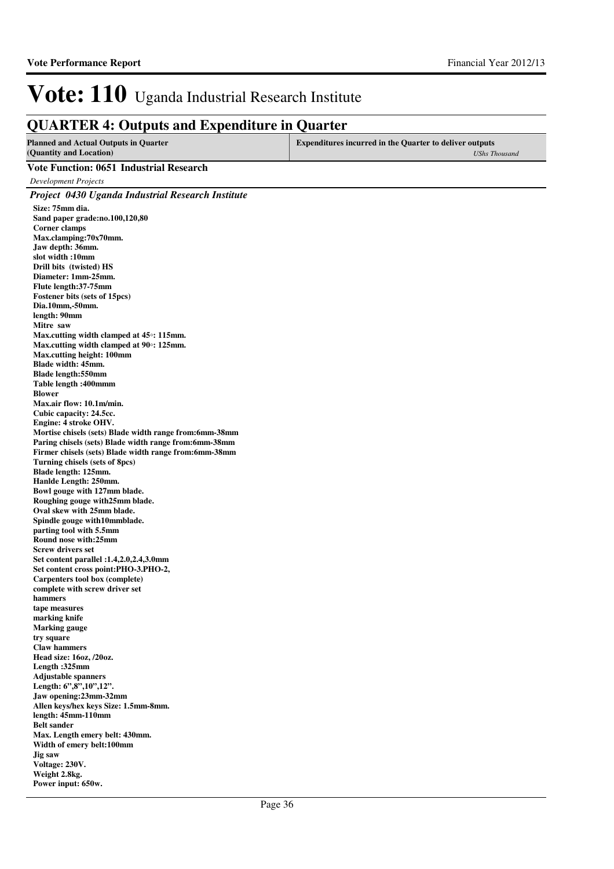### **QUARTER 4: Outputs and Expenditure in Quarter**

| <b>Expenditures incurred in the Quarter to deliver outputs</b><br><b>Planned and Actual Outputs in Quarter</b> |               |
|----------------------------------------------------------------------------------------------------------------|---------------|
| (Quantity and Location)                                                                                        | UShs Thousand |

#### **Vote Function: 0651 Industrial Research**

*Development Projects*

*Project 0430 Uganda Industrial Research Institute* **Size: 75mm dia. Sand paper grade:no.100,120,80 Corner clamps Max.clamping:70x70mm. Jaw depth: 36mm. slot width :10mm Drill bits (twisted) HS Diameter: 1mm-25mm. Flute length:37-75mm Fostener bits (sets of 15pcs) Dia.10mm,-50mm. length: 90mm Mitre saw Max.cutting width clamped at 45**◦**: 115mm. Max.cutting width clamped at 90**◦**: 125mm. Max.cutting height: 100mm Blade width: 45mm. Blade length:550mm Table length :400mmm Blower Max.air flow: 10.1m/min. Cubic capacity: 24.5cc. Engine: 4 stroke OHV. Mortise chisels (sets) Blade width range from:6mm-38mm Paring chisels (sets) Blade width range from:6mm-38mm Firmer chisels (sets) Blade width range from:6mm-38mm Turning chisels (sets of 8pcs) Blade length: 125mm. Hanlde Length: 250mm. Bowl gouge with 127mm blade. Roughing gouge with25mm blade. Oval skew with 25mm blade. Spindle gouge with10mmblade. parting tool with 5.5mm Round nose with:25mm Screw drivers set Set content parallel :1.4,2.0,2.4,3.0mm Set content cross point:PHO-3.PHO-2, Carpenters tool box (complete) complete with screw driver set hammers tape measures marking knife Marking gauge try square Claw hammers Head size: 16oz, /20oz. Length :325mm Adjustable spanners Length: 6",8",10",12". Jaw opening:23mm-32mm Allen keys/hex keys Size: 1.5mm-8mm. length: 45mm-110mm Belt sander Max. Length emery belt: 430mm. Width of emery belt:100mm Jig saw Voltage: 230V. Weight 2.8kg. Power input: 650w.**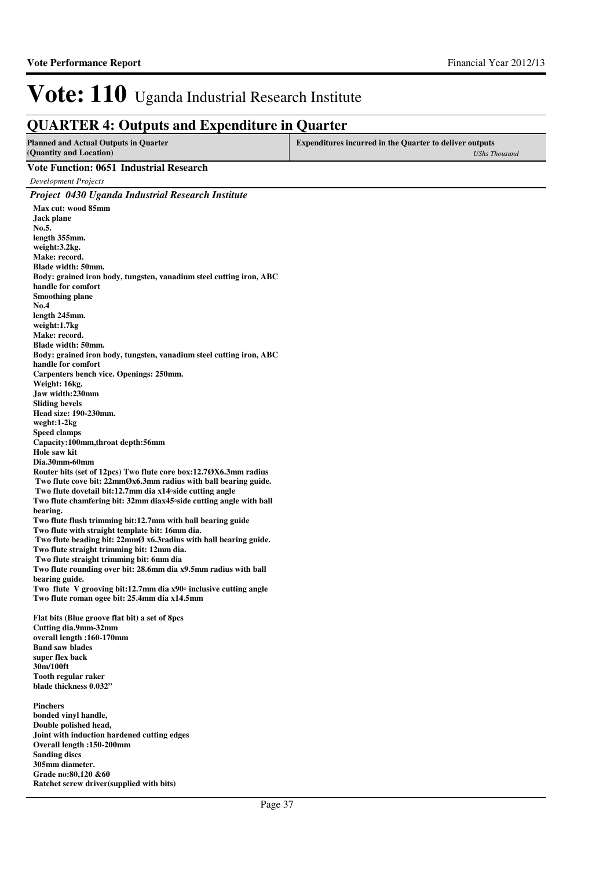### **QUARTER 4: Outputs and Expenditure in Quarter**

| <b>Planned and Actual Outputs in Quarter</b><br>(Quantity and Location) | <b>Expenditures incurred in the Quarter to deliver outputs</b><br><b>UShs Thousand</b> |
|-------------------------------------------------------------------------|----------------------------------------------------------------------------------------|
| Vote Function: 0651 Industrial Research                                 |                                                                                        |
| $\mathbf{D}$ . I $\mathbf{D}$                                           |                                                                                        |

*Development Projects Project 0430 Uganda Industrial Research Institute* **Max cut: wood 85mm Jack plane No.5. length 355mm. weight:3.2kg. Make: record. Blade width: 50mm. Body: grained iron body, tungsten, vanadium steel cutting iron, ABC handle for comfort Smoothing plane No.4 length 245mm. weight:1.7kg Make: record. Blade width: 50mm. Body: grained iron body, tungsten, vanadium steel cutting iron, ABC handle for comfort Carpenters bench vice. Openings: 250mm. Weight: 16kg. Jaw width:230mm Sliding bevels Head size: 190-230mm. weght:1-2kg Speed clamps Capacity:100mm,throat depth:56mm Hole saw kit Dia.30mm-60mm Router bits (set of 12pcs) Two flute core box:12.7ØX6.3mm radius Two flute cove bit: 22mmØx6.3mm radius with ball bearing guide. Two flute dovetail bit:12.7mm dia x14**◦**side cutting angle Two flute chamfering bit: 32mm diax45**◦**side cutting angle with ball bearing. Two flute flush trimming bit:12.7mm with ball bearing guide Two flute with straight template bit: 16mm dia. Two flute beading bit: 22mmØ x6.3radius with ball bearing guide. Two flute straight trimming bit: 12mm dia. Two flute straight trimming bit: 6mm dia Two flute rounding over bit: 28.6mm dia x9.5mm radius with ball bearing guide. Two flute V grooving bit:12.7mm dia x90**◦ **inclusive cutting angle Two flute roman ogee bit: 25.4mm dia x14.5mm Flat bits (Blue groove flat bit) a set of 8pcs Cutting dia.9mm-32mm overall length :160-170mm Band saw blades super flex back 30m/100ft Tooth regular raker blade thickness 0.032" Pinchers bonded vinyl handle,**

**Double polished head, Joint with induction hardened cutting edges Overall length :150-200mm Sanding discs 305mm diameter. Grade no:80,120 &60 Ratchet screw driver(supplied with bits)**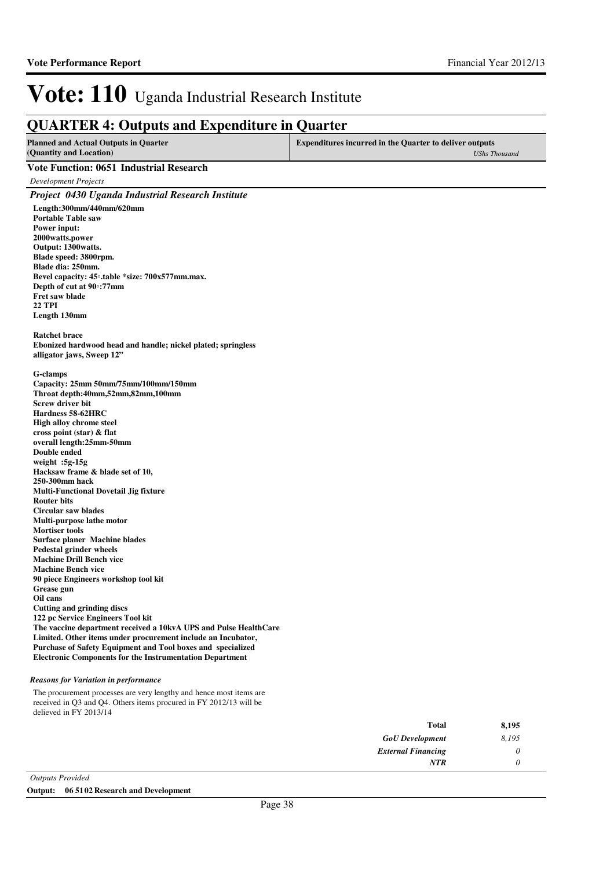### **QUARTER 4: Outputs and Expenditure in Quarter**

| <b>Planned and Actual Outputs in Quarter</b><br>(Quantity and Location) | <b>Expenditures incurred in the Quarter to deliver outputs</b><br>UShs Thousand |
|-------------------------------------------------------------------------|---------------------------------------------------------------------------------|
| Vote Function: 0651 Industrial Research                                 |                                                                                 |
| Development Projects                                                    |                                                                                 |
| <b>Project 0430 Uganda Industrial Research Institute</b>                |                                                                                 |
| $I = -1$ . 200  (440  (630                                              |                                                                                 |

**Length:300mm/440mm/620mm Portable Table saw Power input: 2000watts.power Output: 1300watts. Blade speed: 3800rpm. Blade dia: 250mm. Bevel capacity: 45**◦**.table \*size: 700x577mm.max. Depth of cut at 90**◦**:77mm Fret saw blade 22 TPI Length 130mm**

**Ratchet brace Ebonized hardwood head and handle; nickel plated; springless alligator jaws, Sweep 12"**

**G-clamps**

**Capacity: 25mm 50mm/75mm/100mm/150mm Throat depth:40mm,52mm,82mm,100mm Screw driver bit Hardness 58-62HRC High alloy chrome steel cross point (star) & flat overall length:25mm-50mm Double ended weight :5g-15g Hacksaw frame & blade set of 10, 250-300mm hack Multi-Functional Dovetail Jig fixture Router bits Circular saw blades Multi-purpose lathe motor Mortiser tools Surface planer Machine blades Pedestal grinder wheels Machine Drill Bench vice Machine Bench vice 90 piece Engineers workshop tool kit Grease gun Oil cans Cutting and grinding discs 122 pc Service Engineers Tool kit The vaccine department received a 10kvA UPS and Pulse HealthCare Limited. Other items under procurement include an Incubator, Purchase of Safety Equipment and Tool boxes and specialized Electronic Components for the Instrumentation Department**

#### *Reasons for Variation in performance*

The procurement processes are very lengthy and hence most items are received in Q3 and Q4. Others items procured in FY 2012/13 will be delieved in FY 2013/14

| 8,195 | <b>Total</b>              |
|-------|---------------------------|
| 8,195 | <b>GoU</b> Development    |
| υ     | <b>External Financing</b> |
|       | <b>NTR</b>                |
|       |                           |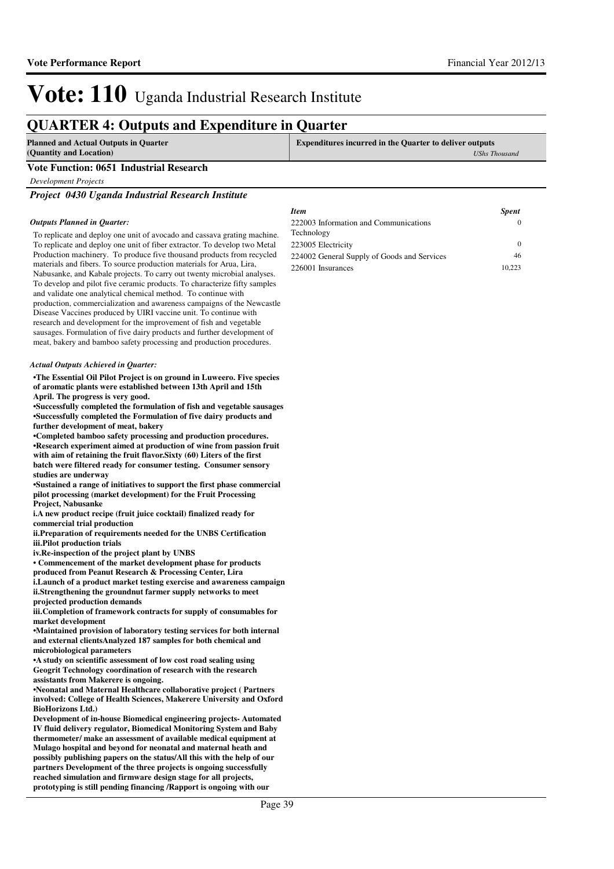### **QUARTER 4: Outputs and Expenditure in Quarter**

| Planned and Actual Outputs in Quarter   | <b>Expenditures incurred in the Quarter to deliver outputs</b> |
|-----------------------------------------|----------------------------------------------------------------|
| (Quantity and Location)                 | UShs Thousand                                                  |
| Vote Function: 0651 Industrial Research |                                                                |

*Development Projects*

*Project 0430 Uganda Industrial Research Institute*

#### *Outputs Planned in Quarter:*

To replicate and deploy one unit of avocado and cassava grating machine. To replicate and deploy one unit of fiber extractor. To develop two Metal Production machinery. To produce five thousand products from recycled materials and fibers. To source production materials for Arua, Lira, Nabusanke, and Kabale projects. To carry out twenty microbial analyses. To develop and pilot five ceramic products. To characterize fifty samples and validate one analytical chemical method. To continue with production, commercialization and awareness campaigns of the Newcastle Disease Vaccines produced by UIRI vaccine unit. To continue with research and development for the improvement of fish and vegetable sausages. Formulation of five dairy products and further development of meat, bakery and bamboo safety processing and production procedures.

#### *Actual Outputs Achieved in Quarter:*

**•The Essential Oil Pilot Project is on ground in Lu weero. Five species of aromatic plants were established between 13th April and 15th April. The progress is very good.**

**•Successfully completed the formulation of fish and vegetable sausages •Successfully completed the Formulation of five dairy products and further development of meat, bakery** 

**•Completed bamboo safety processing and production procedures. •Research experiment aimed at production of wine from passion fruit** with aim of retaining the fruit flavor. Sixty (60) Liters of the first **batch were filtered ready for consumer testing. Consumer sensory studies are underway**

**•Sustained a range of initiatives to support the fi rst phase commercial pilot processing (market development) for the Fruit Processing Project, Nabusanke**

**i.A new product recipe (fruit juice cocktail) finalized ready for commercial trial production** 

**ii.Preparation of requirements needed for the UNBS Certification iii.Pilot production trials**

**iv.Re-inspection of the project plant by UNBS**

**• Commencement of the market development phase for products** 

**produced from Peanut Research & Processing Center, Lira i.Launch of a product market testing exercise and a wareness campaign** ii.Strengthening the groundnut farmer supply networks to meet **projected production demands**

**iii.Completion of framework contracts for supply of consumables for market development**

**•Maintained provision of laboratory testing service s for both internal**  and external clientsAnalyzed 187 samples for both chemical and **microbiological parameters**

**•A study on scientific assessment of low cost road sealing using Geogrit Technology coordination of research with the research assistants from Makerere is ongoing.**

**•Neonatal and Maternal Healthcare collaborative pro ject ( Partners involved: College of Health Sciences, Makerere University and Oxford BioHorizons Ltd.)**

**Development of in-house Biomedical engineering projects- Automated IV fluid delivery regulator, Biomedical Monitoring System and Baby thermometer/ make an assessment of available medical equipment at Mulago hospital and beyond for neonatal and maternal heath and possibly publishing papers on the status/All this with the help of our partners Development of the three projects is ongoing successfully reached simulation and firmware design stage for all projects, prototyping is still pending financing /Rapport is ongoing with our** 

| <b>Item</b>                                 | <b>Spent</b> |
|---------------------------------------------|--------------|
| 222003 Information and Communications       | $\theta$     |
| Technology                                  |              |
| 223005 Electricity                          | $\Omega$     |
| 224002 General Supply of Goods and Services | 46           |
| 226001 Insurances                           | 10.223       |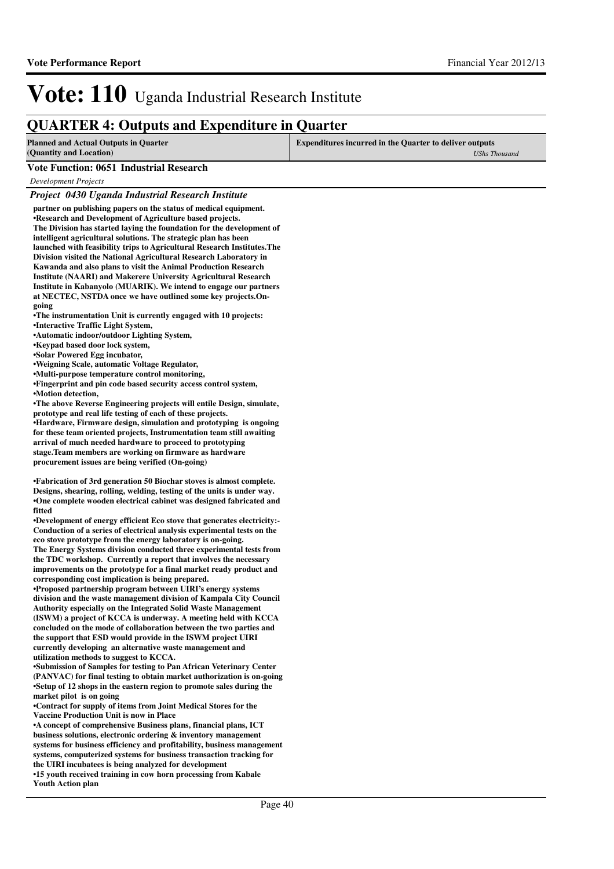### **QUARTER 4: Outputs and Expenditure in Quarter**

| Planned and Actual Outputs in Quarter   | <b>Expenditures incurred in the Quarter to deliver outputs</b> |
|-----------------------------------------|----------------------------------------------------------------|
| (Quantity and Location)                 | UShs Thousand                                                  |
| Vote Experient 0651 Industrial Desearch |                                                                |

#### **Vote Function: 0651 Industrial Research**

*Development Projects*

#### *Project 0430 Uganda Industrial Research Institute*

**partner on publishing papers on the status of medical equipment. •Research and Development of Agriculture based projects. The Division has started laying the foundation for the development of intelligent agricultural solutions. The strategic plan has been launched with feasibility trips to Agricultural Research Institutes.The Division visited the National Agricultural Research Laboratory in Kawanda and also plans to visit the Animal Production Research Institute (NAARI) and Makerere University Agricultural Research Institute in Kabanyolo (MUARIK). We intend to engage our partners at NECTEC, NSTDA once we have outlined some key projects.Ongoing**

**•The instrumentation Unit is currently engaged with 10 projects: •Interactive Traffic Light System,** 

**•Automatic indoor/outdoor Lighting System,** 

**•Keypad based door lock system,** 

**•Solar Powered Egg incubator,** 

**•Weigning Scale, automatic Voltage Regulator,** 

**•Multi-purpose temperature control monitoring,** 

•Fingerprint and pin code based security access control system, **•Motion detection,**

**•The above Reverse Engineering projects will entile Design, simulate, prototype and real life testing of each of these projects.**

**•Hardware, Firmware design, simulation and prototyping is ongoing for these team oriented projects, Instrumentation team still awaiting arrival of much needed hardware to proceed to prototyping stage. Team members are working on firmware as hardware procurement issues are being verified (On-going)**

**•Fabrication of 3rd generation 50 Biochar stoves is almost complete. Designs, shearing, rolling, welding, testing of the units is under way.** •One complete wooden electrical cabinet was designed fabricated and **fitted**

**•Development of energy efficient Eco stove that generates electricity:-Conduction of a series of electrical analysis experimental tests on the eco stove prototype from the energy laboratory is on-going. The Energy Systems division conducted three experimental tests from the TDC workshop. Currently a report that involves the necessary improvements on the prototype for a final market ready product and corresponding cost implication is being prepared.** 

**•Proposed partnership program between UIRI's energy systems division and the waste management division of Kampala City Council Authority especially on the Integrated Solid Waste Management (ISWM) a project of KCCA is underway. A meeting held with KCCA concluded on the mode of collaboration between the two parties and the support that ESD would provide in the ISWM project UIRI currently developing an alternative waste management and utilization methods to suggest to KCCA.** 

**•Submission of Samples for testing to Pan African Veterinary Center (PANVAC) for final testing to obtain market authorization is on-going •Setup of 12 shops in the eastern region to promote sales during the market pilot is on going**

**•Contract for supply of items from Joint Medical Stores for the Vaccine Production Unit is now in Place**

**•A concept of comprehensive Business plans, financi al plans, ICT business solutions, electronic ordering & inventory management systems for business efficiency and profitability, business management systems, computerized systems for business transaction tracking for the UIRI incubatees is being analyzed for development**

**•15 youth received training in cow horn processing from Kabale Youth Action plan**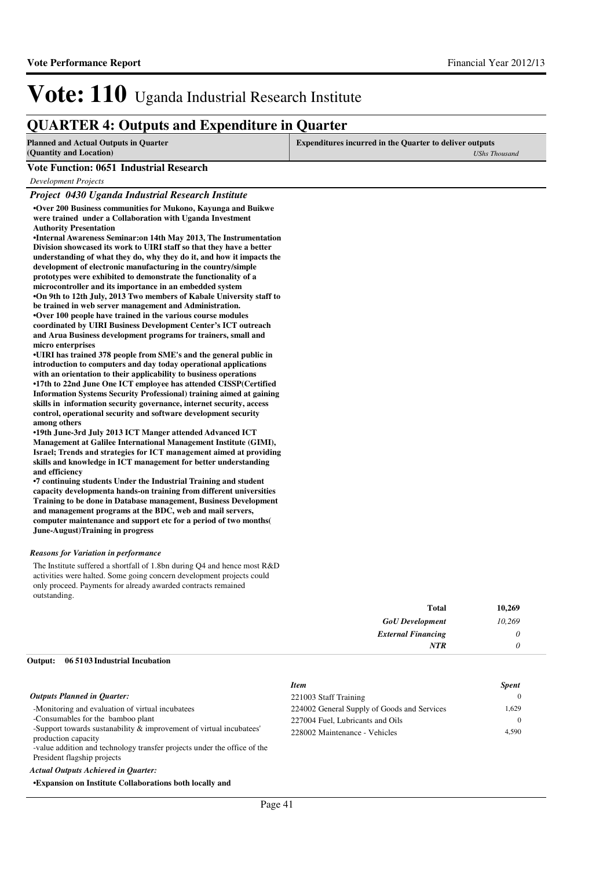### **QUARTER 4: Outputs and Expenditure in Quarter**

| <b>Planned and Actual Outputs in Quarter</b><br>(Quantity and Location) | Expenditures incurred in the Quarter to deliver outputs<br><b>UShs Thousand</b> |
|-------------------------------------------------------------------------|---------------------------------------------------------------------------------|
| Vote Function: 0651 Industrial Research                                 |                                                                                 |
| Development Projects                                                    |                                                                                 |

#### *Project 0430 Uganda Industrial Research Institute*

**•Over 200 Business communities for Mukono, Kayunga and Buikwe were trained under a Collaboration with Uganda Investment Authority Presentation**

**•Internal Awareness Seminar:on 14th May 2013, The I nstrumentation Division showcased its work to UIRI staff so that they have a better understanding of what they do, why they do it, and how it impacts the development of electronic manufacturing in the country/simple prototypes were exhibited to demonstrate the functionality of a microcontroller and its importance in an embedded system •On 9th to 12th July, 2013 Two members of Kabale University staff to be trained in web server management and Administration. •Over 100 people have trained in the various course modules coordinated by UIRI Business Development Center's ICT outreach and Arua Business development programs for trainers, small and micro enterprises** 

•UIRI has trained 378 people from SME's and the general public in **introduction to computers and day today operational applications with an orientation to their applicability to business operations •17th to 22nd June One ICT employee has attended CI SSP(Certified Information Systems Security Professional) training aimed at gaining skills in information security governance, internet security, access control, operational security and software development security among others**

•19th June-3rd July 2013 ICT Manger attended Advanced ICT **Management at Galilee International Management Institute (GIMI),**  Israel; Trends and strategies for ICT management **aimed at providing skills and knowledge in ICT management for better understanding and efficiency** 

**•7 continuing students Under the Industrial Trainin g and student**  capacity developmenta hands-on training from different universities **Training to be done in Database management, Business Development and management programs at the BDC, web and mail servers, computer maintenance and support etc for a period of two months( June-August)Training in progress**

#### *Reasons for Variation in performance*

The Institute suffered a shortfall of 1.8bn during Q4 and hence most R&D activities were halted. Some going concern development projects could only proceed. Payments for already awarded contracts remained outstanding.

| 10,269 | Total                     |
|--------|---------------------------|
| 10,269 | <b>GoU</b> Development    |
|        | <b>External Financing</b> |
|        | NTR                       |
|        |                           |

#### **06 5103 Industrial Incubation Output:**

|                                                                                            | <b>Item</b>                                 | <b>Spent</b> |
|--------------------------------------------------------------------------------------------|---------------------------------------------|--------------|
| <b>Outputs Planned in Quarter:</b>                                                         | 221003 Staff Training                       | $\Omega$     |
| -Monitoring and evaluation of virtual incubatees                                           | 224002 General Supply of Goods and Services | 1.629        |
| -Consumables for the bamboo plant                                                          | 227004 Fuel, Lubricants and Oils            | 0            |
| -Support towards sustanability & improvement of virtual incubatees'<br>production capacity | 228002 Maintenance - Vehicles               | 4.590        |
| -value addition and technology transfer projects under the office of the                   |                                             |              |
| President flagship projects                                                                |                                             |              |

*Actual Outputs Achieved in Quarter:*

**•Expansion on Institute Collaborations both locally and**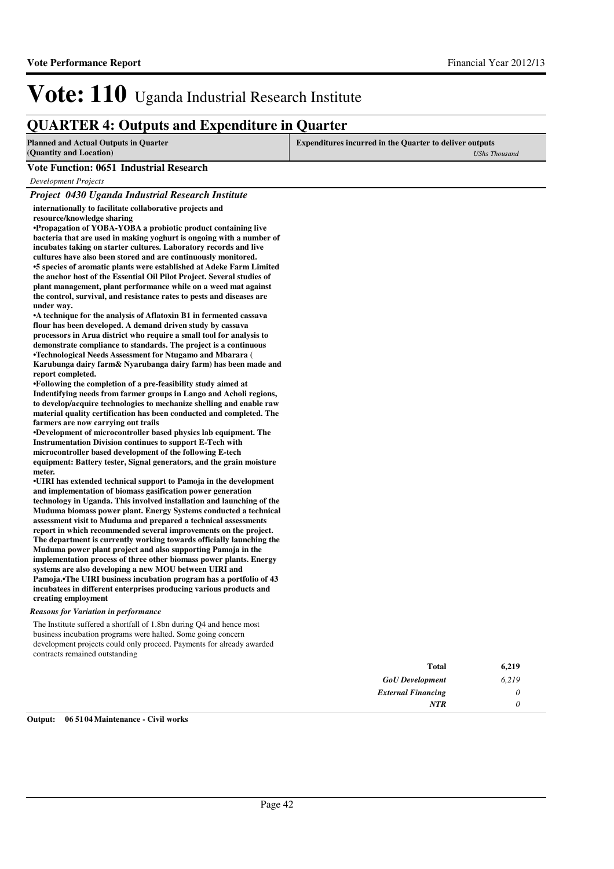### **QUARTER 4: Outputs and Expenditure in Quarter**

| <b>Planned and Actual Outputs in Quarter</b><br>(Quantity and Location)                                                                                                                                                                                                                                                                                                                                                                                                                                                                                                                                                                                                                                                                                                                                                                                                                                                                                                                                                                                                                                                                                                                  | <b>Expenditures incurred in the Quarter to deliver outputs</b><br><b>UShs Thousand</b> |
|------------------------------------------------------------------------------------------------------------------------------------------------------------------------------------------------------------------------------------------------------------------------------------------------------------------------------------------------------------------------------------------------------------------------------------------------------------------------------------------------------------------------------------------------------------------------------------------------------------------------------------------------------------------------------------------------------------------------------------------------------------------------------------------------------------------------------------------------------------------------------------------------------------------------------------------------------------------------------------------------------------------------------------------------------------------------------------------------------------------------------------------------------------------------------------------|----------------------------------------------------------------------------------------|
| <b>Vote Function: 0651 Industrial Research</b>                                                                                                                                                                                                                                                                                                                                                                                                                                                                                                                                                                                                                                                                                                                                                                                                                                                                                                                                                                                                                                                                                                                                           |                                                                                        |
| Development Projects                                                                                                                                                                                                                                                                                                                                                                                                                                                                                                                                                                                                                                                                                                                                                                                                                                                                                                                                                                                                                                                                                                                                                                     |                                                                                        |
| Project 0430 Uganda Industrial Research Institute                                                                                                                                                                                                                                                                                                                                                                                                                                                                                                                                                                                                                                                                                                                                                                                                                                                                                                                                                                                                                                                                                                                                        |                                                                                        |
| internationally to facilitate collaborative projects and<br>resource/knowledge sharing<br>•Propagation of YOBA-YOBA a probiotic product containing live<br>bacteria that are used in making yoghurt is ongoing with a number of<br>incubates taking on starter cultures. Laboratory records and live<br>cultures have also been stored and are continuously monitored.<br>•5 species of aromatic plants were established at Adeke Farm Limited<br>the anchor host of the Essential Oil Pilot Project. Several studies of<br>plant management, plant performance while on a weed mat against<br>the control, survival, and resistance rates to pests and diseases are<br>under way.<br>• A technique for the analysis of Aflatoxin B1 in fermented cassava<br>flour has been developed. A demand driven study by cassava<br>processors in Arua district who require a small tool for analysis to<br>demonstrate compliance to standards. The project is a continuous<br>•Technological Needs Assessment for Ntugamo and Mbarara (<br>Karubunga dairy farm& Nyarubanga dairy farm) has been made and<br>report completed.<br>•Following the completion of a pre-feasibility study aimed at |                                                                                        |
| Indontifying noods from formor groups in Longo and Acholi regions.                                                                                                                                                                                                                                                                                                                                                                                                                                                                                                                                                                                                                                                                                                                                                                                                                                                                                                                                                                                                                                                                                                                       |                                                                                        |

**Indentifying needs from farmer groups in Lango and Acholi regions, to develop/acquire technologies to mechanize shelling and enable raw material quality certification has been conducted and completed. The farmers are now carrying out trails** 

**•Development of microcontroller based physics lab e quipment. The Instrumentation Division continues to support E-Tech with microcontroller based development of the following E-tech equipment: Battery tester, Signal generators, and the grain moisture meter.**

•**UIRI** has extended technical support to Pamoja in the development **and implementation of biomass gasification power generation technology in Uganda. This involved installation and launching of the Muduma biomass power plant. Energy Systems conducted a technical assessment visit to Muduma and prepared a technical assessments report in which recommended several improvements on the project. The department is currently working towards officially launching the Muduma power plant project and also supporting Pamoja in the implementation process of three other biomass power plants. Energy systems are also developing a new MOU between UIRI and Pamoja.•The UIRI business incubation program has a portfolio of 43 incubatees in different enterprises producing various products and creating employment**

#### *Reasons for Variation in performance*

The Institute suffered a shortfall of 1.8bn during Q4 and hence most business incubation programs were halted. Some going concern development projects could only proceed. Payments for already awarded contracts remained outstanding

| 6,219 | Total                     |
|-------|---------------------------|
| 6,219 | <b>GoU</b> Development    |
|       | <b>External Financing</b> |
|       | <b>NTR</b>                |

#### **Output: 06 5104 Maintenance - Civil works**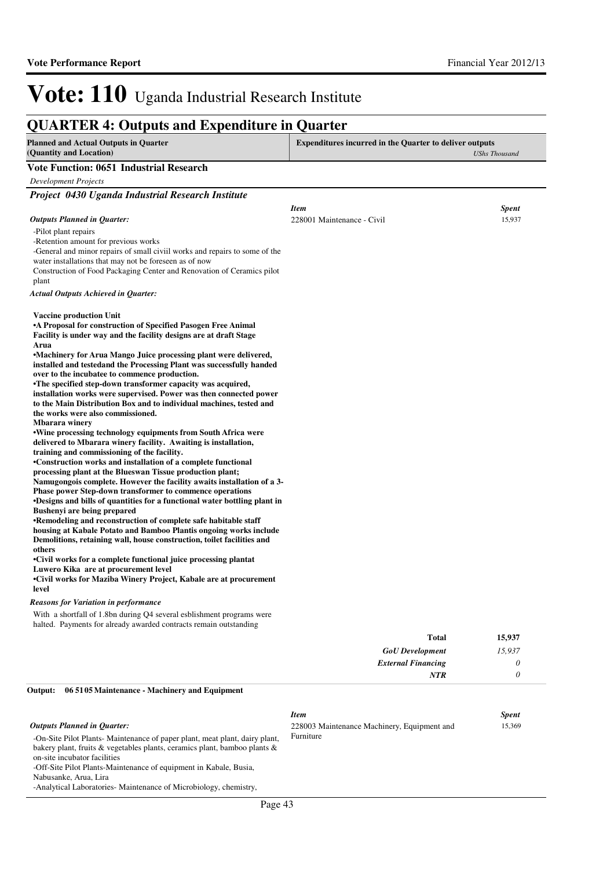### **QUARTER 4: Outputs and Expenditure in Quarter**

-On-Site Pilot Plants- Maintenance of paper plant, meat plant, dairy plant, bakery plant, fruits & vegetables plants, ceramics plant, bamboo plants &

-Off-Site Pilot Plants-Maintenance of equipment in Kabale, Busia,

-Analytical Laboratories- Maintenance of Microbiology, chemistry,

on-site incubator facilities

Nabusanke, Arua, Lira

| <b>Planned and Actual Outputs in Quarter</b><br>(Quantity and Location)                                                                     | <b>Expenditures incurred in the Quarter to deliver outputs</b><br><b>UShs Thousand</b> |              |
|---------------------------------------------------------------------------------------------------------------------------------------------|----------------------------------------------------------------------------------------|--------------|
| <b>Vote Function: 0651 Industrial Research</b>                                                                                              |                                                                                        |              |
| <b>Development Projects</b>                                                                                                                 |                                                                                        |              |
| Project 0430 Uganda Industrial Research Institute                                                                                           |                                                                                        |              |
|                                                                                                                                             | <b>Item</b>                                                                            | <b>Spent</b> |
| <b>Outputs Planned in Quarter:</b>                                                                                                          | 228001 Maintenance - Civil                                                             | 15,937       |
| -Pilot plant repairs                                                                                                                        |                                                                                        |              |
| -Retention amount for previous works                                                                                                        |                                                                                        |              |
| -General and minor repairs of small civil works and repairs to some of the<br>water installations that may not be foreseen as of now        |                                                                                        |              |
| Construction of Food Packaging Center and Renovation of Ceramics pilot                                                                      |                                                                                        |              |
| plant                                                                                                                                       |                                                                                        |              |
| Actual Outputs Achieved in Quarter:                                                                                                         |                                                                                        |              |
| <b>Vaccine production Unit</b>                                                                                                              |                                                                                        |              |
| •A Proposal for construction of Specified Pasogen Free Animal                                                                               |                                                                                        |              |
| Facility is under way and the facility designs are at draft Stage<br>Arua                                                                   |                                                                                        |              |
| •Machinery for Arua Mango Juice processing plant were delivered,                                                                            |                                                                                        |              |
| installed and testedand the Processing Plant was successfully handed                                                                        |                                                                                        |              |
| over to the incubatee to commence production.                                                                                               |                                                                                        |              |
| •The specified step-down transformer capacity was acquired,<br>installation works were supervised. Power was then connected power           |                                                                                        |              |
| to the Main Distribution Box and to individual machines, tested and                                                                         |                                                                                        |              |
| the works were also commissioned.                                                                                                           |                                                                                        |              |
| Mbarara winery                                                                                                                              |                                                                                        |              |
| •Wine processing technology equipments from South Africa were<br>delivered to Mbarara winery facility. Awaiting is installation,            |                                                                                        |              |
| training and commissioning of the facility.                                                                                                 |                                                                                        |              |
| •Construction works and installation of a complete functional                                                                               |                                                                                        |              |
| processing plant at the Blueswan Tissue production plant;                                                                                   |                                                                                        |              |
| Namugongois complete. However the facility awaits installation of a 3-<br>Phase power Step-down transformer to commence operations          |                                                                                        |              |
| •Designs and bills of quantities for a functional water bottling plant in                                                                   |                                                                                        |              |
| Bushenyi are being prepared                                                                                                                 |                                                                                        |              |
| •Remodeling and reconstruction of complete safe habitable staff                                                                             |                                                                                        |              |
| housing at Kabale Potato and Bamboo Plantis ongoing works include<br>Demolitions, retaining wall, house construction, toilet facilities and |                                                                                        |              |
| others                                                                                                                                      |                                                                                        |              |
| •Civil works for a complete functional juice processing plantat                                                                             |                                                                                        |              |
| Luwero Kika are at procurement level                                                                                                        |                                                                                        |              |
| •Civil works for Maziba Winery Project, Kabale are at procurement<br>level                                                                  |                                                                                        |              |
| <b>Reasons for Variation in performance</b>                                                                                                 |                                                                                        |              |
| With a shortfall of 1.8bn during Q4 several esblishment programs were                                                                       |                                                                                        |              |
| halted. Payments for already awarded contracts remain outstanding                                                                           |                                                                                        |              |
|                                                                                                                                             | <b>Total</b>                                                                           | 15,937       |
|                                                                                                                                             | <b>GoU</b> Development                                                                 | 15,937       |
|                                                                                                                                             | <b>External Financing</b>                                                              | 0            |
|                                                                                                                                             | NTR                                                                                    | 0            |
| 06 5105 Maintenance - Machinery and Equipment<br>Output:                                                                                    |                                                                                        |              |
|                                                                                                                                             | <b>Item</b>                                                                            | <b>Spent</b> |
| <b>Outputs Planned in Quarter:</b>                                                                                                          | 228003 Maintenance Machinery, Equipment and                                            | 15,369       |

Furniture

Page 43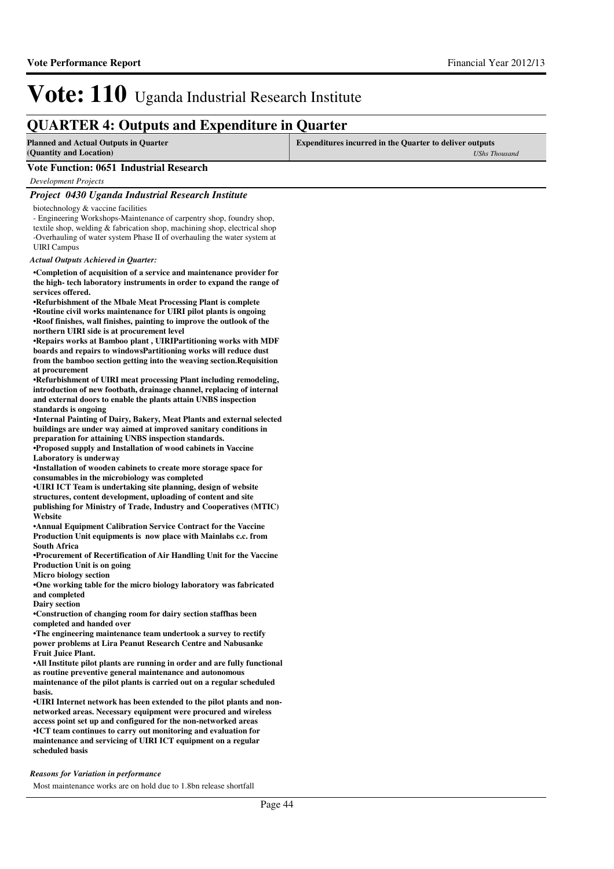### **QUARTER 4: Outputs and Expenditure in Quarter**

| <b>Planned and Actual Outputs in Quarter</b><br>(Quantity and Location) | <b>Expenditures incurred in the Quarter to deliver outputs</b><br>UShs Thousand |
|-------------------------------------------------------------------------|---------------------------------------------------------------------------------|
| Vote Function: 0651 Industrial Research                                 |                                                                                 |
| Development Projects                                                    |                                                                                 |
|                                                                         |                                                                                 |

#### *Project 0430 Uganda Industrial Research Institute*

biotechnology & vaccine facilities

- Engineering Workshops-Maintenance of carpentry shop, foundry shop, textile shop, welding & fabrication shop, machining shop, electrical shop -Overhauling of water system Phase II of overhauling the water system at UIRI Campus

*Actual Outputs Achieved in Quarter:*

**•Completion of acquisition of a service and maintenance provider for the high- tech laboratory instruments in order to expand the range of services offered.**

**•Refurbishment of the Mbale Meat Processing Plant i s complete •Routine civil works maintenance for UIRI pilot plants is ongoing •Roof finishes, wall finishes, painting to improve the outlook of the northern UIRI side is at procurement level**

**•Repairs works at Bamboo plant , UIRIPartitioning w orks with MDF boards and repairs to windowsPartitioning works wil l reduce dust from the bamboo section getting into the weaving section.Requisition at procurement**

**•Refurbishment of UIRI meat processing Plant including remodeling, introduction of new footbath, drainage channel, replacing of internal and external doors to enable the plants attain UNBS inspection standards is ongoing**

**•Internal Painting of Dairy, Bakery, Meat Plants and external selected buildings are under way aimed at improved sanitary conditions in preparation for attaining UNBS inspection standards.**

**•Proposed supply and Installation of wood cabinets in Vaccine Laboratory is underway**

**•Installation of wooden cabinets to create more storage space for consumables in the microbiology was completed** 

**•UIRI ICT Team is undertaking site planning, design of website structures, content development, uploading of content and site publishing for Ministry of Trade, Industry and Cooperatives (MTIC) Website**

**•Annual Equipment Calibration Service Contract for the Vaccine Production Unit equipments is now place with Mainlabs c.c. from South Africa**

**•Procurement of Recertification of Air Handling Uni t for the Vaccine Production Unit is on going**

**Micro biology section**

**•One working table for the micro biology laboratory was fabricated and completed**

**Dairy section**

**•Construction of changing room for dairy section st affhas been completed and handed over**

**•The engineering maintenance team undertook a surve y to rectify power problems at Lira Peanut Research Centre and Nabusanke Fruit Juice Plant.**

**•All Institute pilot plants are running in order and are fully functional as routine preventive general maintenance and autonomous maintenance of the pilot plants is carried out on a regular scheduled basis.**

•UIRI Internet network has been extended to the pilot plants and non**networked areas. Necessary equipment were procured and wireless access point set up and configured for the non-networked areas •ICT team continues to carry out monitoring and evaluation for maintenance and servicing of UIRI ICT equipment on a regular scheduled basis**

#### *Reasons for Variation in performance*

Most maintenance works are on hold due to 1.8bn release shortfall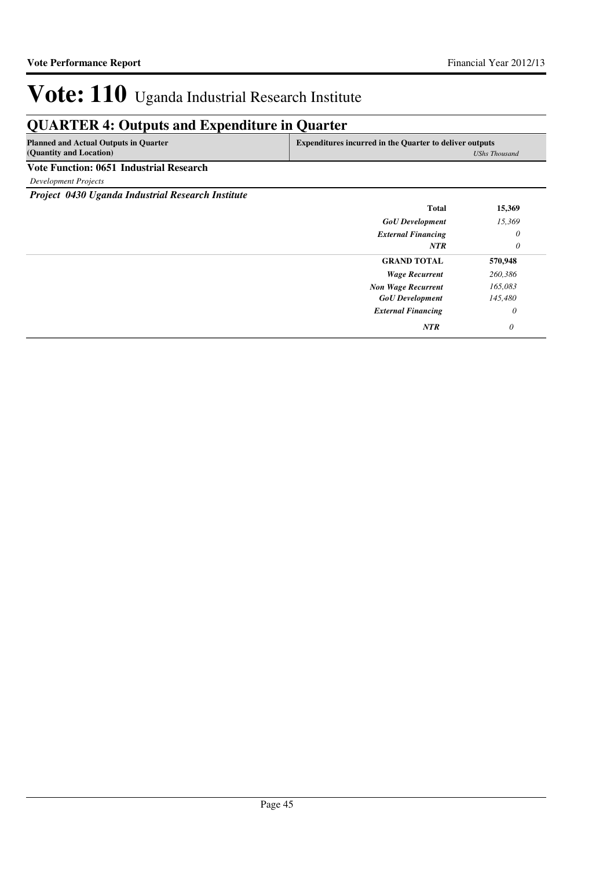### **QUARTER 4: Outputs and Expenditure in Quarter**

| <b>Planned and Actual Outputs in Quarter</b> | <b>Expenditures incurred in the Quarter to deliver outputs</b> |
|----------------------------------------------|----------------------------------------------------------------|
| (Quantity and Location)                      | <b>UShs Thousand</b>                                           |
| Vote Function: 0651 Industrial Research      |                                                                |

*Development Projects*

*Project 0430 Uganda Industrial Research Institute*

| Total                     | 15,369   |
|---------------------------|----------|
| <b>GoU</b> Development    | 15,369   |
| <b>External Financing</b> | 0        |
| <b>NTR</b>                | 0        |
| <b>GRAND TOTAL</b>        | 570,948  |
| <b>Wage Recurrent</b>     | 260,386  |
| <b>Non Wage Recurrent</b> | 165,083  |
| <b>GoU</b> Development    | 145,480  |
| <b>External Financing</b> | $\theta$ |
| <b>NTR</b>                | 0        |